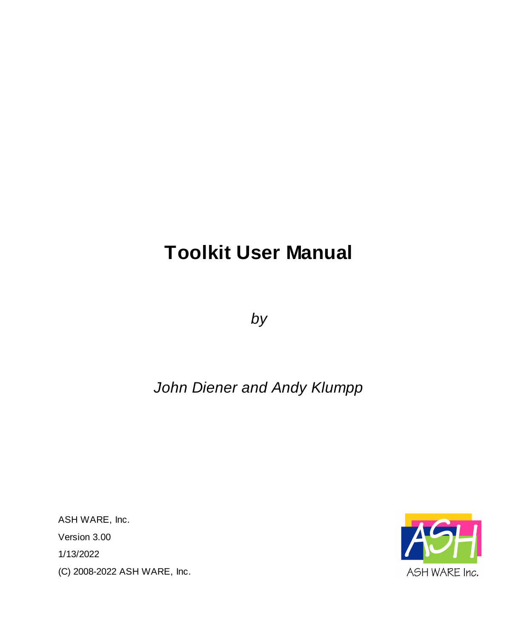# **Toolkit User Manual**

*by*

# *John Diener and Andy Klumpp*

ASH WARE, Inc. Version 3.00 1/13/2022 (C) 2008-2022 ASH WARE, Inc.

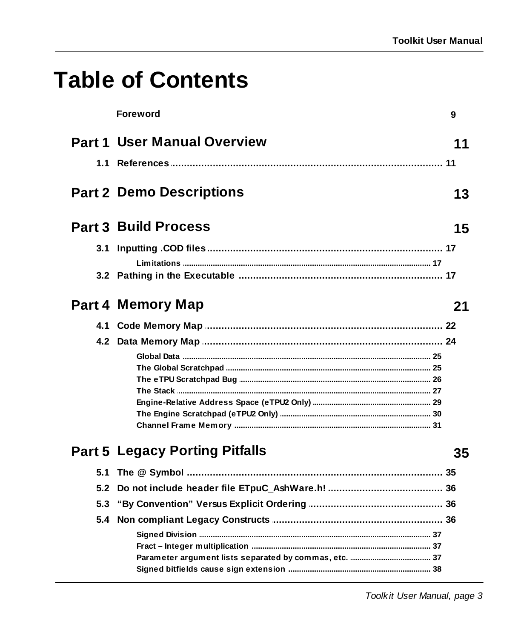# **Table of Contents**

|     | <b>Foreword</b>                       | 9  |
|-----|---------------------------------------|----|
|     | <b>Part 1 User Manual Overview</b>    | 11 |
| 1.1 |                                       |    |
|     | <b>Part 2 Demo Descriptions</b>       | 13 |
|     | <b>Part 3 Build Process</b>           | 15 |
|     |                                       |    |
|     |                                       |    |
|     | Part 4 Memory Map                     | 21 |
|     |                                       |    |
|     |                                       |    |
|     |                                       |    |
|     |                                       |    |
|     |                                       |    |
|     |                                       |    |
|     |                                       |    |
|     |                                       |    |
|     | <b>Part 5 Legacy Porting Pitfalls</b> | 35 |
| 5.1 |                                       |    |
| 5.2 |                                       |    |
| 5.3 |                                       |    |
|     |                                       |    |
|     |                                       |    |
|     |                                       |    |
|     |                                       |    |
|     |                                       |    |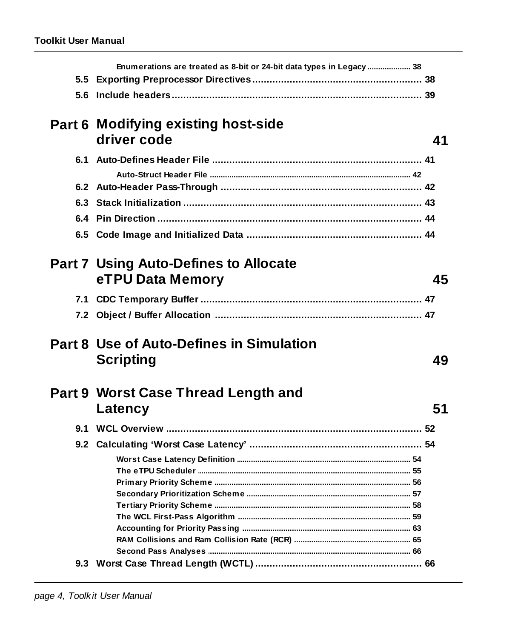| Enumerations are treated as 8-bit or 24-bit data types in Legacy  38 |    |
|----------------------------------------------------------------------|----|
|                                                                      |    |
|                                                                      |    |
| <b>Part 6 Modifying existing host-side</b>                           |    |
| driver code                                                          | 41 |
|                                                                      |    |
|                                                                      |    |
|                                                                      |    |
|                                                                      |    |
|                                                                      |    |
|                                                                      |    |
| <b>Part 7 Using Auto-Defines to Allocate</b>                         |    |
| eTPU Data Memory                                                     | 45 |
|                                                                      |    |
|                                                                      |    |
|                                                                      |    |
| <b>Part 8 Use of Auto-Defines in Simulation</b>                      |    |
| <b>Scripting</b>                                                     | 49 |
|                                                                      |    |
| Part 9 Worst Case Thread Length and                                  |    |
| Latency                                                              | 51 |
|                                                                      |    |
|                                                                      |    |
|                                                                      |    |
|                                                                      |    |
|                                                                      |    |
|                                                                      |    |
|                                                                      |    |
|                                                                      |    |
|                                                                      |    |
|                                                                      |    |
|                                                                      |    |
|                                                                      |    |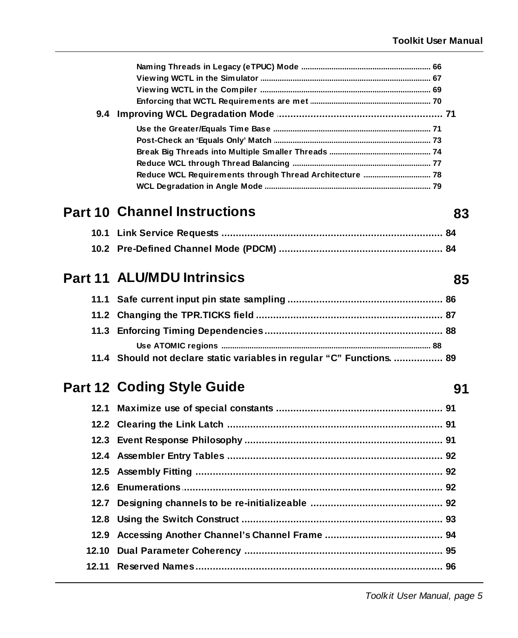83

85

91

| 9.4 |  |
|-----|--|
|     |  |
|     |  |
|     |  |
|     |  |
|     |  |
|     |  |
|     |  |

# **Part 10 Channel Instructions**

# **Part 11 ALU/MDU Intrinsics**

| 11.4 Should not declare static variables in regular "C" Functions.  89 |  |
|------------------------------------------------------------------------|--|

# Part 12 Coding Style Guide

| 12.11 Reserved Names………………………………………………………………………… 96 |  |
|-----------------------------------------------------|--|
|                                                     |  |

Toolkit User Manual, page 5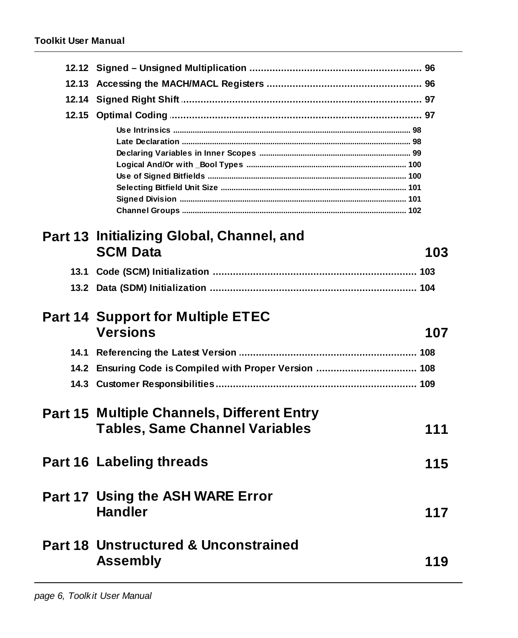|                                                         | 103                                                          |
|---------------------------------------------------------|--------------------------------------------------------------|
|                                                         |                                                              |
|                                                         |                                                              |
|                                                         |                                                              |
| <b>Part 14 Support for Multiple ETEC</b>                |                                                              |
|                                                         |                                                              |
| <b>Versions</b>                                         | 107                                                          |
|                                                         |                                                              |
| 14.2 Ensuring Code is Compiled with Proper Version  108 |                                                              |
|                                                         |                                                              |
|                                                         |                                                              |
| <b>Part 15 Multiple Channels, Different Entry</b>       |                                                              |
| <b>Tables, Same Channel Variables</b>                   | 111                                                          |
| <b>Part 16 Labeling threads</b>                         | 115                                                          |
|                                                         |                                                              |
| Part 17 Using the ASH WARE Error                        |                                                              |
| <b>Handler</b>                                          | 117                                                          |
|                                                         |                                                              |
|                                                         |                                                              |
| Part 18 Unstructured & Unconstrained<br><b>Assembly</b> | 119                                                          |
|                                                         | Part 13 Initializing Global, Channel, and<br><b>SCM Data</b> |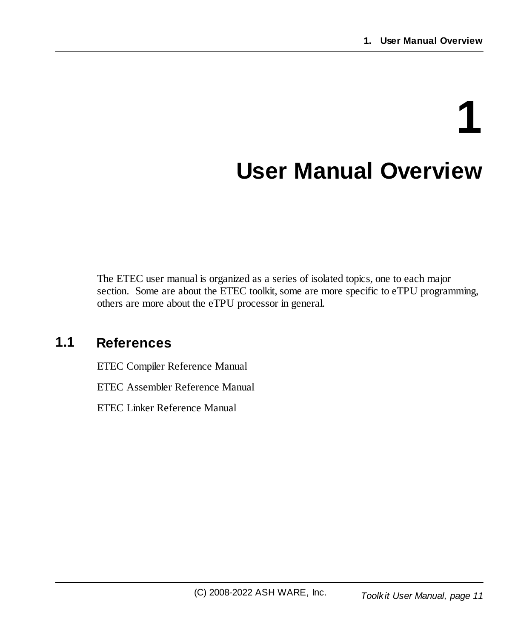# <span id="page-10-0"></span>**1 User Manual Overview**

The ETEC user manual is organized as a series of isolated topics, one to each major section. Some are about the ETEC toolkit, some are more specific to eTPU programming, others are more about the eTPU processor in general.

# <span id="page-10-1"></span>**1.1 References**

ETEC Compiler Reference Manual

ETEC Assembler Reference Manual

ETEC Linker Reference Manual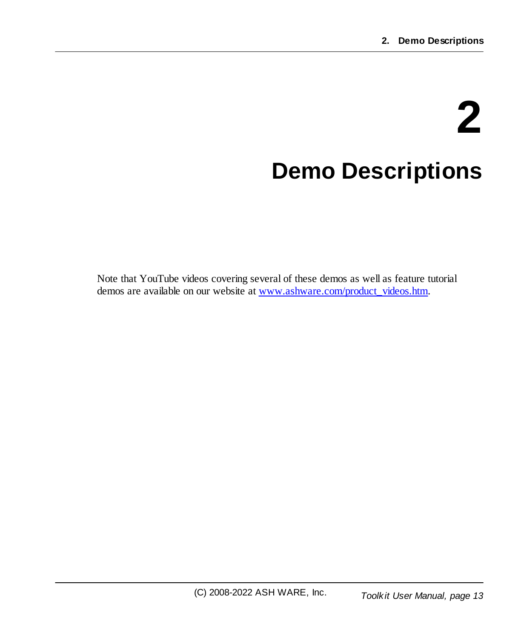# **2 Demo Descriptions**

<span id="page-12-0"></span>Note that YouTube videos covering several of these demos as well as feature tutorial demos are available on our website at [www.ashware.com/product\\_videos.htm](http://www.ashware.com/product_videos.htm).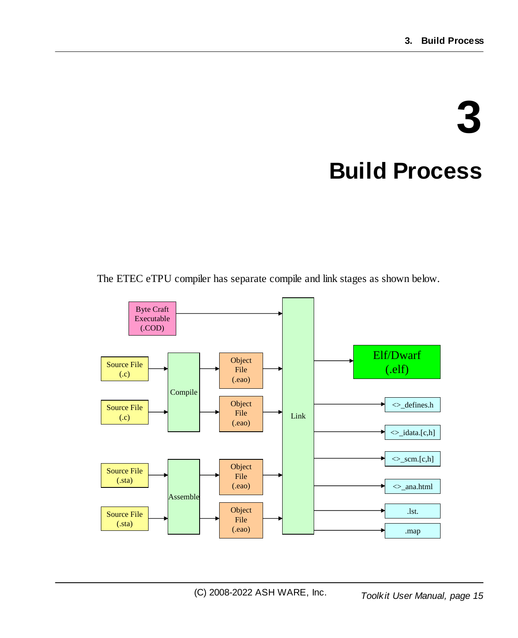# **3 Build Process**

<span id="page-14-0"></span>The ETEC eTPU compiler has separate compile and link stages as shown below.

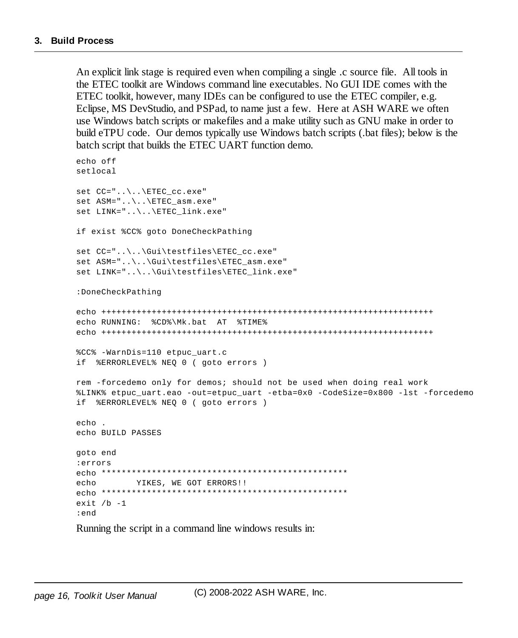An explicit link stage is required even when compiling a single .c source file. All tools in the ETEC toolkit are Windows command line executables. No GUI IDE comes with the ETEC toolkit, however, many IDEs can be configured to use the ETEC compiler, e.g. Eclipse, MS DevStudio, and PSPad, to name just a few. Here at ASH WARE we often use Windows batch scripts or makefiles and a make utility such as GNU make in order to build eTPU code. Our demos typically use Windows batch scripts (.bat files); below is the batch script that builds the ETEC UART function demo.

```
echo off
setlocal
set CC="..\..\ETEC_cc.exe"
set ASM="..\..\ETEC_asm.exe"
set LINK="..\..\ETEC_link.exe"
if exist %CC% goto DoneCheckPathing
set CC="..\..\Gui\testfiles\ETEC_cc.exe"
set ASM="..\..\Gui\testfiles\ETEC_asm.exe"
set LINK="..\..\Gui\testfiles\ETEC_link.exe"
:DoneCheckPathing
echo ++++++++++++++++++++++++++++++++++++++++++++++++++++++++++++++++++
echo RUNNING: %CD%\Mk.bat AT %TIME%
echo ++++++++++++++++++++++++++++++++++++++++++++++++++++++++++++++++++
%CC% -WarnDis=110 etpuc_uart.c
if %ERRORLEVEL% NEQ 0 ( goto errors )
rem -forcedemo only for demos; should not be used when doing real work
%LINK% etpuc_uart.eao -out=etpuc_uart -etba=0x0 -CodeSize=0x800 -lst -forcedemo
if %ERRORLEVEL% NEQ 0 ( goto errors )
echo .
echo BUILD PASSES
goto end
:errors
echo *************************************************
echo YIKES, WE GOT ERRORS!!
echo *************************************************
exit /b - 1:end
```
Running the script in a command line windows results in: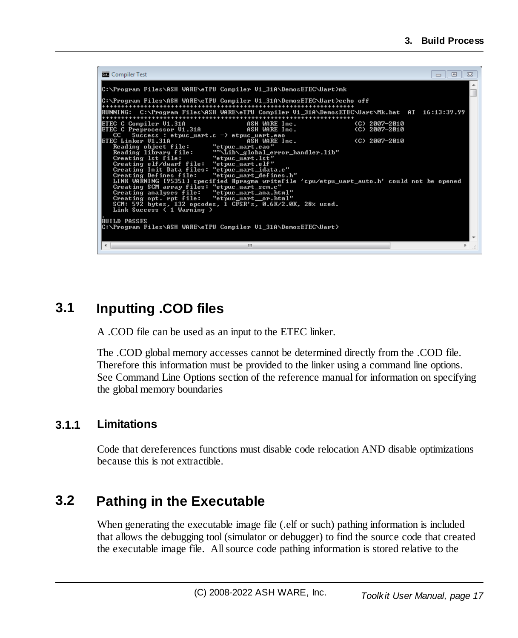| <b>But</b> Compiler Test                                                                                                                                                                                                                                                                                                                                                                                                                                                                                                                                                                                                                                                                                                                                                                                                                                                                                                                                                                                                                                                                 | $\Box$<br>$\Box$ |
|------------------------------------------------------------------------------------------------------------------------------------------------------------------------------------------------------------------------------------------------------------------------------------------------------------------------------------------------------------------------------------------------------------------------------------------------------------------------------------------------------------------------------------------------------------------------------------------------------------------------------------------------------------------------------------------------------------------------------------------------------------------------------------------------------------------------------------------------------------------------------------------------------------------------------------------------------------------------------------------------------------------------------------------------------------------------------------------|------------------|
|                                                                                                                                                                                                                                                                                                                                                                                                                                                                                                                                                                                                                                                                                                                                                                                                                                                                                                                                                                                                                                                                                          |                  |
| C:\Program Files\ASH WARE\eTPU Compiler U1_31A\DemosETEC\Uart>echo off<br>RUNNING:  C:\Program Files\ASH WARE\eTPU Compiler U1_31A\DemosETEC\Uart\Mk.bat  AT  16:13:39.99<br>ETEC C Compiler V1.31A<br>(C) 2007-2010<br>ASH WARE Inc.<br>ETEC C Preprocessor V1.31A<br>ASH WARE Inc.<br>$(C)$ 2007-2010<br>Success: etpuc_uart.c $\rightarrow$ etpuc_uart.eao<br>CC<br>ETEC Linker U1.31A<br>ASH WARE Inc.<br>(C) 2007-2010<br>Reading object file:<br>"etpuc_uart.eao"<br>""\Lib\_global_error_handler.lib"<br>Reading library file:<br>Creating 1st file:<br>"etpuc_uart.lst"<br>Creating elf/dwarf file:<br>"etpuc_uart.elf"<br>Creating Init Data files: "etpuc_uart_idata.c"<br>Creating Defines file:<br>"etpuc_uart_defines.h"<br>LINK WARNING [95351] specified #pragma writefile 'cpu/etpu_uart_auto.h' could not be opened<br>Creating SCM array files: "etpuc_uart_scm.c"<br>Creating analyses file:<br>"etpuc_uart_ana.html"<br>"etpuc_uart_or.html"<br>Creating opt. rpt file:<br>SCM: 592 bytes, 132 opcodes, 1 CFSR's, 0.6K/2.0K, 28% used.<br>Link Success ( 1 Warning ) |                  |
| <b>BUILD PASSES</b><br> C:\Program Files\ASH WARE\eTPU Compiler U1_31A\DemosETEC\Uart>                                                                                                                                                                                                                                                                                                                                                                                                                                                                                                                                                                                                                                                                                                                                                                                                                                                                                                                                                                                                   |                  |
| Ш<br>∢                                                                                                                                                                                                                                                                                                                                                                                                                                                                                                                                                                                                                                                                                                                                                                                                                                                                                                                                                                                                                                                                                   |                  |

## <span id="page-16-0"></span>**3.1 Inputting .COD files**

A .COD file can be used as an input to the ETEC linker.

The .COD global memory accesses cannot be determined directly from the .COD file. Therefore this information must be provided to the linker using a command line options. See Command Line Options section of the reference manual for information on specifying the global memory boundaries

#### <span id="page-16-1"></span>**3.1.1 Limitations**

Code that dereferences functions must disable code relocation AND disable optimizations because this is not extractible.

# <span id="page-16-2"></span>**3.2 Pathing in the Executable**

When generating the executable image file (.elf or such) pathing information is included that allows the debugging tool (simulator or debugger) to find the source code that created the executable image file. Allsource code pathing information is stored relative to the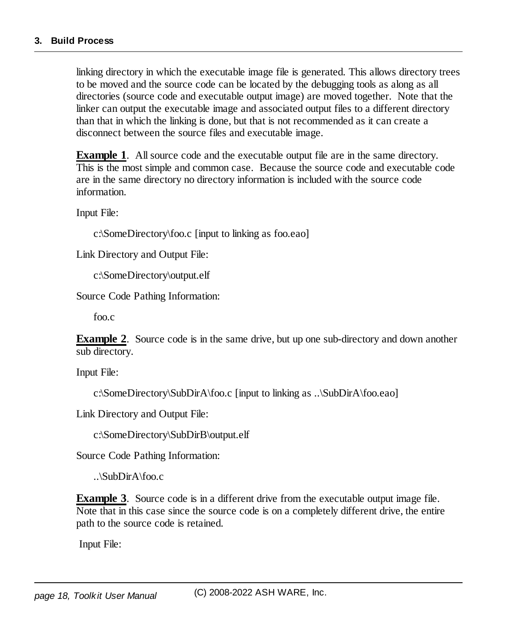linking directory in which the executable image file is generated. This allows directory trees to be moved and the source code can be located by the debugging tools as along as all directories (source code and executable output image) are moved together. Note that the linker can output the executable image and associated output files to a different directory than that in which the linking is done, but that is not recommended as it can create a disconnect between the source files and executable image.

**Example 1.** All source code and the executable output file are in the same directory. This is the most simple and common case. Because the source code and executable code are in the same directory no directory information is included with the source code information.

Input File:

c:\SomeDirectory\foo.c [input to linking as foo.eao]

Link Directory and Output File:

c:\SomeDirectory\output.elf

Source Code Pathing Information:

foo.c

**Example** 2. Source code is in the same drive, but up one sub-directory and down another sub directory.

Input File:

```
c:\SomeDirectory\SubDirA\foo.c [input to linking as ..\SubDirA\foo.eao]
```
Link Directory and Output File:

c:\SomeDirectory\SubDirB\output.elf

Source Code Pathing Information:

..\SubDirA\foo.c

**Example** 3. Source code is in a different drive from the executable output image file. Note that in this case since the source code is on a completely different drive, the entire path to the source code is retained.

Input File: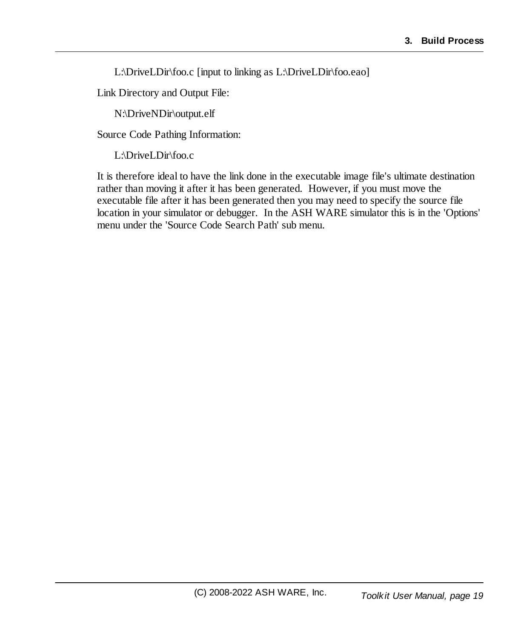L:\DriveLDir\foo.c [input to linking as L:\DriveLDir\foo.eao]

Link Directory and Output File:

N:\DriveNDir\output.elf

Source Code Pathing Information:

L:\DriveLDir\foo.c

It is therefore ideal to have the link done in the executable image file's ultimate destination rather than moving it after it has been generated. However, if you must move the executable file after it has been generated then you may need to specify the source file location in your simulator or debugger. In the ASH WARE simulator this is in the 'Options' menu under the 'Source Code Search Path' sub menu.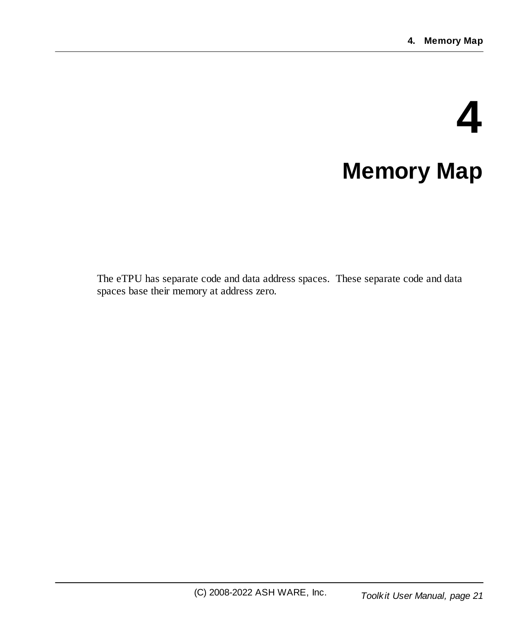# **4 Memory Map**

<span id="page-20-0"></span>The eTPU has separate code and data address spaces. These separate code and data spaces base their memory at address zero.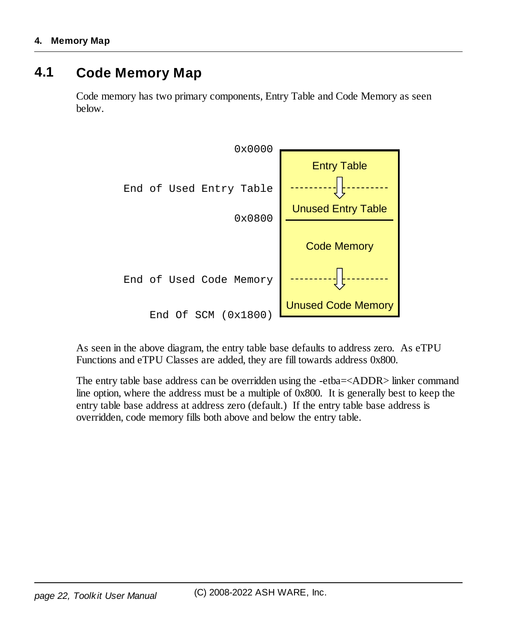### <span id="page-21-0"></span>**4.1 Code Memory Map**

Code memory has two primary components, Entry Table and Code Memory as seen below.



As seen in the above diagram, the entry table base defaults to address zero. As eTPU Functions and eTPU Classes are added, they are fill towards address 0x800.

The entry table base address can be overridden using the -etba=<ADDR> linker command line option, where the address must be a multiple of 0x800. It is generally best to keep the entry table base address at address zero (default.) If the entry table base address is overridden, code memory fills both above and below the entry table.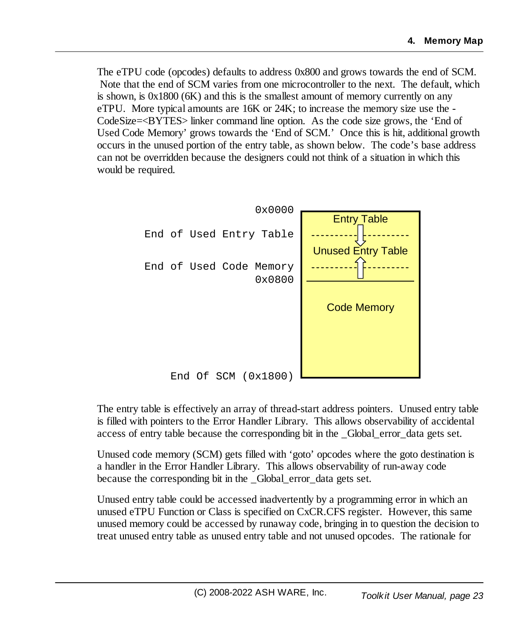The eTPU code (opcodes) defaults to address 0x800 and grows towards the end of SCM. Note that the end of SCM varies from one microcontroller to the next. The default, which is shown, is  $0x1800$  (6K) and this is the smallest amount of memory currently on any eTPU. More typical amounts are 16K or 24K; to increase the memory size use the - CodeSize=<BYTES> linker command line option. As the code size grows, the 'End of Used Code Memory' grows towards the 'End of SCM.' Once this is hit, additional growth occurs in the unused portion of the entry table, as shown below. The code's base address can not be overridden because the designers could not think of a situation in which this would be required.



The entry table is effectively an array of thread-start address pointers. Unused entry table is filled with pointers to the Error Handler Library. This allows observability of accidental access of entry table because the corresponding bit in the \_Global\_error\_data gets set.

Unused code memory (SCM) gets filled with 'goto' opcodes where the goto destination is a handler in the Error Handler Library. This allows observability of run-away code because the corresponding bit in the Global error data gets set.

Unused entry table could be accessed inadvertently by a programming error in which an unused eTPU Function or Class is specified on CxCR.CFS register. However, this same unused memory could be accessed by runaway code, bringing in to question the decision to treat unused entry table as unused entry table and not unused opcodes. The rationale for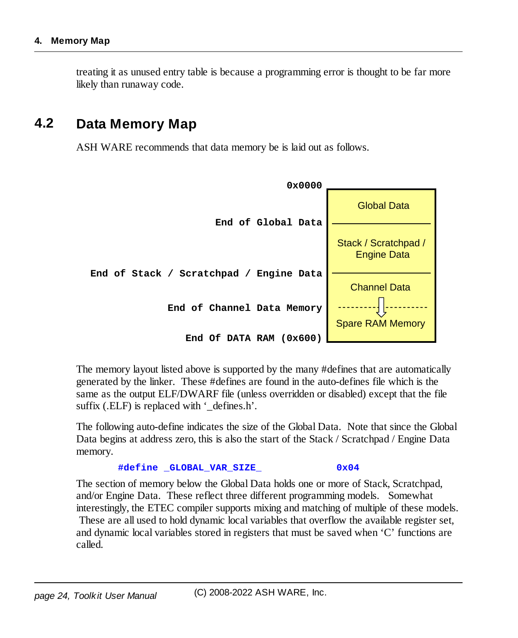treating it as unused entry table is because a programming error is thought to be far more likely than runaway code.

### <span id="page-23-0"></span>**4.2 Data Memory Map**

ASH WARE recommends that data memory be is laid out as follows.



The memory layout listed above is supported by the many #defines that are automatically generated by the linker. These #defines are found in the auto-defines file which is the same as the output ELF/DWARF file (unless overridden or disabled) except that the file suffix (.ELF) is replaced with '\_defines.h'.

The following auto-define indicates the size of the Global Data. Note that since the Global Data begins at address zero, this is also the start of the Stack / Scratchpad / Engine Data memory.

```
#define _GLOBAL_VAR_SIZE_ 0x04
```
The section of memory below the Global Data holds one or more of Stack, Scratchpad, and/or Engine Data. These reflect three different programming models. Somewhat interestingly, the ETEC compiler supports mixing and matching of multiple of these models. These are all used to hold dynamic local variables that overflow the available register set, and dynamic local variables stored in registers that must be saved when 'C' functions are called.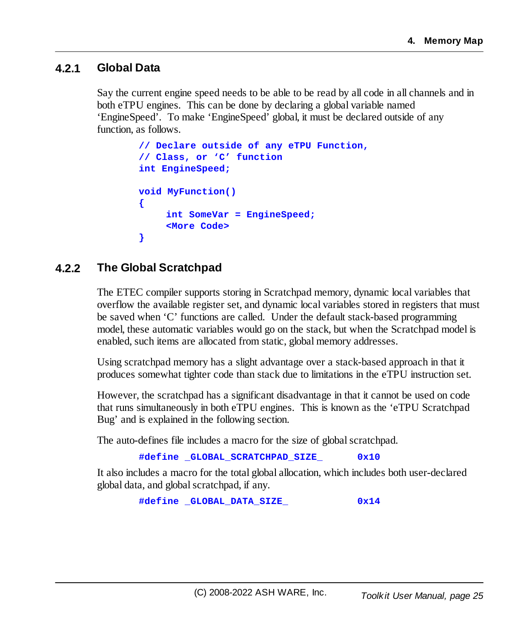#### <span id="page-24-0"></span>**4.2.1 Global Data**

Say the current engine speed needs to be able to be read by all code in all channels and in both eTPU engines. This can be done by declaring a global variable named 'EngineSpeed'. To make 'EngineSpeed' global, it must be declared outside of any function, as follows.

```
// Declare outside of any eTPU Function,
// Class, or 'C' function
int EngineSpeed;
void MyFunction()
{
     int SomeVar = EngineSpeed;
    <More Code>
}
```
#### <span id="page-24-1"></span>**4.2.2 The Global Scratchpad**

The ETEC compiler supports storing in Scratchpad memory, dynamic local variables that overflow the available register set, and dynamic local variables stored in registers that must be saved when 'C' functions are called. Under the default stack-based programming model, these automatic variables would go on the stack, but when the Scratchpad model is enabled, such items are allocated from static, global memory addresses.

Using scratchpad memory has a slight advantage over a stack-based approach in that it produces somewhat tighter code than stack due to limitations in the eTPU instruction set.

However, the scratchpad has a significant disadvantage in that it cannot be used on code that runs simultaneously in both eTPU engines. This is known as the 'eTPU Scratchpad Bug' and is explained in the following section.

The auto-defines file includes a macro for the size of global scratchpad.

**#define \_GLOBAL\_SCRATCHPAD\_SIZE\_ 0x10**

It also includes a macro for the total global allocation, which includes both user-declared global data, and globalscratchpad, if any.

**#define \_GLOBAL\_DATA\_SIZE\_ 0x14**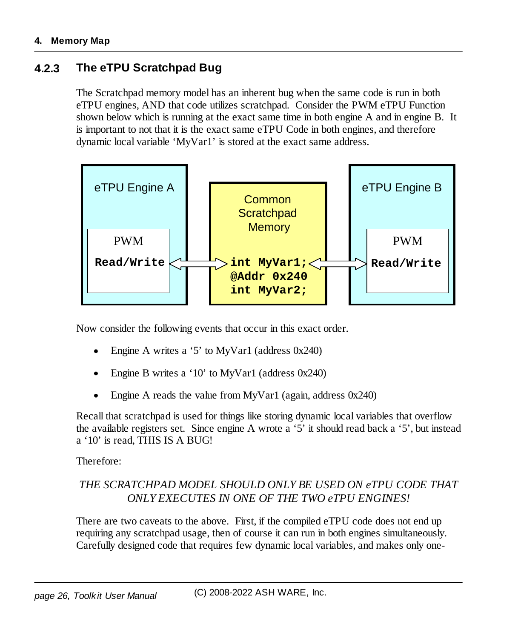#### <span id="page-25-0"></span>**4.2.3 The eTPU Scratchpad Bug**

The Scratchpad memory model has an inherent bug when the same code is run in both eTPU engines, AND that code utilizes scratchpad. Consider the PWM eTPU Function shown below which is running at the exact same time in both engine A and in engine B. It is important to not that it is the exact same eTPU Code in both engines, and therefore dynamic local variable 'MyVar1' is stored at the exact same address.



Now consider the following events that occur in this exact order.

- ·Engine A writes a '5' to MyVar1 (address 0x240)
- ·Engine B writes a '10' to MyVar1 (address 0x240)
- ·Engine A reads the value from MyVar1 (again, address 0x240)

Recall that scratchpad is used for things like storing dynamic local variables that overflow the available registers set. Since engine A wrote a '5' it should read back a '5', but instead a '10' is read, THIS IS A BUG!

Therefore:

#### *THE SCRATCHPAD MODEL SHOULD ONLY BE USED ON eTPU CODE THAT ONLY EXECUTES IN ONE OF THE TWO eTPU ENGINES!*

There are two caveats to the above. First, if the compiled eTPU code does not end up requiring any scratchpad usage, then of course it can run in both engines simultaneously. Carefully designed code that requires few dynamic local variables, and makes only one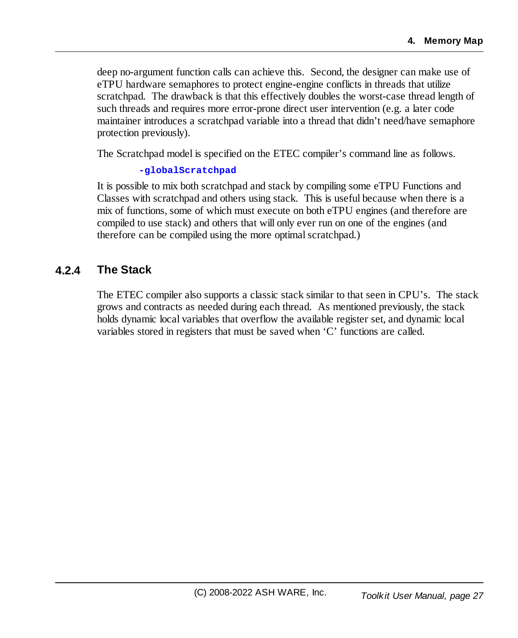deep no-argument function calls can achieve this. Second, the designer can make use of eTPU hardware semaphores to protect engine-engine conflicts in threads that utilize scratchpad. The drawback is that this effectively doubles the worst-case thread length of such threads and requires more error-prone direct user intervention (e.g. a later code maintainer introduces a scratchpad variable into a thread that didn't need/have semaphore protection previously).

The Scratchpad model is specified on the ETEC compiler's command line as follows.

#### **-globalScratchpad**

It is possible to mix both scratchpad and stack by compiling some eTPU Functions and Classes with scratchpad and others using stack. This is useful because when there is a mix of functions, some of which must execute on both eTPU engines (and therefore are compiled to use stack) and others that will only ever run on one of the engines (and therefore can be compiled using the more optimal scratchpad.)

#### <span id="page-26-0"></span>**4.2.4 The Stack**

The ETEC compiler also supports a classic stack similar to that seen in CPU's. The stack grows and contracts as needed during each thread. As mentioned previously, the stack holds dynamic local variables that overflow the available register set, and dynamic local variables stored in registers that must be saved when 'C' functions are called.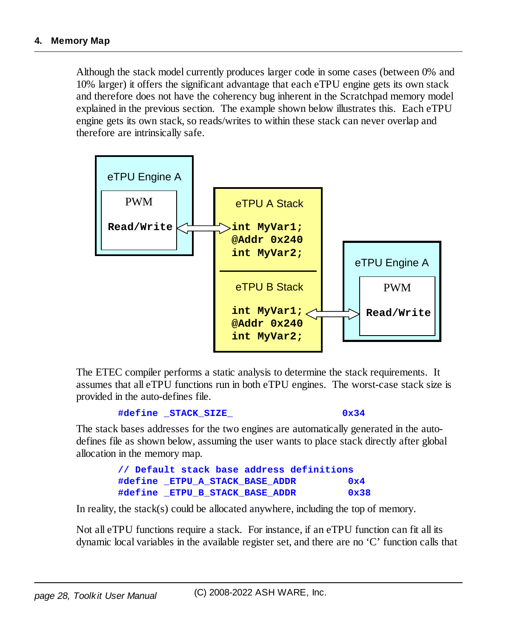Although the stack model currently produces larger code in some cases (between 0% and 10% larger) it offers the significant advantage that each eTPU engine gets its own stack and therefore does not have the coherency bug inherent in the Scratchpad memory model explained in the previous section. The example shown below illustrates this. Each eTPU engine gets its own stack, so reads/writes to within these stack can never overlap and therefore are intrinsically safe.



The ETEC compiler performs a static analysis to determine the stack requirements. It assumes that all eTPU functions run in both eTPU engines. The worst-case stack size is provided in the auto-defines file.

```
#define _STACK_SIZE_ 0x34
```
The stack bases addresses for the two engines are automatically generated in the autodefines file as shown below, assuming the user wants to place stack directly after global allocation in the memory map.

```
// Default stack base address definitions
#define _ETPU_A_STACK_BASE_ADDR 0x4
#define _ETPU_B_STACK_BASE_ADDR 0x38
```
In reality, the stack(s) could be allocated anywhere, including the top of memory.

Not all eTPU functions require a stack. For instance, if an eTPU function can fit all its dynamic local variables in the available register set, and there are no 'C' function calls that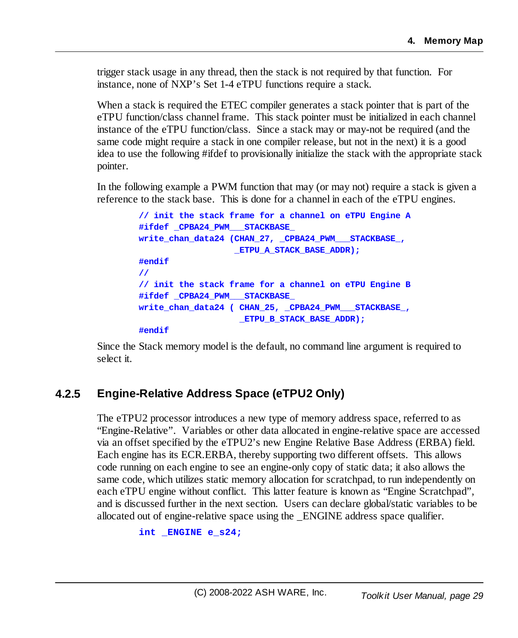trigger stack usage in any thread, then the stack is not required by that function. For instance, none of NXP's Set 1-4 eTPU functions require a stack.

When a stack is required the ETEC compiler generates a stack pointer that is part of the eTPU function/class channel frame. This stack pointer must be initialized in each channel instance of the eTPU function/class. Since a stack may or may-not be required (and the same code might require a stack in one compiler release, but not in the next) it is a good idea to use the following #ifdef to provisionally initialize the stack with the appropriate stack pointer.

In the following example a PWM function that may (or may not) require a stack is given a reference to the stack base. This is done for a channel in each of the eTPU engines.

```
// init the stack frame for a channel on eTPU Engine A
#ifdef _CPBA24_PWM___STACKBASE_
write_chan_data24 (CHAN_27, _CPBA24_PWM___STACKBASE_,
                   _ETPU_A_STACK_BASE_ADDR);
#endif
//
// init the stack frame for a channel on eTPU Engine B
#ifdef _CPBA24_PWM___STACKBASE_
write_chan_data24 ( CHAN_25, _CPBA24_PWM___STACKBASE_,
                    _ETPU_B_STACK_BASE_ADDR);
#endif
```
Since the Stack memory model is the default, no command line argument is required to select it.

#### <span id="page-28-0"></span>**4.2.5 Engine-Relative Address Space (eTPU2 Only)**

The eTPU2 processor introduces a new type of memory address space, referred to as "Engine-Relative". Variables or other data allocated in engine-relative space are accessed via an offset specified by the eTPU2's new Engine Relative Base Address (ERBA) field. Each engine has its ECR.ERBA, thereby supporting two different offsets. This allows code running on each engine to see an engine-only copy of static data; it also allows the same code, which utilizes static memory allocation for scratchpad, to run independently on each eTPU engine without conflict. This latter feature is known as "Engine Scratchpad", and is discussed further in the next section. Users can declare global/static variables to be allocated out of engine-relative space using the \_ENGINE address space qualifier.

```
int _ENGINE e_s24;
```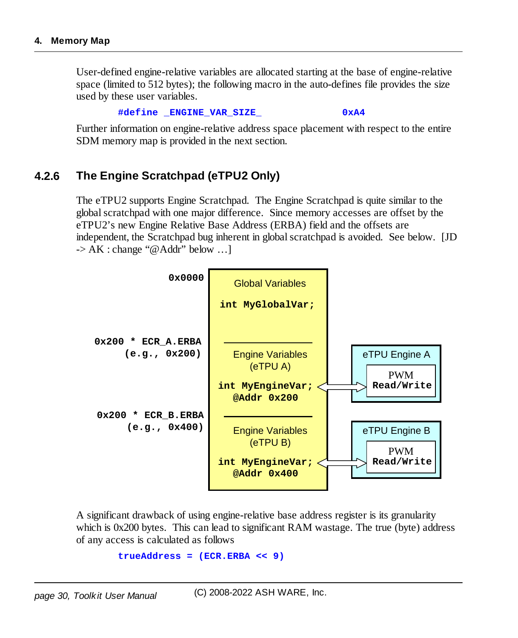User-defined engine-relative variables are allocated starting at the base of engine-relative space (limited to 512 bytes); the following macro in the auto-defines file provides the size used by these user variables.

**#define \_ENGINE\_VAR\_SIZE\_ 0xA4**

Further information on engine-relative address space placement with respect to the entire SDM memory map is provided in the next section.

#### <span id="page-29-0"></span>**4.2.6 The Engine Scratchpad (eTPU2 Only)**

The eTPU2 supports Engine Scratchpad. The Engine Scratchpad is quite similar to the globalscratchpad with one major difference. Since memory accesses are offset by the eTPU2's new Engine Relative Base Address (ERBA) field and the offsets are independent, the Scratchpad bug inherent in globalscratchpad is avoided. See below. [JD  $\rightarrow AK:$  change "@Addr" below ...



A significant drawback of using engine-relative base address register is its granularity which is 0x200 bytes. This can lead to significant RAM wastage. The true (byte) address of any access is calculated as follows

```
trueAddress = (ECR.ERBA << 9)
```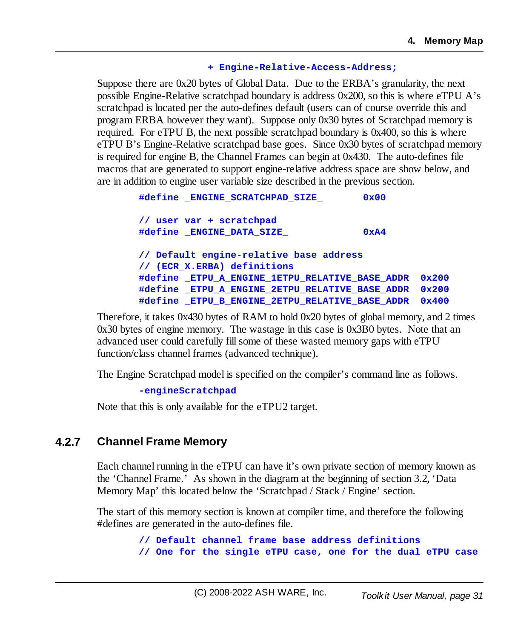#### **+ Engine-Relative-Access-Address;**

Suppose there are 0x20 bytes of Global Data. Due to the ERBA's granularity, the next possible Engine-Relative scratchpad boundary is address 0x200, so this is where eTPU A's scratchpad is located per the auto-defines default (users can of course override this and program ERBA however they want). Suppose only 0x30 bytes of Scratchpad memory is required. For eTPU B, the next possible scratchpad boundary is 0x400, so this is where eTPU B's Engine-Relative scratchpad base goes. Since 0x30 bytes of scratchpad memory is required for engine B, the Channel Frames can begin at 0x430. The auto-defines file macros that are generated to support engine-relative address space are show below, and are in addition to engine user variable size described in the previous section.

```
#define _ENGINE_SCRATCHPAD_SIZE_ 0x00
// user var + scratchpad
#define _ENGINE_DATA_SIZE_ 0xA4
// Default engine-relative base address
// (ECR_X.ERBA) definitions
#define _ETPU_A_ENGINE_1ETPU_RELATIVE_BASE_ADDR 0x200
#define _ETPU_A_ENGINE_2ETPU_RELATIVE_BASE_ADDR 0x200
#define _ETPU_B_ENGINE_2ETPU_RELATIVE_BASE_ADDR 0x400
```
Therefore, it takes 0x430 bytes of RAM to hold 0x20 bytes of global memory, and 2 times 0x30 bytes of engine memory. The wastage in this case is 0x3B0 bytes. Note that an advanced user could carefully fillsome of these wasted memory gaps with eTPU function/class channel frames (advanced technique).

The Engine Scratchpad model is specified on the compiler's command line as follows.

**-engineScratchpad**

Note that this is only available for the eTPU2 target.

#### <span id="page-30-0"></span>**4.2.7 Channel Frame Memory**

Each channel running in the eTPU can have it's own private section of memory known as the 'Channel Frame.' As shown in the diagram at the beginning of section 3.2, 'Data Memory Map' this located below the 'Scratchpad / Stack / Engine' section.

The start of this memory section is known at compiler time, and therefore the following #defines are generated in the auto-defines file.

> **// Default channel frame base address definitions // One for the single eTPU case, one for the dual eTPU case**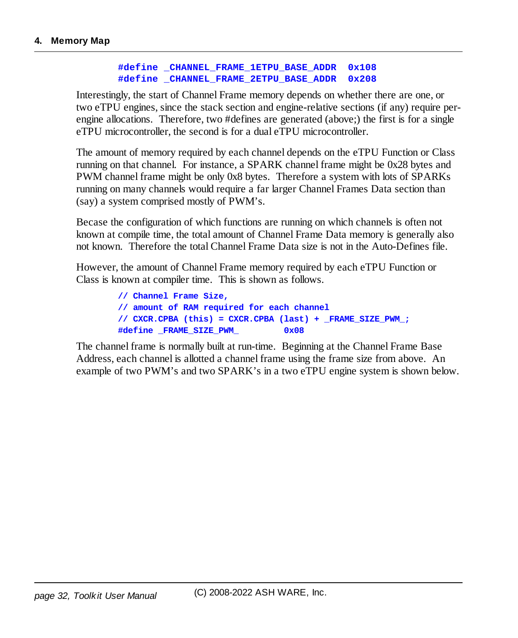#### **#define \_CHANNEL\_FRAME\_1ETPU\_BASE\_ADDR 0x108 #define \_CHANNEL\_FRAME\_2ETPU\_BASE\_ADDR 0x208**

Interestingly, the start of Channel Frame memory depends on whether there are one, or two eTPU engines, since the stack section and engine-relative sections (if any) require perengine allocations. Therefore, two #defines are generated (above;) the first is for a single eTPU microcontroller, the second is for a dual eTPU microcontroller.

The amount of memory required by each channel depends on the eTPU Function or Class running on that channel. For instance, a SPARK channel frame might be 0x28 bytes and PWM channel frame might be only 0x8 bytes. Therefore a system with lots of SPARKs running on many channels would require a far larger Channel Frames Data section than (say) a system comprised mostly of PWM's.

Becase the configuration of which functions are running on which channels is often not known at compile time, the total amount of Channel Frame Data memory is generally also not known. Therefore the total Channel Frame Data size is not in the Auto-Defines file.

However, the amount of Channel Frame memory required by each eTPU Function or Class is known at compiler time. This is shown as follows.

> **// Channel Frame Size, // amount of RAM required for each channel // CXCR.CPBA (this) = CXCR.CPBA (last) + \_FRAME\_SIZE\_PWM\_; #define \_FRAME\_SIZE\_PWM\_ 0x08**

The channel frame is normally built at run-time. Beginning at the Channel Frame Base Address, each channel is allotted a channel frame using the frame size from above. An example of two PWM's and two SPARK's in a two eTPU engine system is shown below.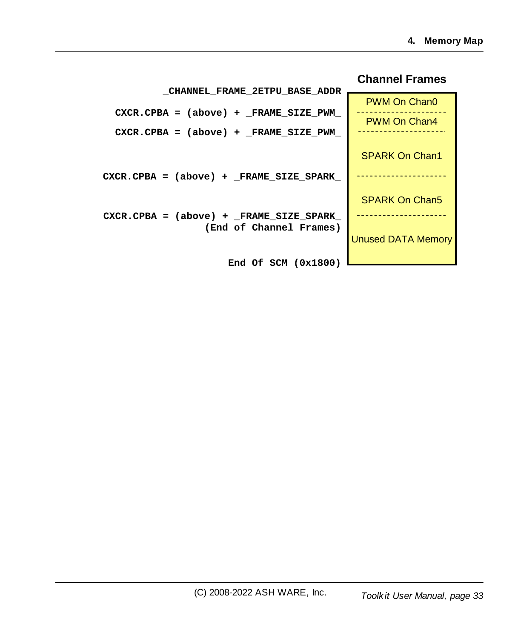|                                          | Gnannel Franjes           |
|------------------------------------------|---------------------------|
| <b>CHANNEL FRAME 2ETPU BASE ADDR</b>     | PWM On Chan0              |
| $CXCR.CPBA = (above) + FRAME_SIZE.PWM$   | PWM On Chan4              |
| $CXCR.CPBA = (above) + FRAME_SIZE_PWM$   |                           |
|                                          | <b>SPARK On Chan1</b>     |
| $CXCR.CPBA = (above) + FRAME_SIZE SPARK$ |                           |
|                                          | <b>SPARK On Chan5</b>     |
| $CXCR.CPBA = (above) + FRAME SIZE SPARK$ |                           |
| (End of Channel Frames)                  | <b>Unused DATA Memory</b> |
| End Of SCM $(0x1800)$                    |                           |

#### **Channel Frames**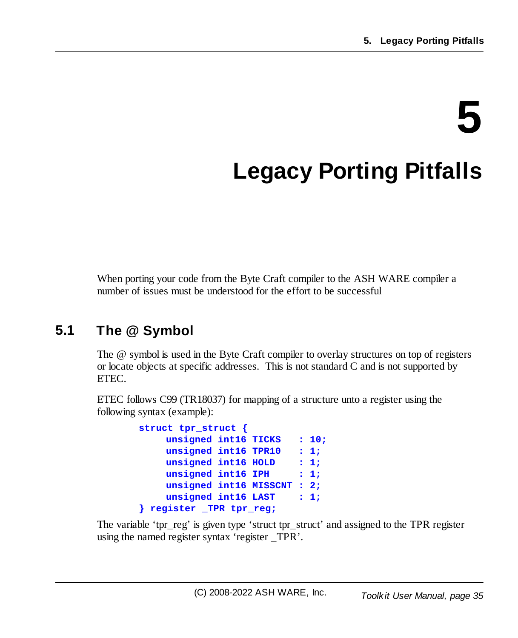# **5**

# <span id="page-34-0"></span>**Legacy Porting Pitfalls**

When porting your code from the Byte Craft compiler to the ASH WARE compiler a number of issues must be understood for the effort to be successful

# <span id="page-34-1"></span>**5.1 The @ Symbol**

The @ symbol is used in the Byte Craft compiler to overlay structures on top of registers or locate objects at specific addresses. This is not standard C and is not supported by ETEC.

ETEC follows C99 (TR18037) for mapping of a structure unto a register using the following syntax (example):

```
struct tpr_struct {
    unsigned int16 TICKS : 10;
    unsigned int16 TPR10 : 1;
    unsigned int16 HOLD : 1;
    unsigned int16 IPH : 1;
    unsigned int16 MISSCNT : 2;
    unsigned int16 LAST : 1;
} register _TPR tpr_reg;
```
The variable 'tpr\_reg' is given type 'struct tpr\_struct' and assigned to the TPR register using the named register syntax 'register \_TPR'.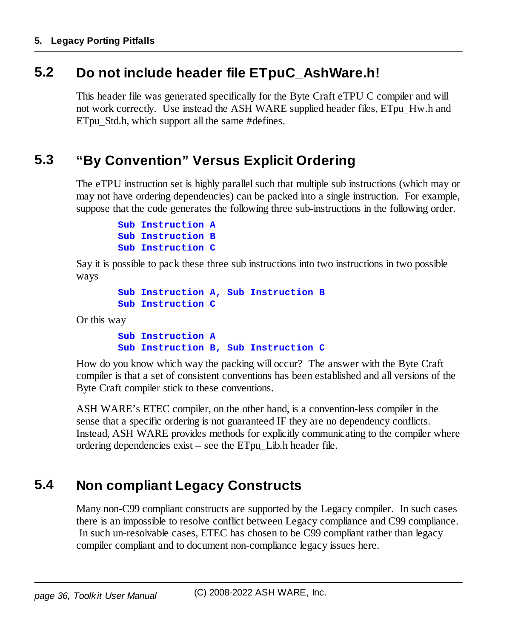### <span id="page-35-0"></span>**5.2 Do not include header file ETpuC\_AshWare.h!**

This header file was generated specifically for the Byte Craft eTPU C compiler and will not work correctly. Use instead the ASH WARE supplied header files, ETpu\_Hw.h and ETpu Std.h, which support all the same #defines.

## <span id="page-35-1"></span>**5.3 "By Convention" Versus Explicit Ordering**

The eTPU instruction set is highly parallel such that multiple sub instructions (which may or may not have ordering dependencies) can be packed into a single instruction. For example, suppose that the code generates the following three sub-instructions in the following order.

```
Sub Instruction A
Sub Instruction B
Sub Instruction C
```
Say it is possible to pack these three sub instructions into two instructions in two possible ways

```
Sub Instruction A, Sub Instruction B
Sub Instruction C
```
Or this way

**Sub Instruction A Sub Instruction B, Sub Instruction C**

How do you know which way the packing will occur? The answer with the Byte Craft compiler is that a set of consistent conventions has been established and all versions of the Byte Craft compiler stick to these conventions.

ASH WARE's ETEC compiler, on the other hand, is a convention-less compiler in the sense that a specific ordering is not guaranteed IF they are no dependency conflicts. Instead, ASH WARE provides methods for explicitly communicating to the compiler where ordering dependencies exist – see the ETpu\_Lib.h header file.

## <span id="page-35-2"></span>**5.4 Non compliant Legacy Constructs**

Many non-C99 compliant constructs are supported by the Legacy compiler. In such cases there is an impossible to resolve conflict between Legacy compliance and C99 compliance. In such un-resolvable cases, ETEC has chosen to be C99 compliant rather than legacy compiler compliant and to document non-compliance legacy issues here.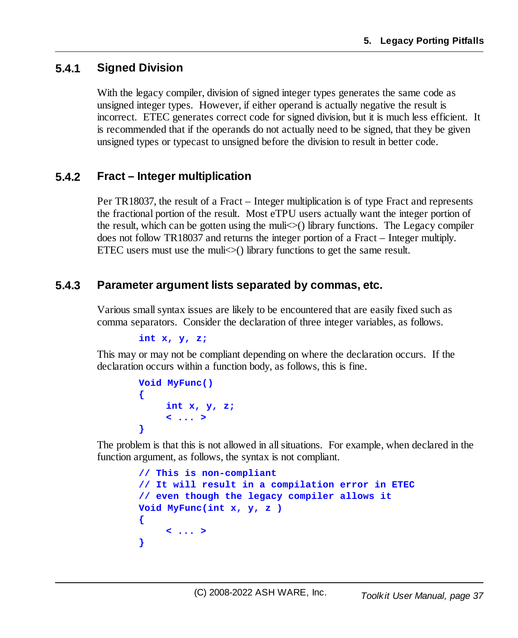# **5.4.1 Signed Division**

With the legacy compiler, division of signed integer types generates the same code as unsigned integer types. However, if either operand is actually negative the result is incorrect. ETEC generates correct code for signed division, but it is much less efficient. It is recommended that if the operands do not actually need to be signed, that they be given unsigned types or typecast to unsigned before the division to result in better code.

#### **5.4.2 Fract – Integer multiplication**

Per TR18037, the result of a Fract – Integer multiplication is of type Fract and represents the fractional portion of the result. Most eTPU users actually want the integer portion of the result, which can be gotten using the muli $\diamond$ () library functions. The Legacy compiler does not follow TR18037 and returns the integer portion of a Fract – Integer multiply. ETEC users must use the muli $\ll$ ) library functions to get the same result.

#### **5.4.3 Parameter argument lists separated by commas, etc.**

Various smallsyntax issues are likely to be encountered that are easily fixed such as comma separators. Consider the declaration of three integer variables, as follows.

```
int x, y, z;
```
This may or may not be compliant depending on where the declaration occurs. If the declaration occurs within a function body, as follows, this is fine.

```
Void MyFunc()
{
     int x, y, z;
     < ... >
}
```
The problem is that this is not allowed in allsituations. For example, when declared in the function argument, as follows, the syntax is not compliant.

```
// This is non-compliant
// It will result in a compilation error in ETEC
// even though the legacy compiler allows it
Void MyFunc(int x, y, z )
{
    < ... >
}
```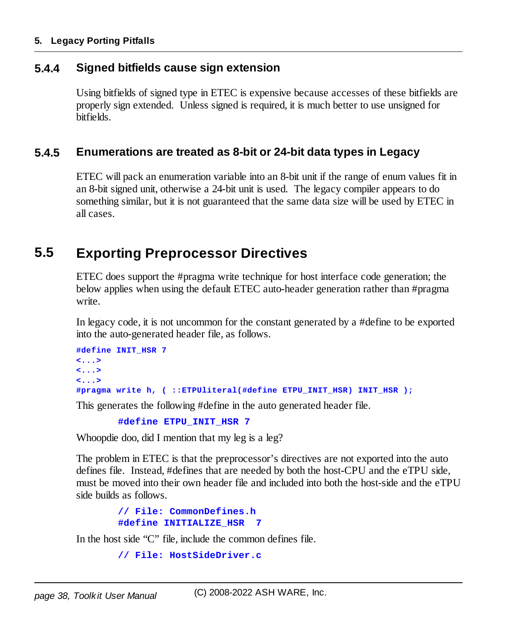#### **5. Legacy Porting Pitfalls**

#### **5.4.4 Signed bitfields cause sign extension**

Using bitfields of signed type in ETEC is expensive because accesses of these bitfields are properly sign extended. Unless signed is required, it is much better to use unsigned for bitfields.

#### **5.4.5 Enumerations are treated as 8-bit or 24-bit data types in Legacy**

ETEC will pack an enumeration variable into an 8-bit unit if the range of enum values fit in an 8-bit signed unit, otherwise a 24-bit unit is used. The legacy compiler appears to do something similar, but it is not guaranteed that the same data size will be used by ETEC in all cases.

# **5.5 Exporting Preprocessor Directives**

ETEC does support the #pragma write technique for host interface code generation; the below applies when using the default ETEC auto-header generation rather than #pragma write.

In legacy code, it is not uncommon for the constant generated by a #define to be exported into the auto-generated header file, as follows.

```
#define INIT_HSR 7
<...>
<...>
<...>
#pragma write h, ( ::ETPUliteral(#define ETPU_INIT_HSR) INIT_HSR );
```
This generates the following #define in the auto generated header file.

```
#define ETPU_INIT_HSR 7
```
Whoopdie doo, did I mention that my leg is a leg?

The problem in ETEC is that the preprocessor's directives are not exported into the auto defines file. Instead, #defines that are needed by both the host-CPU and the eTPU side, must be moved into their own header file and included into both the host-side and the eTPU side builds as follows.

```
// File: CommonDefines.h
#define INITIALIZE_HSR 7
```
In the host side "C" file, include the common defines file.

```
// File: HostSideDriver.c
```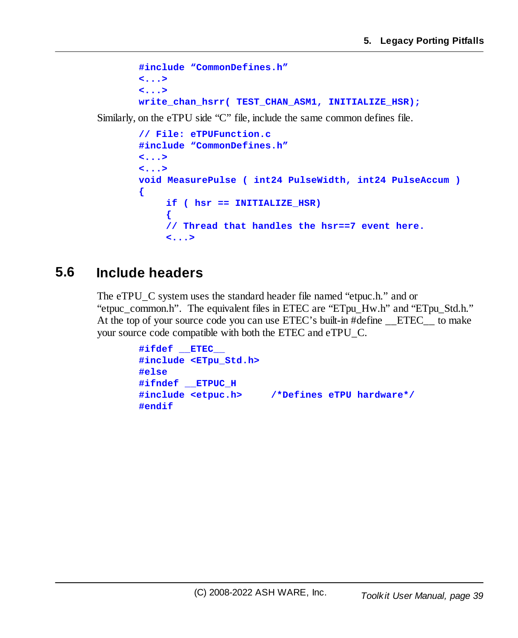```
#include "CommonDefines.h"
<...>
<...>
write_chan_hsrr( TEST_CHAN_ASM1, INITIALIZE_HSR);
```
Similarly, on the eTPU side "C" file, include the same common defines file.

```
// File: eTPUFunction.c
#include "CommonDefines.h"
<...>
<...>
void MeasurePulse ( int24 PulseWidth, int24 PulseAccum )
{
    if ( hsr == INITIALIZE_HSR)
     {
    // Thread that handles the hsr==7 event here.
    <...>
```
# **5.6 Include headers**

The eTPU\_C system uses the standard header file named "etpuc.h." and or "etpuc\_common.h". The equivalent files in ETEC are "ETpu\_Hw.h" and "ETpu\_Std.h." At the top of your source code you can use ETEC's built-in #define ETEC to make your source code compatible with both the ETEC and eTPU\_C.

```
#ifdef __ETEC__
#include <ETpu_Std.h>
#else
#ifndef __ETPUC_H
#include <etpuc.h> /*Defines eTPU hardware*/
#endif
```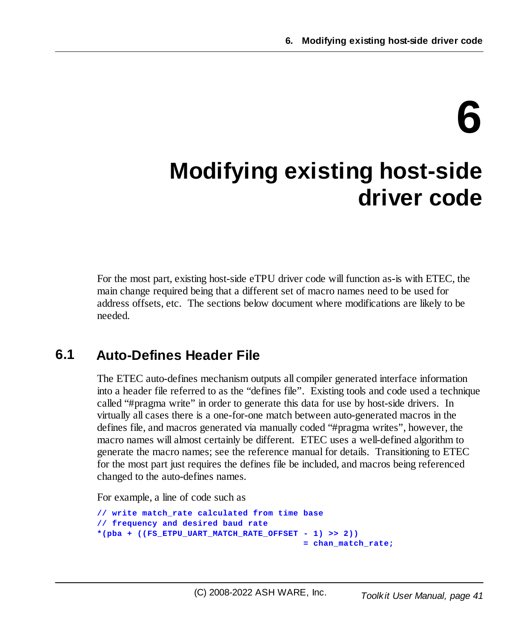# **6**

# **Modifying existing host-side driver code**

For the most part, existing host-side eTPU driver code will function as-is with ETEC, the main change required being that a different set of macro names need to be used for address offsets, etc. The sections below document where modifications are likely to be needed.

# **6.1 Auto-Defines Header File**

The ETEC auto-defines mechanism outputs all compiler generated interface information into a header file referred to as the "defines file". Existing tools and code used a technique called "#pragma write" in order to generate this data for use by host-side drivers. In virtually all cases there is a one-for-one match between auto-generated macros in the defines file, and macros generated via manually coded "#pragma writes", however, the macro names will almost certainly be different. ETEC uses a well-defined algorithm to generate the macro names; see the reference manual for details. Transitioning to ETEC for the most part just requires the defines file be included, and macros being referenced changed to the auto-defines names.

For example, a line of code such as

```
// write match_rate calculated from time base
// frequency and desired baud rate
*(pba + ((FS_ETPU_UART_MATCH_RATE_OFFSET - 1) >> 2))
                                         = chan_match_rate;
```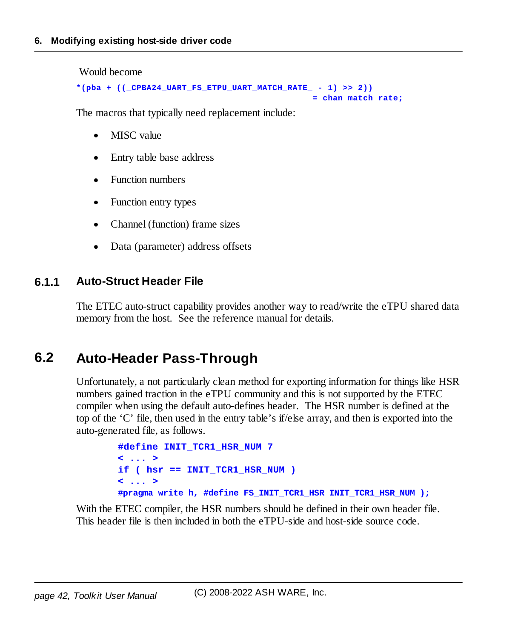Would become

```
*(pba + ((_CPBA24_UART_FS_ETPU_UART_MATCH_RATE_ - 1) >> 2))
                                               = chan_match_rate;
```
The macros that typically need replacement include:

- ·MISC value
- ·Entry table base address
- ·Function numbers
- ·Function entry types
- ·Channel (function) frame sizes
- ·Data (parameter) address offsets

#### **6.1.1 Auto-Struct Header File**

The ETEC auto-struct capability provides another way to read/write the eTPU shared data memory from the host. See the reference manual for details.

# **6.2 Auto-Header Pass-Through**

Unfortunately, a not particularly clean method for exporting information for things like HSR numbers gained traction in the eTPU community and this is not supported by the ETEC compiler when using the default auto-defines header. The HSR number is defined at the top of the 'C' file, then used in the entry table's if/else array, and then is exported into the auto-generated file, as follows.

```
#define INIT_TCR1_HSR_NUM 7
< ... >
if ( hsr == INIT_TCR1_HSR_NUM )
< ... >
#pragma write h, #define FS_INIT_TCR1_HSR INIT_TCR1_HSR_NUM );
```
With the ETEC compiler, the HSR numbers should be defined in their own header file. This header file is then included in both the eTPU-side and host-side source code.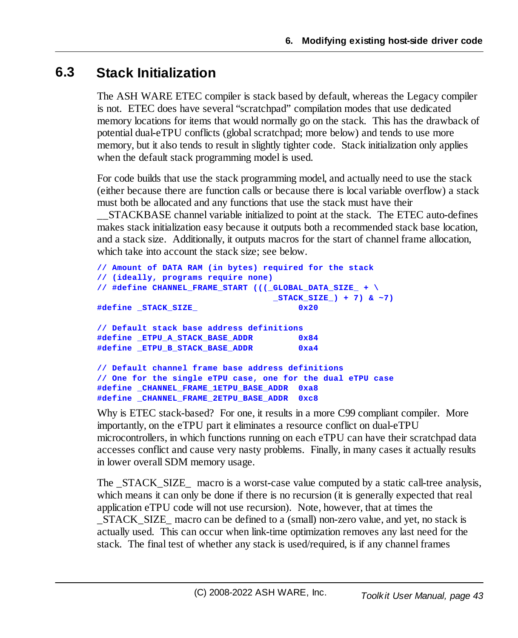# **6.3 Stack Initialization**

The ASH WARE ETEC compiler is stack based by default, whereas the Legacy compiler is not. ETEC does have several "scratchpad" compilation modes that use dedicated memory locations for items that would normally go on the stack. This has the drawback of potential dual-eTPU conflicts (globalscratchpad; more below) and tends to use more memory, but it also tends to result in slightly tighter code. Stack initialization only applies when the default stack programming model is used.

For code builds that use the stack programming model, and actually need to use the stack (either because there are function calls or because there is local variable overflow) a stack must both be allocated and any functions that use the stack must have their

\_\_STACKBASE channel variable initialized to point at the stack. The ETEC auto-defines makes stack initialization easy because it outputs both a recommended stack base location, and a stack size. Additionally, it outputs macros for the start of channel frame allocation, which take into account the stack size; see below.

```
// Amount of DATA RAM (in bytes) required for the stack
// (ideally, programs require none)
// #define CHANNEL_FRAME_START (((_GLOBAL_DATA_SIZE_ + \
                                 _STACK_SIZE_) + 7) & ~7)
#define _STACK_SIZE_ 0x20
// Default stack base address definitions
#define _ETPU_A_STACK_BASE_ADDR 0x84
#define _ETPU_B_STACK_BASE_ADDR 0xa4
// Default channel frame base address definitions
// One for the single eTPU case, one for the dual eTPU case
#define _CHANNEL_FRAME_1ETPU_BASE_ADDR 0xa8
#define _CHANNEL_FRAME_2ETPU_BASE_ADDR 0xc8
```
Why is ETEC stack-based? For one, it results in a more C99 compliant compiler. More importantly, on the eTPU part it eliminates a resource conflict on dual-eTPU microcontrollers, in which functions running on each eTPU can have their scratchpad data accesses conflict and cause very nasty problems. Finally, in many cases it actually results in lower overall SDM memory usage.

The \_STACK\_SIZE\_ macro is a worst-case value computed by a static call-tree analysis, which means it can only be done if there is no recursion (it is generally expected that real application eTPU code will not use recursion). Note, however, that at times the \_STACK\_SIZE\_ macro can be defined to a (small) non-zero value, and yet, no stack is actually used. This can occur when link-time optimization removes any last need for the stack. The final test of whether any stack is used/required, is if any channel frames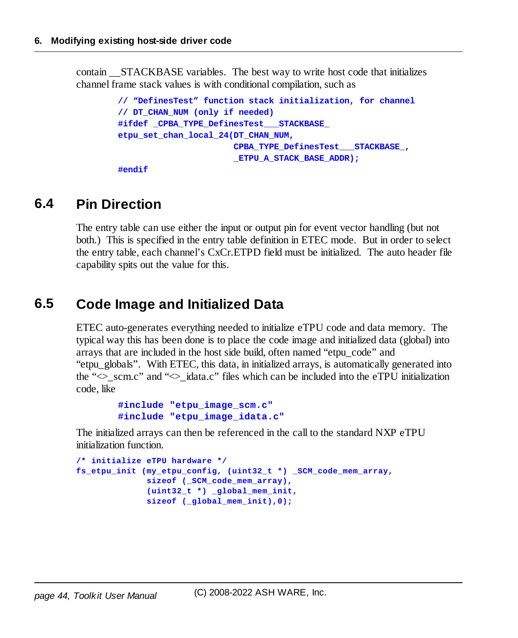contain **STACKBASE** variables. The best way to write host code that initializes channel frame stack values is with conditional compilation, such as

```
// "DefinesTest" function stack initialization, for channel
// DT_CHAN_NUM (only if needed)
#ifdef _CPBA_TYPE_DefinesTest___STACKBASE_
etpu_set_chan_local_24(DT_CHAN_NUM,
                       CPBA_TYPE_DefinesTest___STACKBASE_,
                       _ETPU_A_STACK_BASE_ADDR);
```
**#endif**

# **6.4 Pin Direction**

The entry table can use either the input or output pin for event vector handling (but not both.) This is specified in the entry table definition in ETEC mode. But in order to select the entry table, each channel's CxCr.ETPD field must be initialized. The auto header file capability spits out the value for this.

# **6.5 Code Image and Initialized Data**

ETEC auto-generates everything needed to initialize eTPU code and data memory. The typical way this has been done is to place the code image and initialized data (global) into arrays that are included in the host side build, often named "etpu\_code" and "etpu\_globals". With ETEC, this data, in initialized arrays, is automatically generated into the " $\leq$  scm.c" and " $\leq$  idata.c" files which can be included into the eTPU initialization code, like

```
#include "etpu_image_scm.c"
#include "etpu_image_idata.c"
```
The initialized arrays can then be referenced in the call to the standard NXP eTPU initialization function.

```
/* initialize eTPU hardware */
fs_etpu_init (my_etpu_config, (uint32_t *) _SCM_code_mem_array,
              sizeof (_SCM_code_mem_array),
              (uint32_t *) _global_mem_init,
              sizeof (_global_mem_init),0);
```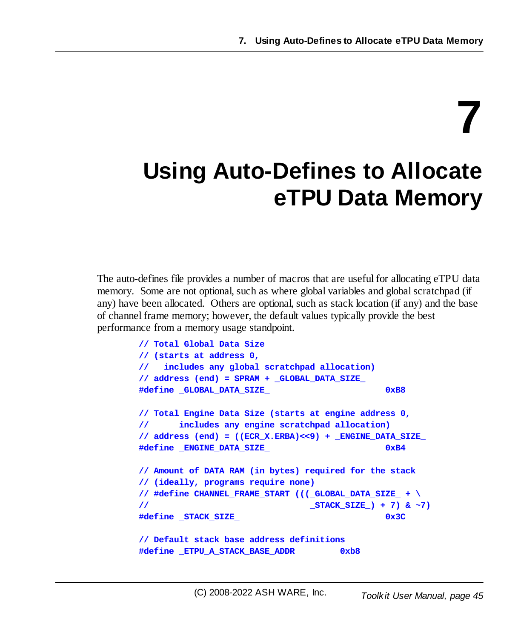# **7**

# **Using Auto-Defines to Allocate eTPU Data Memory**

The auto-defines file provides a number of macros that are useful for allocating eTPU data memory. Some are not optional, such as where global variables and global scratchpad (if any) have been allocated. Others are optional, such as stack location (if any) and the base of channel frame memory; however, the default values typically provide the best performance from a memory usage standpoint.

```
// Total Global Data Size
// (starts at address 0,
// includes any global scratchpad allocation)
// address (end) = SPRAM + _GLOBAL_DATA_SIZE_
#define _GLOBAL_DATA_SIZE_ 0xB8
// Total Engine Data Size (starts at engine address 0,
// includes any engine scratchpad allocation)
// address (end) = ((ECR_X.ERBA)<<9) + _ENGINE_DATA_SIZE_
#define _ENGINE_DATA_SIZE_ 0xB4
// Amount of DATA RAM (in bytes) required for the stack
// (ideally, programs require none)
// #define CHANNEL_FRAME_START (((_GLOBAL_DATA_SIZE_ + \
// _STACK_SIZE_) + 7) & ~7)
#define _STACK_SIZE_ 0x3C
// Default stack base address definitions
#define _ETPU_A_STACK_BASE_ADDR 0xb8
```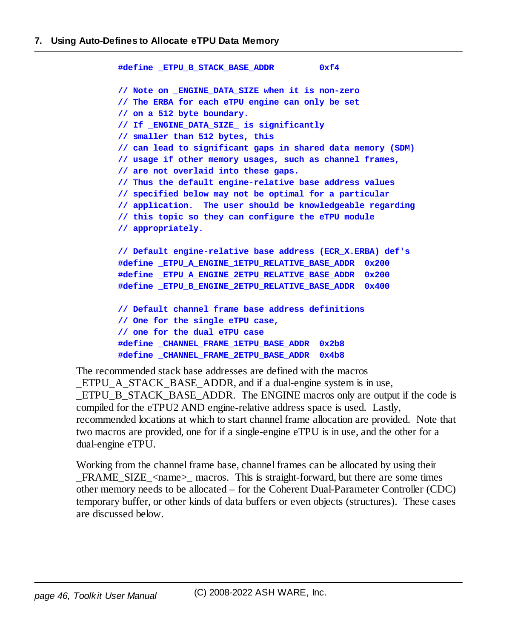```
#define _ETPU_B_STACK_BASE_ADDR 0xf4
// Note on _ENGINE_DATA_SIZE when it is non-zero
// The ERBA for each eTPU engine can only be set
// on a 512 byte boundary.
// If _ENGINE_DATA_SIZE_ is significantly
// smaller than 512 bytes, this
// can lead to significant gaps in shared data memory (SDM)
// usage if other memory usages, such as channel frames,
// are not overlaid into these gaps.
// Thus the default engine-relative base address values
// specified below may not be optimal for a particular
// application. The user should be knowledgeable regarding
// this topic so they can configure the eTPU module
// appropriately.
// Default engine-relative base address (ECR_X.ERBA) def's
#define _ETPU_A_ENGINE_1ETPU_RELATIVE_BASE_ADDR 0x200
#define _ETPU_A_ENGINE_2ETPU_RELATIVE_BASE_ADDR 0x200
#define _ETPU_B_ENGINE_2ETPU_RELATIVE_BASE_ADDR 0x400
// Default channel frame base address definitions
// One for the single eTPU case,
// one for the dual eTPU case
#define _CHANNEL_FRAME_1ETPU_BASE_ADDR 0x2b8
#define _CHANNEL_FRAME_2ETPU_BASE_ADDR 0x4b8
```
The recommended stack base addresses are defined with the macros

ETPU A STACK BASE ADDR, and if a dual-engine system is in use, ETPU B STACK BASE ADDR. The ENGINE macros only are output if the code is compiled for the eTPU2 AND engine-relative address space is used. Lastly, recommended locations at which to start channel frame allocation are provided. Note that two macros are provided, one for if a single-engine eTPU is in use, and the other for a dual-engine eTPU.

Working from the channel frame base, channel frames can be allocated by using their FRAME\_SIZE\_<name>\_macros. This is straight-forward, but there are some times other memory needs to be allocated – for the Coherent Dual-Parameter Controller (CDC) temporary buffer, or other kinds of data buffers or even objects (structures). These cases are discussed below.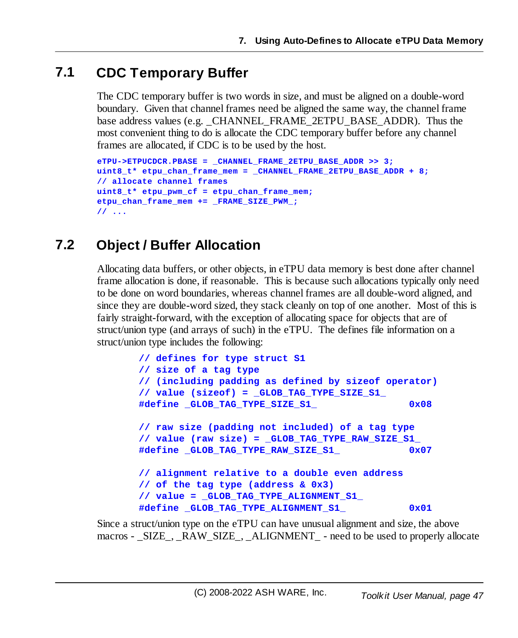# **7.1 CDC Temporary Buffer**

The CDC temporary buffer is two words in size, and must be aligned on a double-word boundary. Given that channel frames need be aligned the same way, the channel frame base address values (e.g. CHANNEL FRAME 2ETPU BASE ADDR). Thus the most convenient thing to do is allocate the CDC temporary buffer before any channel frames are allocated, if CDC is to be used by the host.

```
eTPU->ETPUCDCR.PBASE = _CHANNEL_FRAME_2ETPU_BASE_ADDR >> 3;
uint8_t* etpu_chan_frame_mem = _CHANNEL_FRAME_2ETPU_BASE_ADDR + 8;
// allocate channel frames
uint8_t* etpu_pwm_cf = etpu_chan_frame_mem;
etpu_chan_frame_mem += _FRAME_SIZE_PWM_;
// ...
```
# **7.2 Object / Buffer Allocation**

Allocating data buffers, or other objects, in eTPU data memory is best done after channel frame allocation is done, if reasonable. This is because such allocations typically only need to be done on word boundaries, whereas channel frames are all double-word aligned, and since they are double-word sized, they stack cleanly on top of one another. Most of this is fairly straight-forward, with the exception of allocating space for objects that are of struct/union type (and arrays of such) in the eTPU. The defines file information on a struct/union type includes the following:

```
// defines for type struct S1
// size of a tag type
// (including padding as defined by sizeof operator)
// value (sizeof) = _GLOB_TAG_TYPE_SIZE_S1_
#define _GLOB_TAG_TYPE_SIZE_S1_ 0x08
// raw size (padding not included) of a tag type
// value (raw size) = _GLOB_TAG_TYPE_RAW_SIZE_S1_
#define _GLOB_TAG_TYPE_RAW_SIZE_S1_ 0x07
// alignment relative to a double even address
// of the tag type (address & 0x3)
// value = _GLOB_TAG_TYPE_ALIGNMENT_S1_
#define _GLOB_TAG_TYPE_ALIGNMENT_S1_ 0x01
```
Since a struct/union type on the eTPU can have unusual alignment and size, the above macros - \_SIZE\_, \_RAW\_SIZE\_, \_ALIGNMENT\_ - need to be used to properly allocate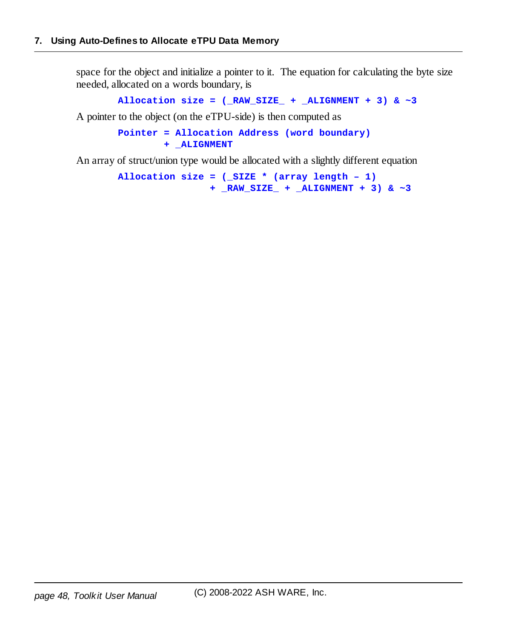space for the object and initialize a pointer to it. The equation for calculating the byte size needed, allocated on a words boundary, is

```
Allocation size = (_RAW_SIZE_ + _ALIGNMENT + 3) & ~3
```
A pointer to the object (on the eTPU-side) is then computed as

```
Pointer = Allocation Address (word boundary)
        + _ALIGNMENT
```
An array of struct/union type would be allocated with a slightly different equation

**Allocation size = (\_SIZE \* (array length – 1) + \_RAW\_SIZE\_ + \_ALIGNMENT + 3) & ~3**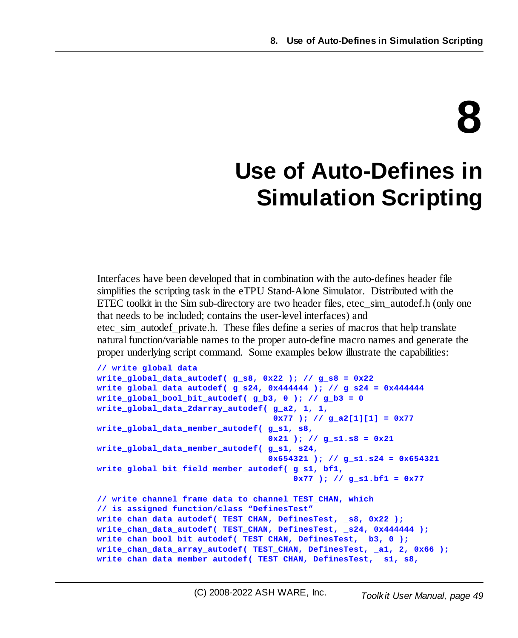# **8**

# **Use of Auto-Defines in Simulation Scripting**

Interfaces have been developed that in combination with the auto-defines header file simplifies the scripting task in the eTPU Stand-Alone Simulator. Distributed with the ETEC toolkit in the Sim sub-directory are two header files, etec sim autodef.h (only one that needs to be included; contains the user-level interfaces) and

etec\_sim\_autodef\_private.h. These files define a series of macros that help translate natural function/variable names to the proper auto-define macro names and generate the proper underlying script command. Some examples below illustrate the capabilities:

```
// write global data
write_global_data_autodef( g_s8, 0x22 ); // g_s8 = 0x22
write_global_data_autodef( g_s24, 0x444444 ); // g_s24 = 0x444444
write_global_bool_bit_autodef( g_b3, 0 ); // g_b3 = 0
write_global_data_2darray_autodef( g_a2, 1, 1,
                                   0x77 ); // g_a2[1][1] = 0x77
write_global_data_member_autodef( g_s1, s8,
                                  0x21 ); // g_s1.s8 = 0x21
write_global_data_member_autodef( g_s1, s24,
                                  0x654321 ); // g_s1.s24 = 0x654321
write_global_bit_field_member_autodef( g_s1, bf1,
                                       0x77 ); // g_s1.bf1 = 0x77
// write channel frame data to channel TEST_CHAN, which
// is assigned function/class "DefinesTest"
write_chan_data_autodef( TEST_CHAN, DefinesTest, _s8, 0x22 );
write_chan_data_autodef( TEST_CHAN, DefinesTest, _s24, 0x444444 );
write_chan_bool_bit_autodef( TEST_CHAN, DefinesTest, _b3, 0 );
write_chan_data_array_autodef( TEST_CHAN, DefinesTest, _a1, 2, 0x66 );
write_chan_data_member_autodef( TEST_CHAN, DefinesTest, _s1, s8,
```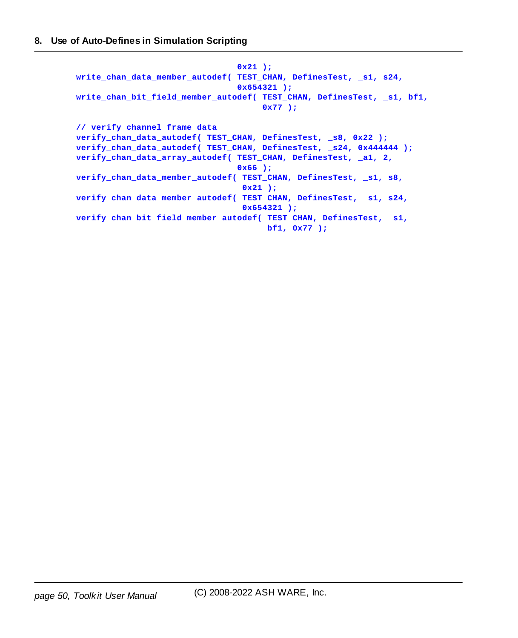```
0x21 );
write_chan_data_member_autodef( TEST_CHAN, DefinesTest, _s1, s24,
                                0x654321 );
write_chan_bit_field_member_autodef( TEST_CHAN, DefinesTest, _s1, bf1,
                                     0x77 );
// verify channel frame data
verify_chan_data_autodef( TEST_CHAN, DefinesTest, _s8, 0x22 );
verify_chan_data_autodef( TEST_CHAN, DefinesTest, _s24, 0x444444 );
verify_chan_data_array_autodef( TEST_CHAN, DefinesTest, _a1, 2,
                                0x66 );
verify_chan_data_member_autodef( TEST_CHAN, DefinesTest, _s1, s8,
                                 0x21 );
verify_chan_data_member_autodef( TEST_CHAN, DefinesTest, _s1, s24,
                                 0x654321 );
verify_chan_bit_field_member_autodef( TEST_CHAN, DefinesTest, _s1,
                                      bf1, 0x77 );
```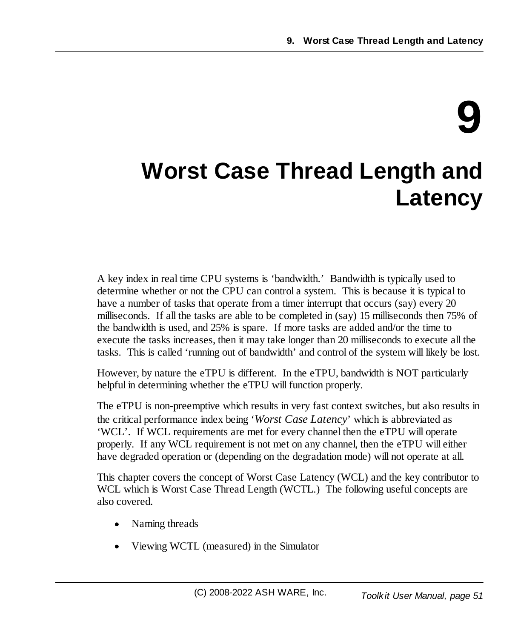# **9**

# **Worst Case Thread Length and Latency**

A key index in real time CPU systems is 'bandwidth.' Bandwidth is typically used to determine whether or not the CPU can control a system. This is because it is typical to have a number of tasks that operate from a timer interrupt that occurs (say) every 20 milliseconds. If all the tasks are able to be completed in (say) 15 milliseconds then 75% of the bandwidth is used, and 25% is spare. If more tasks are added and/or the time to execute the tasks increases, then it may take longer than 20 milliseconds to execute all the tasks. This is called 'running out of bandwidth' and control of the system will likely be lost.

However, by nature the eTPU is different. In the eTPU, bandwidth is NOT particularly helpful in determining whether the eTPU will function properly.

The eTPU is non-preemptive which results in very fast context switches, but also results in the critical performance index being '*Worst Case Latency*' which is abbreviated as 'WCL'. If WCL requirements are met for every channel then the eTPU will operate properly. If any WCL requirement is not met on any channel, then the eTPU will either have degraded operation or (depending on the degradation mode) will not operate at all.

This chapter covers the concept of Worst Case Latency (WCL) and the key contributor to WCL which is Worst Case Thread Length (WCTL.) The following useful concepts are also covered.

- ·Naming threads
- ·Viewing WCTL (measured) in the Simulator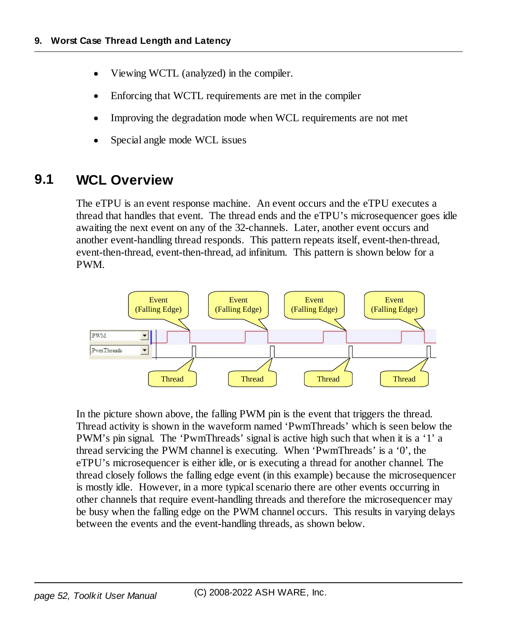- ·Viewing WCTL (analyzed) in the compiler.
- ·Enforcing that WCTL requirements are met in the compiler
- ·Improving the degradation mode when WCL requirements are not met
- ·Special angle mode WCL issues

# **9.1 WCL Overview**

The eTPU is an event response machine. An event occurs and the eTPU executes a thread that handles that event. The thread ends and the eTPU's microsequencer goes idle awaiting the next event on any of the 32-channels. Later, another event occurs and another event-handling thread responds. This pattern repeats itself, event-then-thread, event-then-thread, event-then-thread, ad infinitum. This pattern is shown below for a PWM.



In the picture shown above, the falling PWM pin is the event that triggers the thread. Thread activity is shown in the waveform named 'PwmThreads' which is seen below the PWM's pin signal. The 'PwmThreads' signal is active high such that when it is a '1' a thread servicing the PWM channel is executing. When 'PwmThreads' is a '0', the eTPU's microsequencer is either idle, or is executing a thread for another channel. The thread closely follows the falling edge event (in this example) because the microsequencer is mostly idle. However, in a more typical scenario there are other events occurring in other channels that require event-handling threads and therefore the microsequencer may be busy when the falling edge on the PWM channel occurs. This results in varying delays between the events and the event-handling threads, as shown below.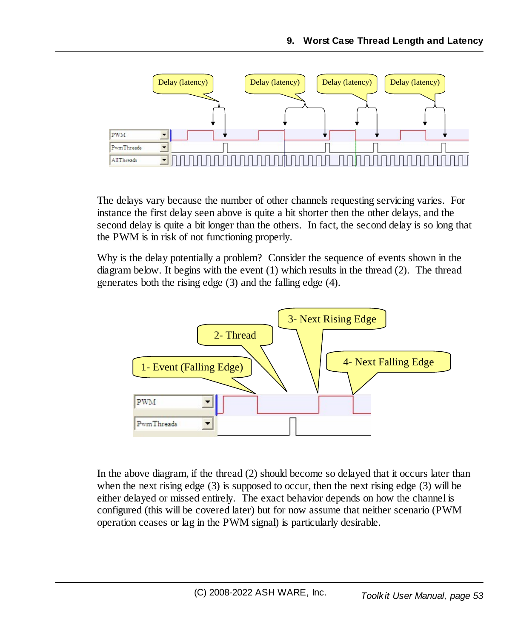

The delays vary because the number of other channels requesting servicing varies. For instance the first delay seen above is quite a bit shorter then the other delays, and the second delay is quite a bit longer than the others. In fact, the second delay is so long that the PWM is in risk of not functioning properly.

Why is the delay potentially a problem? Consider the sequence of events shown in the diagram below. It begins with the event (1) which results in the thread (2). The thread generates both the rising edge (3) and the falling edge (4).



In the above diagram, if the thread (2) should become so delayed that it occurs later than when the next rising edge (3) is supposed to occur, then the next rising edge (3) will be either delayed or missed entirely. The exact behavior depends on how the channel is configured (this will be covered later) but for now assume that neither scenario (PWM operation ceases or lag in the PWM signal) is particularly desirable.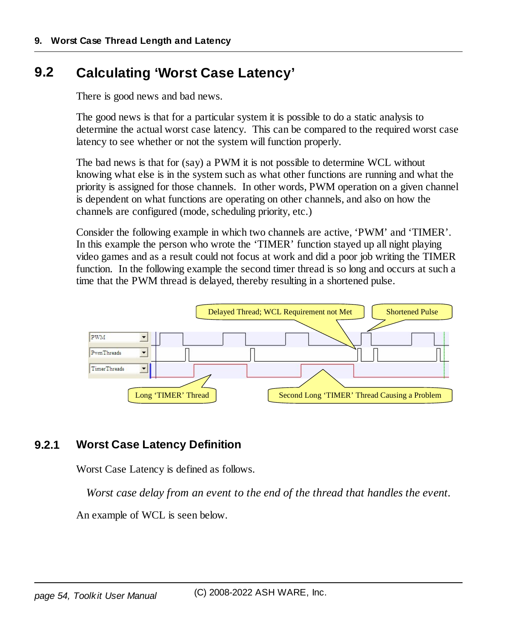# **9.2 Calculating 'Worst Case Latency'**

There is good news and bad news.

The good news is that for a particular system it is possible to do a static analysis to determine the actual worst case latency. This can be compared to the required worst case latency to see whether or not the system will function properly.

The bad news is that for (say) a PWM it is not possible to determine WCL without knowing what else is in the system such as what other functions are running and what the priority is assigned for those channels. In other words, PWM operation on a given channel is dependent on what functions are operating on other channels, and also on how the channels are configured (mode, scheduling priority, etc.)

Consider the following example in which two channels are active, 'PWM' and 'TIMER'. In this example the person who wrote the 'TIMER' function stayed up all night playing video games and as a result could not focus at work and did a poor job writing the TIMER function. In the following example the second timer thread is so long and occurs at such a time that the PWM thread is delayed, thereby resulting in a shortened pulse.



## **9.2.1 Worst Case Latency Definition**

Worst Case Latency is defined as follows.

*Worst case delay from an event to the end of the thread that handles the event.*

An example of WCL is seen below.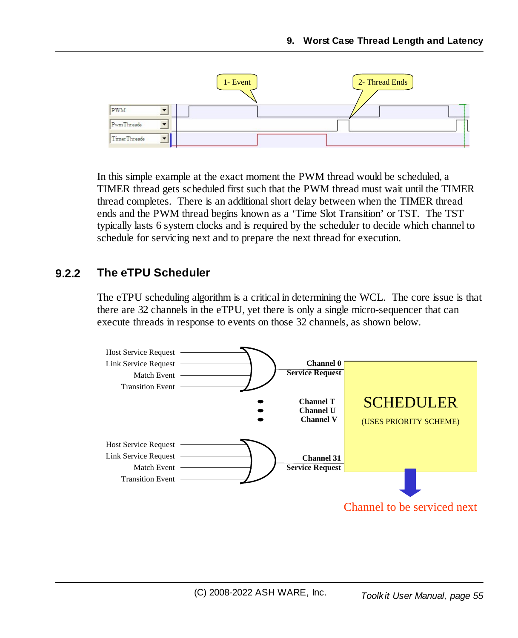

In this simple example at the exact moment the PWM thread would be scheduled, a TIMER thread gets scheduled first such that the PWM thread must wait until the TIMER thread completes. There is an additionalshort delay between when the TIMER thread ends and the PWM thread begins known as a 'Time Slot Transition' or TST. The TST typically lasts 6 system clocks and is required by the scheduler to decide which channel to schedule for servicing next and to prepare the next thread for execution.

#### **9.2.2 The eTPU Scheduler**

The eTPU scheduling algorithm is a critical in determining the WCL. The core issue is that there are 32 channels in the eTPU, yet there is only a single micro-sequencer that can execute threads in response to events on those 32 channels, as shown below.

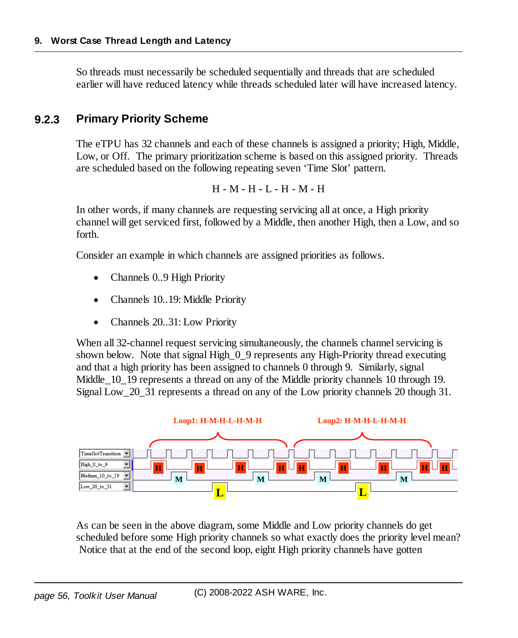So threads must necessarily be scheduled sequentially and threads that are scheduled earlier will have reduced latency while threads scheduled later will have increased latency.

# **9.2.3 Primary Priority Scheme**

The eTPU has 32 channels and each of these channels is assigned a priority; High, Middle, Low, or Off. The primary prioritization scheme is based on this assigned priority. Threads are scheduled based on the following repeating seven 'Time Slot' pattern.

H - M - H - L - H - M - H

In other words, if many channels are requesting servicing all at once, a High priority channel will get serviced first, followed by a Middle, then another High, then a Low, and so forth.

Consider an example in which channels are assigned priorities as follows.

- ·Channels 0..9 High Priority
- ·Channels 10..19: Middle Priority
- ·Channels 20..31: Low Priority

When all 32-channel request servicing simultaneously, the channels channel servicing is shown below. Note that signal High 0 9 represents any High-Priority thread executing and that a high priority has been assigned to channels 0 through 9. Similarly, signal Middle 10–19 represents a thread on any of the Middle priority channels 10 through 19. Signal Low\_20\_31 represents a thread on any of the Low priority channels 20 though 31.



As can be seen in the above diagram, some Middle and Low priority channels do get scheduled before some High priority channels so what exactly does the priority level mean? Notice that at the end of the second loop, eight High priority channels have gotten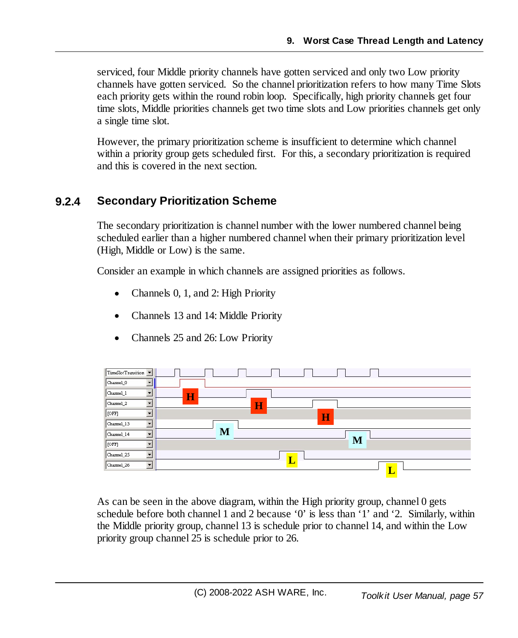serviced, four Middle priority channels have gotten serviced and only two Low priority channels have gotten serviced. So the channel prioritization refers to how many Time Slots each priority gets within the round robin loop. Specifically, high priority channels get four time slots, Middle priorities channels get two time slots and Low priorities channels get only a single time slot.

However, the primary prioritization scheme is insufficient to determine which channel within a priority group gets scheduled first. For this, a secondary prioritization is required and this is covered in the next section.

## **9.2.4 Secondary Prioritization Scheme**

The secondary prioritization is channel number with the lower numbered channel being scheduled earlier than a higher numbered channel when their primary prioritization level (High, Middle or Low) is the same.

Consider an example in which channels are assigned priorities as follows.

- ·Channels 0, 1, and 2: High Priority
- ·Channels 13 and 14: Middle Priority
- ·Channels 25 and 26: Low Priority



As can be seen in the above diagram, within the High priority group, channel 0 gets schedule before both channel 1 and 2 because '0' is less than '1' and '2. Similarly, within the Middle priority group, channel 13 is schedule prior to channel 14, and within the Low priority group channel 25 is schedule prior to 26.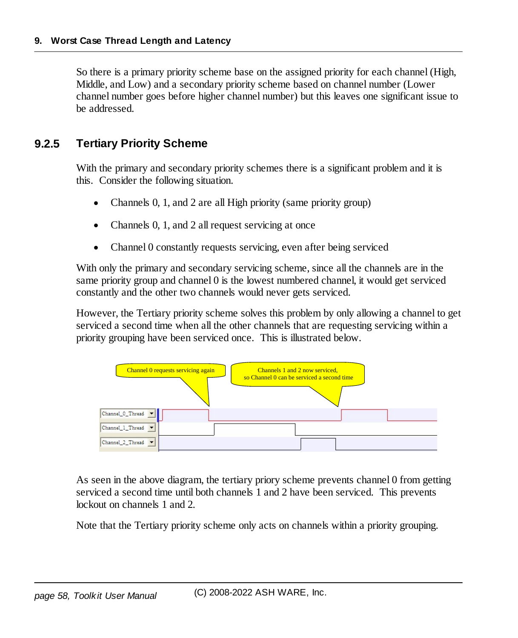So there is a primary priority scheme base on the assigned priority for each channel (High, Middle, and Low) and a secondary priority scheme based on channel number (Lower channel number goes before higher channel number) but this leaves one significant issue to be addressed.

#### **9.2.5 Tertiary Priority Scheme**

With the primary and secondary priority schemes there is a significant problem and it is this. Consider the following situation.

- ·Channels 0, 1, and 2 are all High priority (same priority group)
- ·Channels 0, 1, and 2 all request servicing at once
- $\bullet$ Channel 0 constantly requests servicing, even after being serviced

With only the primary and secondary servicing scheme, since all the channels are in the same priority group and channel 0 is the lowest numbered channel, it would get serviced constantly and the other two channels would never gets serviced.

However, the Tertiary priority scheme solves this problem by only allowing a channel to get serviced a second time when all the other channels that are requesting servicing within a priority grouping have been serviced once. This is illustrated below.



As seen in the above diagram, the tertiary priory scheme prevents channel 0 from getting serviced a second time until both channels 1 and 2 have been serviced. This prevents lockout on channels 1 and 2.

Note that the Tertiary priority scheme only acts on channels within a priority grouping.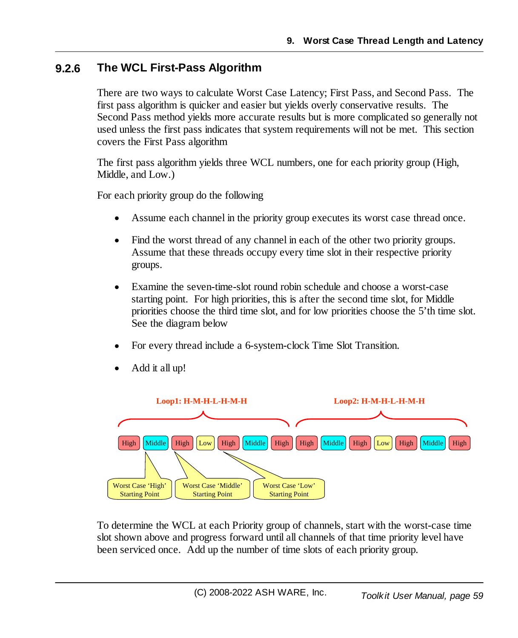#### **9.2.6 The WCL First-Pass Algorithm**

There are two ways to calculate Worst Case Latency; First Pass, and Second Pass. The first pass algorithm is quicker and easier but yields overly conservative results. The Second Pass method yields more accurate results but is more complicated so generally not used unless the first pass indicates that system requirements will not be met. This section covers the First Pass algorithm

The first pass algorithm yields three WCL numbers, one for each priority group (High, Middle, and Low.)

For each priority group do the following

- ·Assume each channel in the priority group executes its worst case thread once.
- Find the worst thread of any channel in each of the other two priority groups. Assume that these threads occupy every time slot in their respective priority groups.
- · Examine the seven-time-slot round robin schedule and choose a worst-case starting point. For high priorities, this is after the second time slot, for Middle priorities choose the third time slot, and for low priorities choose the 5'th time slot. See the diagram below
- ·For every thread include a 6-system-clock Time Slot Transition.



·Add it all up!

To determine the WCL at each Priority group of channels, start with the worst-case time slot shown above and progress forward until all channels of that time priority level have been serviced once. Add up the number of time slots of each priority group.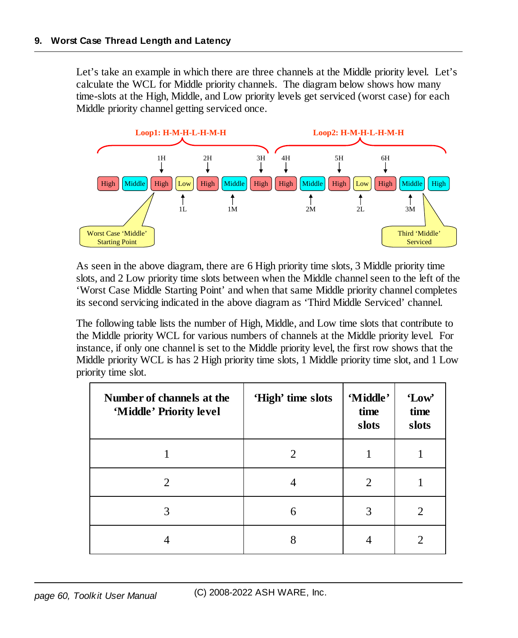Let's take an example in which there are three channels at the Middle priority level. Let's calculate the WCL for Middle priority channels. The diagram below shows how many time-slots at the High, Middle, and Low priority levels get serviced (worst case) for each Middle priority channel getting serviced once.



As seen in the above diagram, there are 6 High priority time slots, 3 Middle priority time slots, and 2 Low priority time slots between when the Middle channel seen to the left of the 'Worst Case Middle Starting Point' and when that same Middle priority channel completes its second servicing indicated in the above diagram as 'Third Middle Serviced' channel.

The following table lists the number of High, Middle, and Low time slots that contribute to the Middle priority WCL for various numbers of channels at the Middle priority level. For instance, if only one channel is set to the Middle priority level, the first row shows that the Middle priority WCL is has 2 High priority time slots, 1 Middle priority time slot, and 1 Low priority time slot.

| Number of channels at the<br>'Middle' Priority level | 'High' time slots | 'Middle'<br>time<br>slots | 'Low'<br>time<br>slots |
|------------------------------------------------------|-------------------|---------------------------|------------------------|
|                                                      |                   |                           |                        |
| $\mathcal{D}_{\cdot}$                                | 4                 | 2                         |                        |
| 3                                                    | 6                 | 3                         | 2                      |
|                                                      | 8                 | 4                         |                        |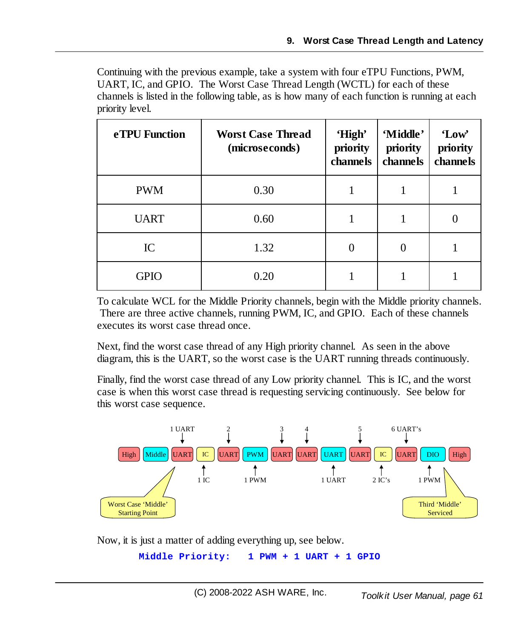Continuing with the previous example, take a system with four eTPU Functions, PWM, UART, IC, and GPIO. The Worst Case Thread Length (WCTL) for each of these channels is listed in the following table, as is how many of each function is running at each priority level.

| eTPU Function | <b>Worst Case Thread</b><br>(microseconds) | 'High'<br>priority<br>channels | 'Middle'<br>priority<br>channels | 'Low'<br>priority<br>channels |
|---------------|--------------------------------------------|--------------------------------|----------------------------------|-------------------------------|
| <b>PWM</b>    | 0.30                                       |                                |                                  |                               |
| <b>UART</b>   | 0.60                                       |                                |                                  |                               |
| IC            | 1.32                                       |                                |                                  |                               |
| <b>GPIO</b>   | 0.20                                       |                                |                                  |                               |

To calculate WCL for the Middle Priority channels, begin with the Middle priority channels. There are three active channels, running PWM, IC, and GPIO. Each of these channels executes its worst case thread once.

Next, find the worst case thread of any High priority channel. As seen in the above diagram, this is the UART, so the worst case is the UART running threads continuously.

Finally, find the worst case thread of any Low priority channel. This is IC, and the worst case is when this worst case thread is requesting servicing continuously. See below for this worst case sequence.



Now, it is just a matter of adding everything up, see below.

```
Middle Priority: 1 PWM + 1 UART + 1 GPIO
```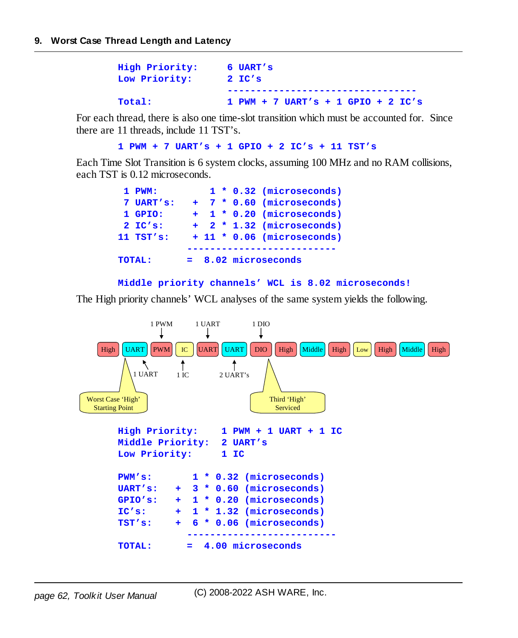| High Priority: | 6 UART's                             |
|----------------|--------------------------------------|
| Low Priority:  | $2$ IC's                             |
|                |                                      |
| <b>Total:</b>  | $1$ PWM + 7 UART's + 1 GPIO + 2 IC's |

For each thread, there is also one time-slot transition which must be accounted for. Since there are 11 threads, include 11 TST's.

```
1 PWM + 7 UART's + 1 GPIO + 2 IC's + 11 TST's
```
Each Time Slot Transition is 6 system clocks, assuming 100 MHz and no RAM collisions, each TST is 0.12 microseconds.

| $1$ PWM:      |  |  | $1 * 0.32$ (microseconds)  |
|---------------|--|--|----------------------------|
| 7 UART's:     |  |  | + 7 * 0.60 (microseconds)  |
| 1 GPIO:       |  |  | + 1 * 0.20 (microseconds)  |
| $2$ IC's:     |  |  | + 2 * 1.32 (microseconds)  |
| $11$ TST's:   |  |  | + 11 * 0.06 (microseconds) |
|               |  |  |                            |
| <b>TOTAL:</b> |  |  | $= 8.02$ microseconds      |

```
Middle priority channels' WCL is 8.02 microseconds!
```
The High priority channels' WCL analyses of the same system yields the following.

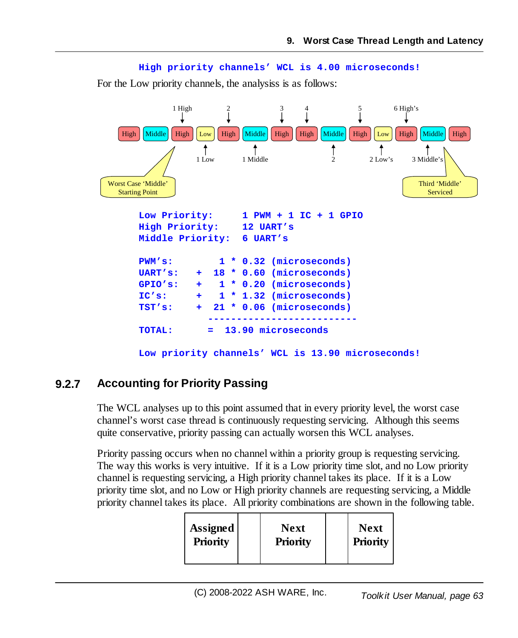

For the Low priority channels, the analysiss is as follows:



#### **9.2.7 Accounting for Priority Passing**

The WCL analyses up to this point assumed that in every priority level, the worst case channel's worst case thread is continuously requesting servicing. Although this seems quite conservative, priority passing can actually worsen this WCL analyses.

Priority passing occurs when no channel within a priority group is requesting servicing. The way this works is very intuitive. If it is a Low priority time slot, and no Low priority channel is requesting servicing, a High priority channel takes its place. If it is a Low priority time slot, and no Low or High priority channels are requesting servicing, a Middle priority channel takes its place. All priority combinations are shown in the following table.

| Assigned        | <b>Next</b>     | <b>Next</b> |
|-----------------|-----------------|-------------|
| <b>Priority</b> | <b>Priority</b> | Priority    |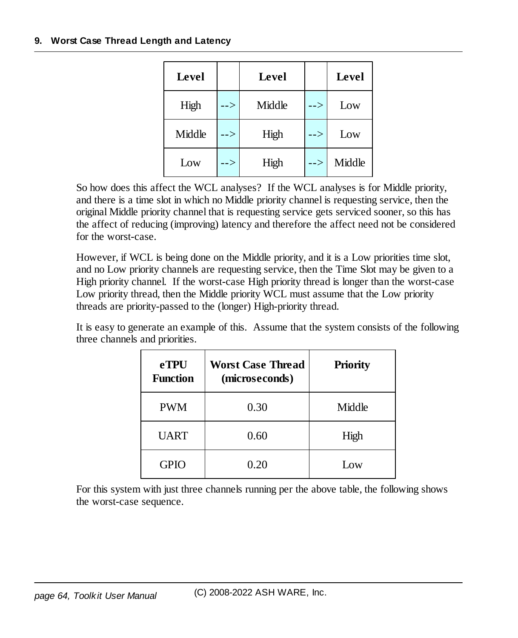#### **9. Worst Case Thread Length and Latency**

| <b>Level</b> |     | Level  |               | <b>Level</b> |
|--------------|-----|--------|---------------|--------------|
| High         | --> | Middle | -->           | Low          |
| Middle       | --> | High   | -->           | Low          |
| Low          | --> | High   | $\rightarrow$ | Middle       |

So how does this affect the WCL analyses? If the WCL analyses is for Middle priority, and there is a time slot in which no Middle priority channel is requesting service, then the original Middle priority channel that is requesting service gets serviced sooner, so this has the affect of reducing (improving) latency and therefore the affect need not be considered for the worst-case.

However, if WCL is being done on the Middle priority, and it is a Low priorities time slot, and no Low priority channels are requesting service, then the Time Slot may be given to a High priority channel. If the worst-case High priority thread is longer than the worst-case Low priority thread, then the Middle priority WCL must assume that the Low priority threads are priority-passed to the (longer) High-priority thread.

It is easy to generate an example of this. Assume that the system consists of the following three channels and priorities.

| <b>eTPU</b><br><b>Function</b> | <b>Worst Case Thread</b><br>(microseconds) | <b>Priority</b> |
|--------------------------------|--------------------------------------------|-----------------|
| <b>PWM</b>                     | 0.30                                       | Middle          |
| <b>UART</b>                    | 0.60                                       | High            |
| <b>GPIO</b>                    | 0.20                                       | Low             |

For this system with just three channels running per the above table, the following shows the worst-case sequence.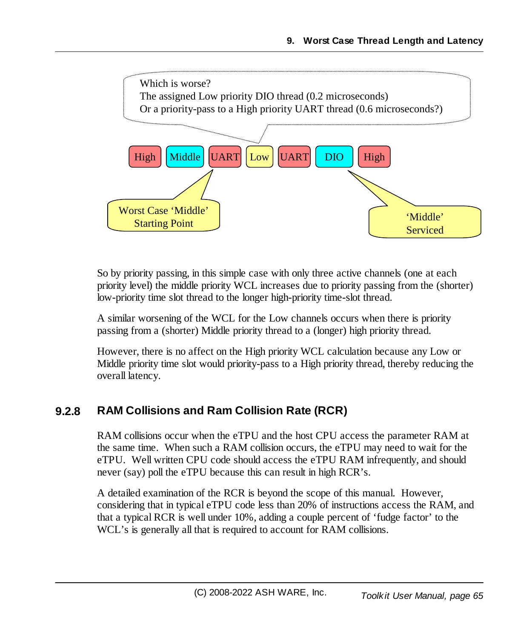

So by priority passing, in this simple case with only three active channels (one at each priority level) the middle priority WCL increases due to priority passing from the (shorter) low-priority time slot thread to the longer high-priority time-slot thread.

A similar worsening of the WCL for the Low channels occurs when there is priority passing from a (shorter) Middle priority thread to a (longer) high priority thread.

However, there is no affect on the High priority WCL calculation because any Low or Middle priority time slot would priority-pass to a High priority thread, thereby reducing the overall latency.

# **9.2.8 RAM Collisions and Ram Collision Rate (RCR)**

RAM collisions occur when the eTPU and the host CPU access the parameter RAM at the same time. When such a RAM collision occurs, the eTPU may need to wait for the eTPU. Well written CPU code should access the eTPU RAM infrequently, and should never (say) poll the eTPU because this can result in high RCR's.

A detailed examination of the RCR is beyond the scope of this manual. However, considering that in typical eTPU code less than 20% of instructions access the RAM, and that a typical RCR is well under 10%, adding a couple percent of 'fudge factor' to the WCL's is generally all that is required to account for RAM collisions.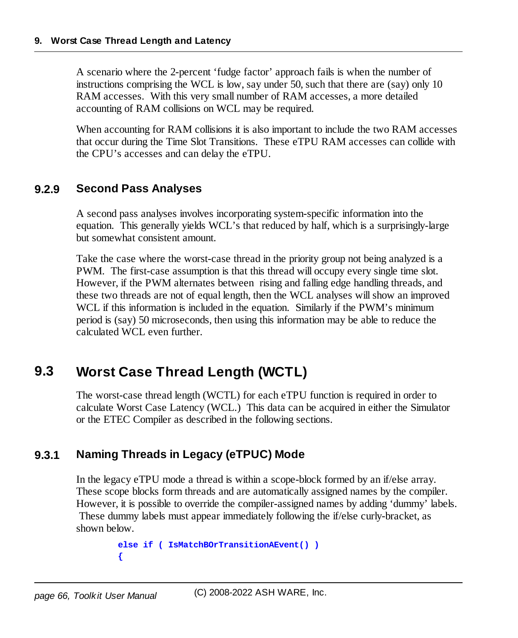A scenario where the 2-percent 'fudge factor' approach fails is when the number of instructions comprising the WCL is low, say under 50, such that there are (say) only 10 RAM accesses. With this very small number of RAM accesses, a more detailed accounting of RAM collisions on WCL may be required.

When accounting for RAM collisions it is also important to include the two RAM accesses that occur during the Time Slot Transitions. These eTPU RAM accesses can collide with the CPU's accesses and can delay the eTPU.

## **9.2.9 Second Pass Analyses**

A second pass analyses involves incorporating system-specific information into the equation. This generally yields WCL's that reduced by half, which is a surprisingly-large but somewhat consistent amount.

Take the case where the worst-case thread in the priority group not being analyzed is a PWM. The first-case assumption is that this thread will occupy every single time slot. However, if the PWM alternates between rising and falling edge handling threads, and these two threads are not of equal length, then the WCL analyses willshow an improved WCL if this information is included in the equation. Similarly if the PWM's minimum period is (say) 50 microseconds, then using this information may be able to reduce the calculated WCL even further.

# **9.3 Worst Case Thread Length (WCTL)**

The worst-case thread length (WCTL) for each eTPU function is required in order to calculate Worst Case Latency (WCL.) This data can be acquired in either the Simulator or the ETEC Compiler as described in the following sections.

# **9.3.1 Naming Threads in Legacy (eTPUC) Mode**

In the legacy eTPU mode a thread is within a scope-block formed by an if/else array. These scope blocks form threads and are automatically assigned names by the compiler. However, it is possible to override the compiler-assigned names by adding 'dummy' labels. These dummy labels must appear immediately following the if/else curly-bracket, as shown below.

```
else if ( IsMatchBOrTransitionAEvent() )
{
```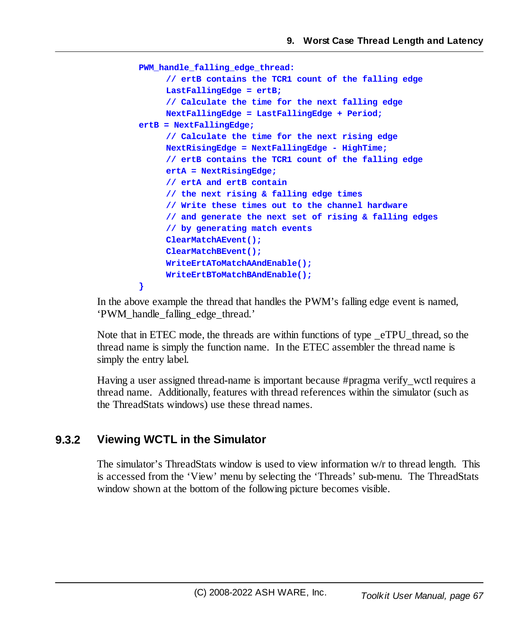```
PWM_handle_falling_edge_thread:
     // ertB contains the TCR1 count of the falling edge
     LastFallingEdge = ertB;
     // Calculate the time for the next falling edge
     NextFallingEdge = LastFallingEdge + Period;
ertB = NextFallingEdge;
     // Calculate the time for the next rising edge
     NextRisingEdge = NextFallingEdge - HighTime;
     // ertB contains the TCR1 count of the falling edge
     ertA = NextRisingEdge;
     // ertA and ertB contain
     // the next rising & falling edge times
     // Write these times out to the channel hardware
     // and generate the next set of rising & falling edges
     // by generating match events
     ClearMatchAEvent();
     ClearMatchBEvent();
     WriteErtAToMatchAAndEnable();
     WriteErtBToMatchBAndEnable();
}
```
In the above example the thread that handles the PWM's falling edge event is named, 'PWM\_handle\_falling\_edge\_thread.'

Note that in ETEC mode, the threads are within functions of type eTPU thread, so the thread name is simply the function name. In the ETEC assembler the thread name is simply the entry label.

Having a user assigned thread-name is important because #pragma verify\_wctl requires a thread name. Additionally, features with thread references within the simulator (such as the ThreadStats windows) use these thread names.

## **9.3.2 Viewing WCTL in the Simulator**

The simulator's ThreadStats window is used to view information w/r to thread length. This is accessed from the 'View' menu by selecting the 'Threads' sub-menu. The ThreadStats window shown at the bottom of the following picture becomes visible.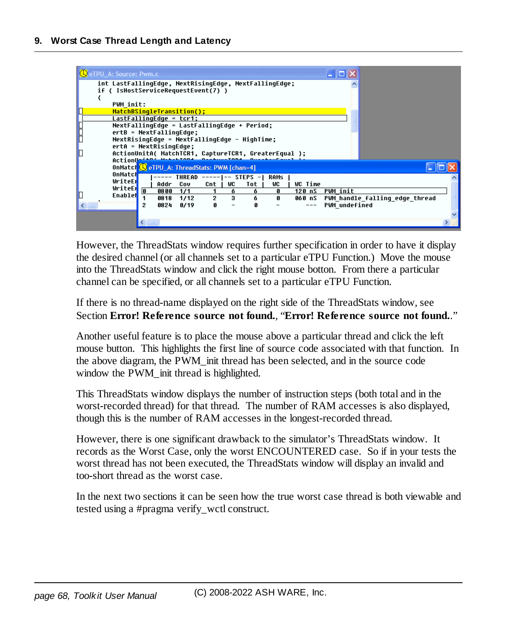

However, the ThreadStats window requires further specification in order to have it display the desired channel (or all channels set to a particular eTPU Function.) Move the mouse into the ThreadStats window and click the right mouse botton. From there a particular channel can be specified, or all channels set to a particular eTPU Function.

If there is no thread-name displayed on the right side of the ThreadStats window, see Section **Error! Reference source not found.**, "**Error! Reference source not found.**."

Another useful feature is to place the mouse above a particular thread and click the left mouse button. This highlights the first line of source code associated with that function. In the above diagram, the PWM\_init thread has been selected, and in the source code window the PWM\_init thread is highlighted.

This ThreadStats window displays the number of instruction steps (both total and in the worst-recorded thread) for that thread. The number of RAM accesses is also displayed, though this is the number of RAM accesses in the longest-recorded thread.

However, there is one significant drawback to the simulator's ThreadStats window. It records as the Worst Case, only the worst ENCOUNTERED case. So if in your tests the worst thread has not been executed, the ThreadStats window will display an invalid and too-short thread as the worst case.

In the next two sections it can be seen how the true worst case thread is both viewable and tested using a #pragma verify\_wctl construct.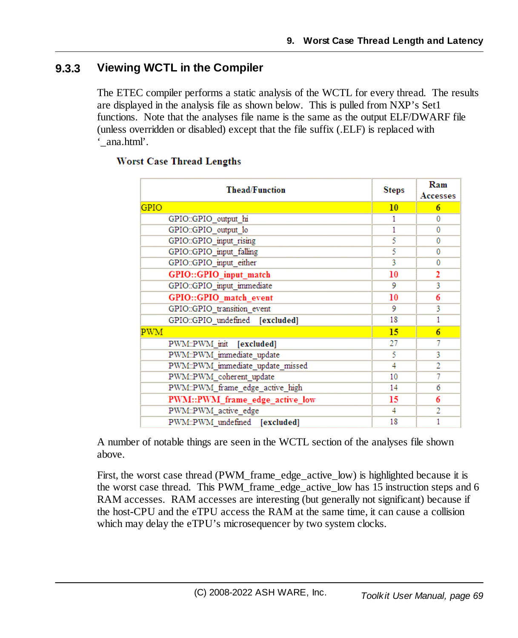## **9.3.3 Viewing WCTL in the Compiler**

The ETEC compiler performs a static analysis of the WCTL for every thread. The results are displayed in the analysis file as shown below. This is pulled from NXP's Set1 functions. Note that the analyses file name is the same as the output ELF/DWARF file (unless overridden or disabled) except that the file suffix (.ELF) is replaced with '\_ana.html'.

| <b>Thead/Function</b>            | <b>Steps</b> | Ram<br><b>Accesses</b> |
|----------------------------------|--------------|------------------------|
| <b>GPIO</b>                      | 10           | 6                      |
| GPIO::GPIO output hi             | 1            | 0                      |
| GPIO::GPIO_output_lo             | 1            | 0                      |
| GPIO::GPIO_input_rising          | 5            | 0                      |
| GPIO::GPIO input falling         | 5            | 0                      |
| GPIO::GPIO_input_either          | 3            | 0                      |
| GPIO::GPIO input match           | 10           | 2                      |
| GPIO::GPIO input immediate       | 9            | 3                      |
| GPIO::GPIO_match_event           | 10           | 6                      |
| GPIO::GPIO_transition_event      | 9            | 3                      |
| GPIO::GPIO_undefined [excluded]  | 18           | 1                      |
| PWM                              | 15           | 6                      |
| PWM::PWM_init [excluded]         | 27           | 7                      |
| PWM::PWM immediate update        | 5            | 3                      |
| PWM::PWM immediate update missed | 4            | $\overline{2}$         |
| PWM::PWM coherent update         | 10           | 7                      |
| PWM::PWM_frame_edge_active_high  | 14           | 6                      |
| PWM::PWM_frame_edge_active_low   | 15           | 6                      |
| PWM::PWM active edge             | 4            | 2                      |
| PWM::PWM undefined [excluded]    | 18           | 1                      |

#### **Worst Case Thread Lengths**

A number of notable things are seen in the WCTL section of the analyses file shown above.

First, the worst case thread (PWM\_frame\_edge\_active\_low) is highlighted because it is the worst case thread. This PWM\_frame\_edge\_active\_low has 15 instruction steps and 6 RAM accesses. RAM accesses are interesting (but generally not significant) because if the host-CPU and the eTPU access the RAM at the same time, it can cause a collision which may delay the eTPU's microsequencer by two system clocks.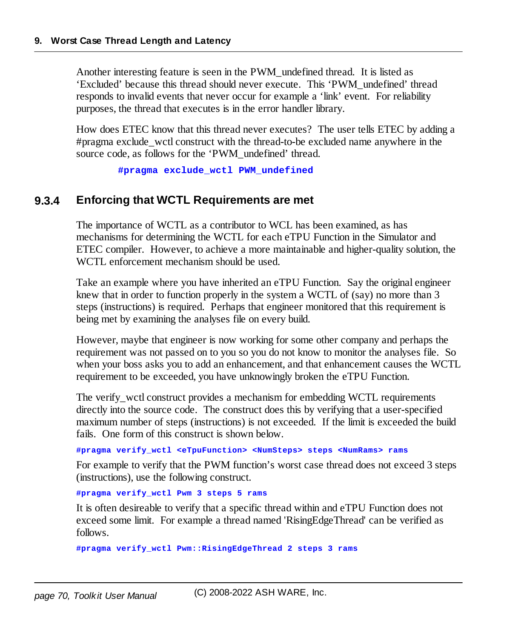Another interesting feature is seen in the PWM\_undefined thread. It is listed as 'Excluded' because this thread should never execute. This 'PWM\_undefined' thread responds to invalid events that never occur for example a 'link' event. For reliability purposes, the thread that executes is in the error handler library.

How does ETEC know that this thread never executes? The user tells ETEC by adding a #pragma exclude\_wctl construct with the thread-to-be excluded name anywhere in the source code, as follows for the 'PWM\_undefined' thread.

**#pragma exclude\_wctl PWM\_undefined**

#### **9.3.4 Enforcing that WCTL Requirements are met**

The importance of WCTL as a contributor to WCL has been examined, as has mechanisms for determining the WCTL for each eTPU Function in the Simulator and ETEC compiler. However, to achieve a more maintainable and higher-quality solution, the WCTL enforcement mechanism should be used.

Take an example where you have inherited an eTPU Function. Say the original engineer knew that in order to function properly in the system a WCTL of (say) no more than 3 steps (instructions) is required. Perhaps that engineer monitored that this requirement is being met by examining the analyses file on every build.

However, maybe that engineer is now working for some other company and perhaps the requirement was not passed on to you so you do not know to monitor the analyses file. So when your boss asks you to add an enhancement, and that enhancement causes the WCTL requirement to be exceeded, you have unknowingly broken the eTPU Function.

The verify wctl construct provides a mechanism for embedding WCTL requirements directly into the source code. The construct does this by verifying that a user-specified maximum number of steps (instructions) is not exceeded. If the limit is exceeded the build fails. One form of this construct is shown below.

**#pragma verify\_wctl <eTpuFunction> <NumSteps> steps <NumRams> rams**

For example to verify that the PWM function's worst case thread does not exceed 3 steps (instructions), use the following construct.

**#pragma verify\_wctl Pwm 3 steps 5 rams**

It is often desireable to verify that a specific thread within and eTPU Function does not exceed some limit. For example a thread named 'RisingEdgeThread' can be verified as follows.

**#pragma verify\_wctl Pwm::RisingEdgeThread 2 steps 3 rams**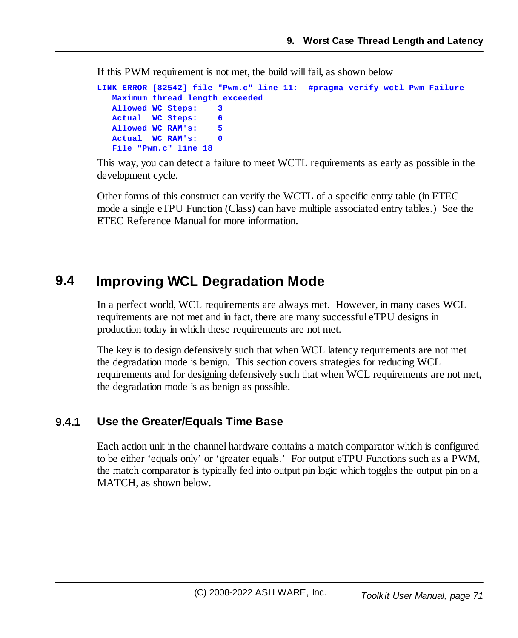If this PWM requirement is not met, the build will fail, as shown below

```
LINK ERROR [82542] file "Pwm.c" line 11: #pragma verify_wctl Pwm Failure
  Maximum thread length exceeded
  Allowed WC Steps: 3
  Actual WC Steps: 6
  Allowed WC RAM's: 5
  Actual WC RAM's: 0
  File "Pwm.c" line 18
```
This way, you can detect a failure to meet WCTL requirements as early as possible in the development cycle.

Other forms of this construct can verify the WCTL of a specific entry table (in ETEC mode a single eTPU Function (Class) can have multiple associated entry tables.) See the ETEC Reference Manual for more information.

# **9.4 Improving WCL Degradation Mode**

In a perfect world, WCL requirements are always met. However, in many cases WCL requirements are not met and in fact, there are many successful eTPU designs in production today in which these requirements are not met.

The key is to design defensively such that when WCL latency requirements are not met the degradation mode is benign. This section covers strategies for reducing WCL requirements and for designing defensively such that when WCL requirements are not met, the degradation mode is as benign as possible.

## **9.4.1 Use the Greater/Equals Time Base**

Each action unit in the channel hardware contains a match comparator which is configured to be either 'equals only' or 'greater equals.' For output eTPU Functions such as a PWM, the match comparator is typically fed into output pin logic which toggles the output pin on a MATCH, as shown below.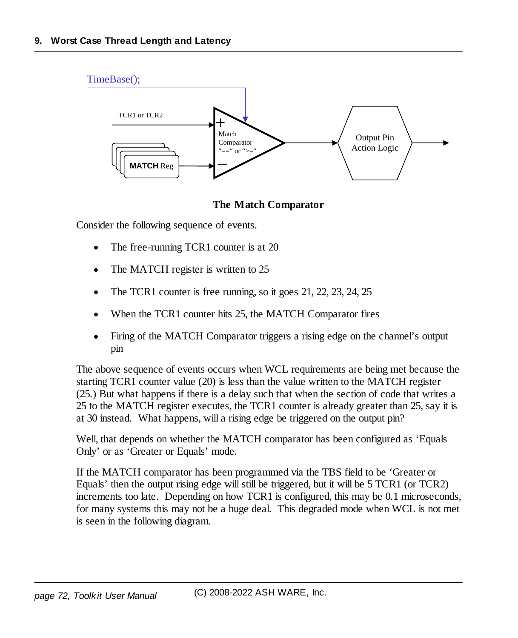

#### **The Match Comparator**

Consider the following sequence of events.

- ·The free-running TCR1 counter is at 20
- ·The MATCH register is written to 25
- ·The TCR1 counter is free running, so it goes 21, 22, 23, 24, 25
- ·When the TCR1 counter hits 25, the MATCH Comparator fires
- · Firing of the MATCH Comparator triggers a rising edge on the channel's output pin

The above sequence of events occurs when WCL requirements are being met because the starting TCR1 counter value (20) is less than the value written to the MATCH register (25.) But what happens if there is a delay such that when the section of code that writes a 25 to the MATCH register executes, the TCR1 counter is already greater than 25, say it is at 30 instead. What happens, will a rising edge be triggered on the output pin?

Well, that depends on whether the MATCH comparator has been configured as 'Equals Only' or as 'Greater or Equals' mode.

If the MATCH comparator has been programmed via the TBS field to be 'Greater or Equals' then the output rising edge will still be triggered, but it will be 5 TCR1 (or TCR2) increments too late. Depending on how TCR1 is configured, this may be 0.1 microseconds, for many systems this may not be a huge deal. This degraded mode when WCL is not met is seen in the following diagram.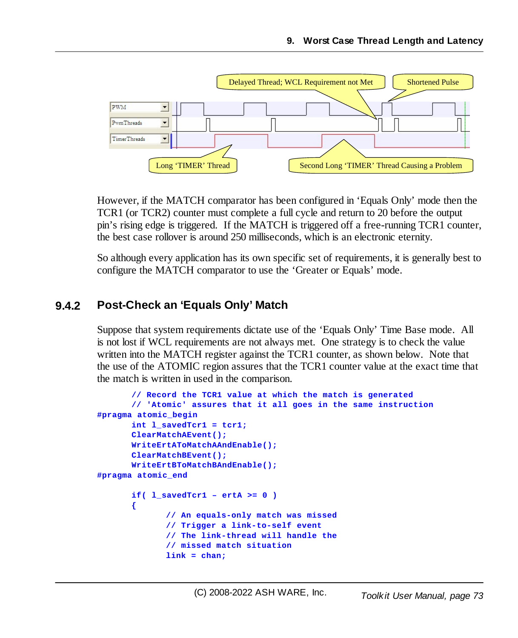

However, if the MATCH comparator has been configured in 'Equals Only' mode then the TCR1 (or TCR2) counter must complete a full cycle and return to 20 before the output pin's rising edge is triggered. If the MATCH is triggered off a free-running TCR1 counter, the best case rollover is around 250 milliseconds, which is an electronic eternity.

So although every application has its own specific set of requirements, it is generally best to configure the MATCH comparator to use the 'Greater or Equals' mode.

#### **9.4.2 Post-Check an 'Equals Only' Match**

Suppose that system requirements dictate use of the 'Equals Only' Time Base mode. All is not lost if WCL requirements are not always met. One strategy is to check the value written into the MATCH register against the TCR1 counter, as shown below. Note that the use of the ATOMIC region assures that the TCR1 counter value at the exact time that the match is written in used in the comparison.

```
// Record the TCR1 value at which the match is generated
      // 'Atomic' assures that it all goes in the same instruction
#pragma atomic_begin
      int l_savedTcr1 = tcr1;
      ClearMatchAEvent();
      WriteErtAToMatchAAndEnable();
      ClearMatchBEvent();
      WriteErtBToMatchBAndEnable();
#pragma atomic_end
      if( l_savedTcr1 – ertA >= 0 )
       {
             // An equals-only match was missed
             // Trigger a link-to-self event
              // The link-thread will handle the
              // missed match situation
             link = chan;
```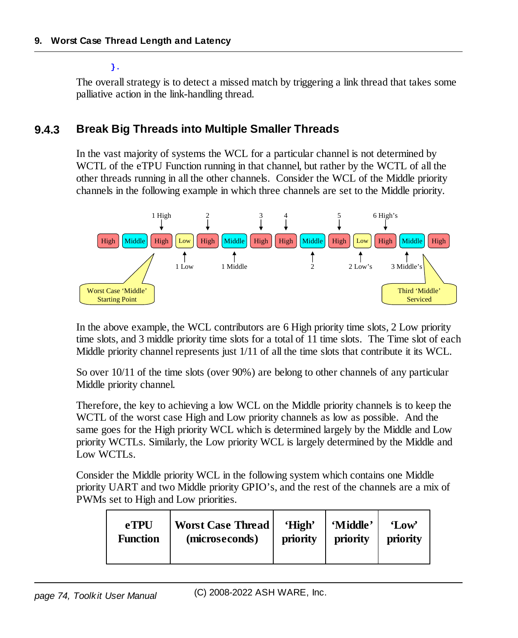#### **}.**

The overall strategy is to detect a missed match by triggering a link thread that takes some palliative action in the link-handling thread.

#### **9.4.3 Break Big Threads into Multiple Smaller Threads**

In the vast majority of systems the WCL for a particular channel is not determined by WCTL of the eTPU Function running in that channel, but rather by the WCTL of all the other threads running in all the other channels. Consider the WCL of the Middle priority channels in the following example in which three channels are set to the Middle priority.



In the above example, the WCL contributors are 6 High priority time slots, 2 Low priority time slots, and 3 middle priority time slots for a total of 11 time slots. The Time slot of each Middle priority channel represents just 1/11 of all the time slots that contribute it its WCL.

So over 10/11 of the time slots (over 90%) are belong to other channels of any particular Middle priority channel.

Therefore, the key to achieving a low WCL on the Middle priority channels is to keep the WCTL of the worst case High and Low priority channels as low as possible. And the same goes for the High priority WCL which is determined largely by the Middle and Low priority WCTLs. Similarly, the Low priority WCL is largely determined by the Middle and Low WCTLs.

Consider the Middle priority WCL in the following system which contains one Middle priority UART and two Middle priority GPIO's, and the rest of the channels are a mix of PWMs set to High and Low priorities.

| <b>eTPU</b>     | <b>Worst Case Thread</b> | 'High'   | 'Middle' | 'Low'    |
|-----------------|--------------------------|----------|----------|----------|
| <b>Function</b> | (microseconds)           | priority | priority | priority |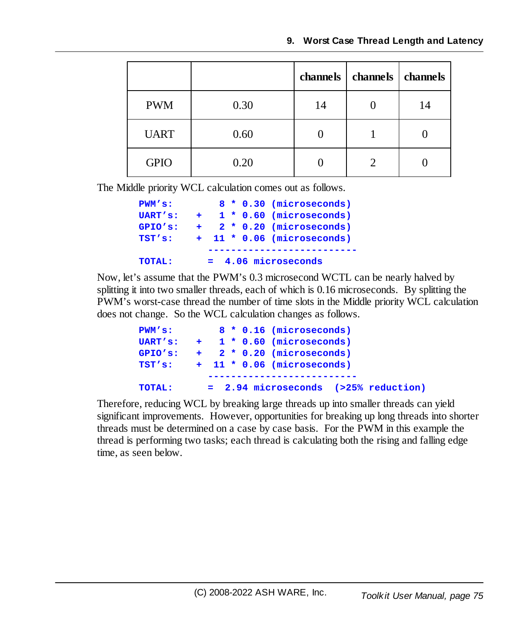|             |      | channels | channels   channels |    |
|-------------|------|----------|---------------------|----|
| <b>PWM</b>  | 0.30 | 14       |                     | 14 |
| <b>UART</b> | 0.60 |          |                     |    |
| <b>GPIO</b> | 0.20 |          |                     |    |

The Middle priority WCL calculation comes out as follows.

| PWM'S:  |     |  | 8 * 0.30 (microseconds)    |
|---------|-----|--|----------------------------|
| UART's: | $+$ |  | $1 * 0.60$ (microseconds)  |
| GPIO's: | $+$ |  | 2 * 0.20 (microseconds)    |
| TST's:  |     |  | + 11 * 0.06 (microseconds) |
|         |     |  |                            |
| TOTAL:  |     |  | $= 4.06$ microseconds      |

Now, let's assume that the PWM's 0.3 microsecond WCTL can be nearly halved by splitting it into two smaller threads, each of which is 0.16 microseconds. By splitting the PWM's worst-case thread the number of time slots in the Middle priority WCL calculation does not change. So the WCL calculation changes as follows.

| PWM's:  |  |  | 8 * 0.16 (microseconds)               |
|---------|--|--|---------------------------------------|
|         |  |  | UART's: $+$ 1 $*$ 0.60 (microseconds) |
| GPIO'S: |  |  | $+$ 2 $*$ 0.20 (microseconds)         |
| TST's:  |  |  | $+$ 11 $*$ 0.06 (microseconds)        |
|         |  |  |                                       |
| TOTAL:  |  |  | = 2.94 microseconds (>25% reduction)  |

Therefore, reducing WCL by breaking large threads up into smaller threads can yield significant improvements. However, opportunities for breaking up long threads into shorter threads must be determined on a case by case basis. For the PWM in this example the thread is performing two tasks; each thread is calculating both the rising and falling edge time, as seen below.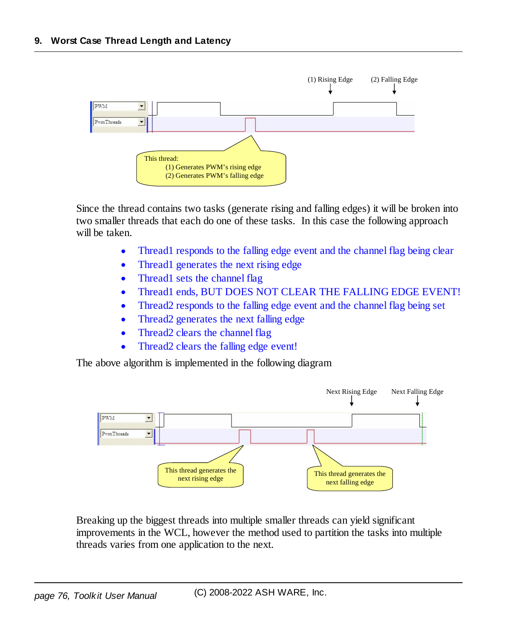

Since the thread contains two tasks (generate rising and falling edges) it will be broken into two smaller threads that each do one of these tasks. In this case the following approach will be taken.

- ·Thread1 responds to the falling edge event and the channel flag being clear
- ·Thread1 generates the next rising edge
- ·Thread1 sets the channel flag
- ·Thread1 ends, BUT DOES NOT CLEAR THE FALLING EDGE EVENT!
- ·Thread2 responds to the falling edge event and the channel flag being set
- ·Thread2 generates the next falling edge
- $\bullet$ Thread2 clears the channel flag
- ·Thread2 clears the falling edge event!

The above algorithm is implemented in the following diagram



Breaking up the biggest threads into multiple smaller threads can yield significant improvements in the WCL, however the method used to partition the tasks into multiple threads varies from one application to the next.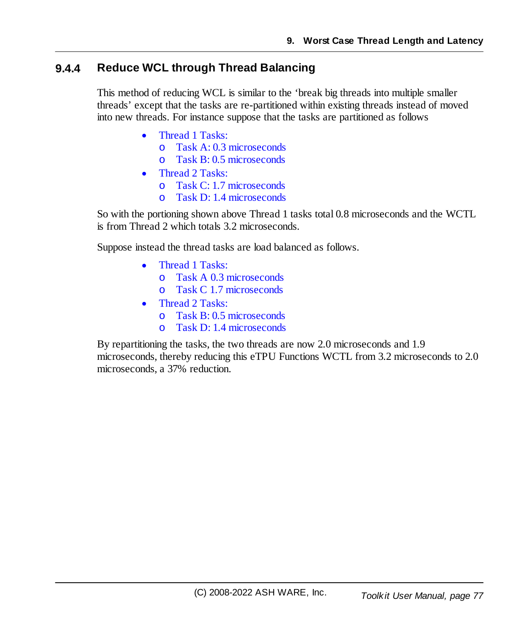#### **9.4.4 Reduce WCL through Thread Balancing**

This method of reducing WCL is similar to the 'break big threads into multiple smaller threads' except that the tasks are re-partitioned within existing threads instead of moved into new threads. For instance suppose that the tasks are partitioned as follows

- $\bullet$  Thread 1 Tasks:
	- o Task A: 0.3 microseconds
	- o Task B: 0.5 microseconds
- · Thread 2 Tasks:
	- o Task C: 1.7 microseconds
	- o Task D: 1.4 microseconds

So with the portioning shown above Thread 1 tasks total 0.8 microseconds and the WCTL is from Thread 2 which totals 3.2 microseconds.

Suppose instead the thread tasks are load balanced as follows.

- · Thread 1 Tasks:
	- o Task A 0.3 microseconds
	- o Task C 1.7 microseconds
- · Thread 2 Tasks:
	- o Task B: 0.5 microseconds
	- o Task D: 1.4 microseconds

By repartitioning the tasks, the two threads are now 2.0 microseconds and 1.9 microseconds, thereby reducing this eTPU Functions WCTL from 3.2 microseconds to 2.0 microseconds, a 37% reduction.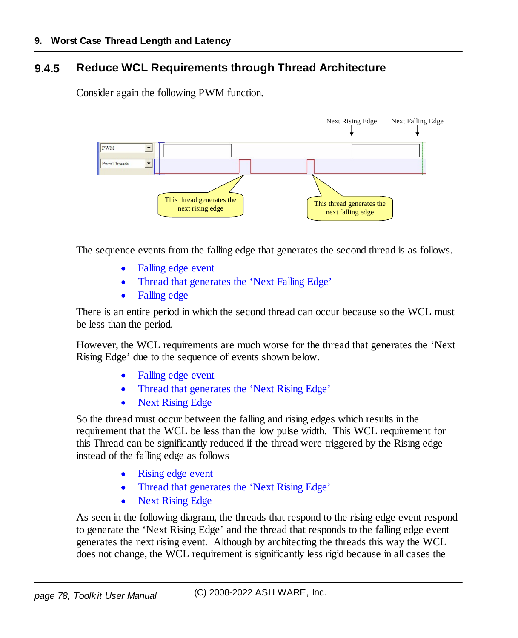#### **9.4.5 Reduce WCL Requirements through Thread Architecture**

Consider again the following PWM function.



The sequence events from the falling edge that generates the second thread is as follows.

- ·Falling edge event
- ·Thread that generates the 'Next Falling Edge'
- ·Falling edge

There is an entire period in which the second thread can occur because so the WCL must be less than the period.

However, the WCL requirements are much worse for the thread that generates the 'Next Rising Edge' due to the sequence of events shown below.

- ·Falling edge event
- ·Thread that generates the 'Next Rising Edge'
- ·Next Rising Edge

So the thread must occur between the falling and rising edges which results in the requirement that the WCL be less than the low pulse width. This WCL requirement for this Thread can be significantly reduced if the thread were triggered by the Rising edge instead of the falling edge as follows

- ·Rising edge event
- $\bullet$ Thread that generates the 'Next Rising Edge'
- $\bullet$ Next Rising Edge

As seen in the following diagram, the threads that respond to the rising edge event respond to generate the 'Next Rising Edge' and the thread that responds to the falling edge event generates the next rising event. Although by architecting the threads this way the WCL does not change, the WCL requirement is significantly less rigid because in all cases the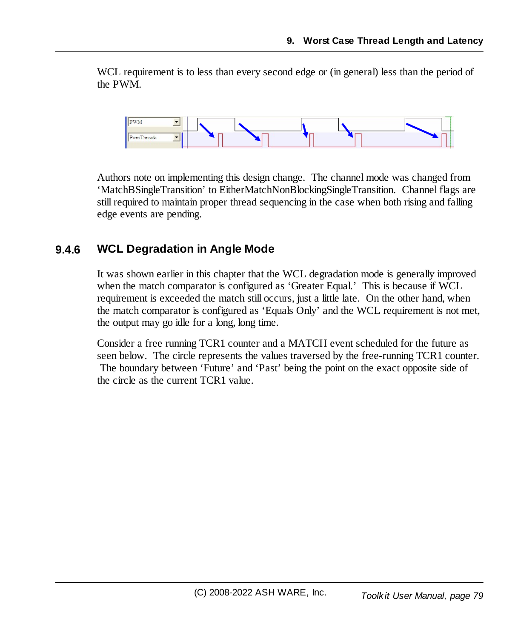WCL requirement is to less than every second edge or (in general) less than the period of the PWM.



Authors note on implementing this design change. The channel mode was changed from 'MatchBSingleTransition' to EitherMatchNonBlockingSingleTransition. Channel flags are still required to maintain proper thread sequencing in the case when both rising and falling edge events are pending.

#### **9.4.6 WCL Degradation in Angle Mode**

It was shown earlier in this chapter that the WCL degradation mode is generally improved when the match comparator is configured as 'Greater Equal.' This is because if WCL requirement is exceeded the match still occurs, just a little late. On the other hand, when the match comparator is configured as 'Equals Only' and the WCL requirement is not met, the output may go idle for a long, long time.

Consider a free running TCR1 counter and a MATCH event scheduled for the future as seen below. The circle represents the values traversed by the free-running TCR1 counter. The boundary between 'Future' and 'Past' being the point on the exact opposite side of the circle as the current TCR1 value.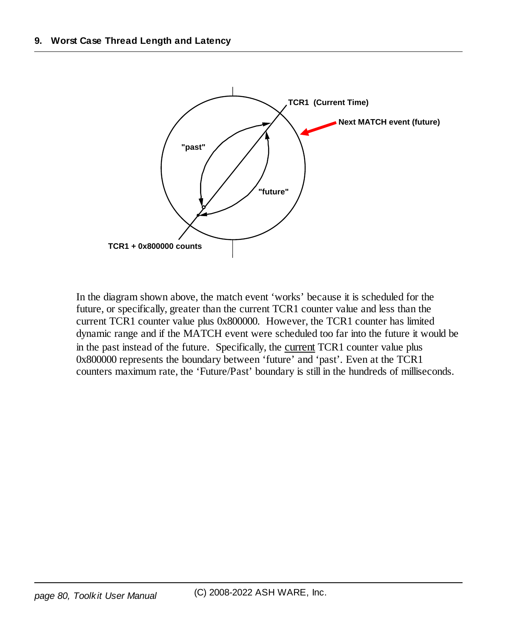

In the diagram shown above, the match event 'works' because it is scheduled for the future, or specifically, greater than the current TCR1 counter value and less than the current TCR1 counter value plus 0x800000. However, the TCR1 counter has limited dynamic range and if the MATCH event were scheduled too far into the future it would be in the past instead of the future. Specifically, the current TCR1 counter value plus 0x800000 represents the boundary between 'future' and 'past'. Even at the TCR1 counters maximum rate, the 'Future/Past' boundary is still in the hundreds of milliseconds.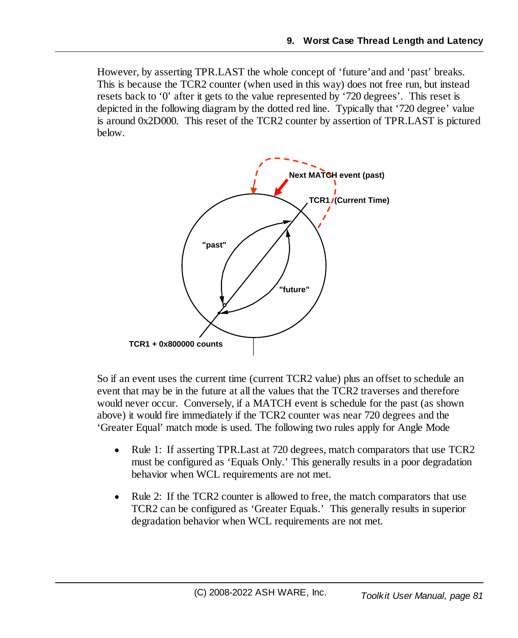However, by asserting TPR.LAST the whole concept of 'future'and and 'past' breaks. This is because the TCR2 counter (when used in this way) does not free run, but instead resets back to '0' after it gets to the value represented by '720 degrees'. This reset is depicted in the following diagram by the dotted red line. Typically that '720 degree' value is around 0x2D000. This reset of the TCR2 counter by assertion of TPR.LAST is pictured below.



So if an event uses the current time (current TCR2 value) plus an offset to schedule an event that may be in the future at all the values that the TCR2 traverses and therefore would never occur. Conversely, if a MATCH event is schedule for the past (as shown above) it would fire immediately if the TCR2 counter was near 720 degrees and the 'Greater Equal' match mode is used. The following two rules apply for Angle Mode

- $\bullet$  Rule 1: If asserting TPR.Last at 720 degrees, match comparators that use TCR2 must be configured as 'Equals Only.' This generally results in a poor degradation behavior when WCL requirements are not met.
- · Rule 2: If the TCR2 counter is allowed to free, the match comparators that use TCR2 can be configured as 'Greater Equals.' This generally results in superior degradation behavior when WCL requirements are not met.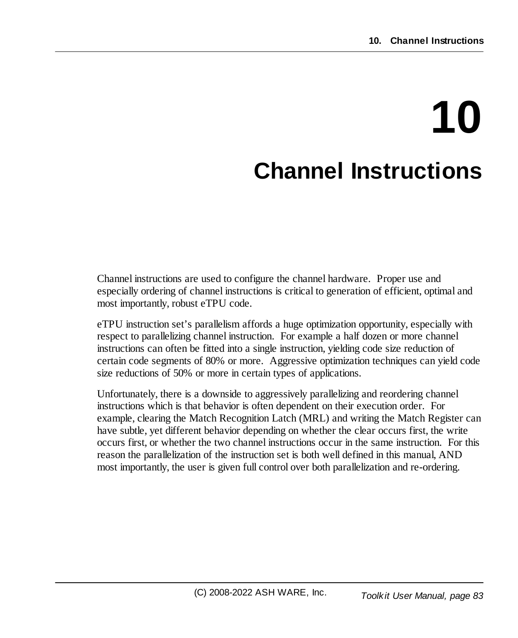# **10 Channel Instructions**

Channel instructions are used to configure the channel hardware. Proper use and especially ordering of channel instructions is critical to generation of efficient, optimal and most importantly, robust eTPU code.

eTPU instruction set's parallelism affords a huge optimization opportunity, especially with respect to parallelizing channel instruction. For example a half dozen or more channel instructions can often be fitted into a single instruction, yielding code size reduction of certain code segments of 80% or more. Aggressive optimization techniques can yield code size reductions of 50% or more in certain types of applications.

Unfortunately, there is a downside to aggressively parallelizing and reordering channel instructions which is that behavior is often dependent on their execution order. For example, clearing the Match Recognition Latch (MRL) and writing the Match Register can have subtle, yet different behavior depending on whether the clear occurs first, the write occurs first, or whether the two channel instructions occur in the same instruction. For this reason the parallelization of the instruction set is both well defined in this manual, AND most importantly, the user is given full control over both parallelization and re-ordering.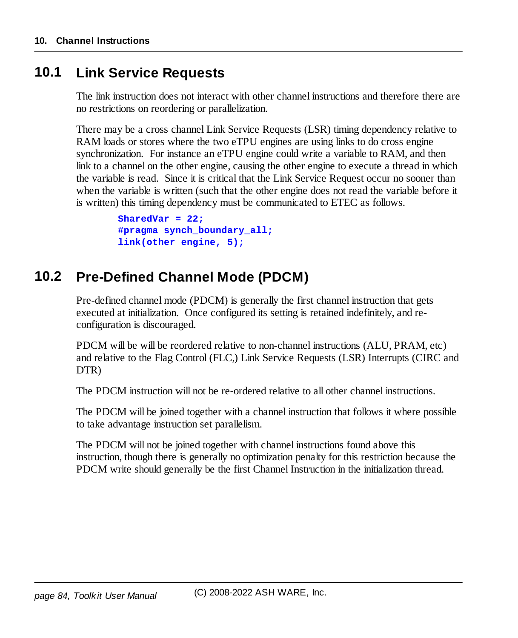#### **10.1 Link Service Requests**

The link instruction does not interact with other channel instructions and therefore there are no restrictions on reordering or parallelization.

There may be a cross channel Link Service Requests (LSR) timing dependency relative to RAM loads or stores where the two eTPU engines are using links to do cross engine synchronization. For instance an eTPU engine could write a variable to RAM, and then link to a channel on the other engine, causing the other engine to execute a thread in which the variable is read. Since it is critical that the Link Service Request occur no sooner than when the variable is written (such that the other engine does not read the variable before it is written) this timing dependency must be communicated to ETEC as follows.

```
SharedVar = 22;
#pragma synch_boundary_all;
link(other engine, 5);
```
### **10.2 Pre-Defined Channel Mode (PDCM)**

Pre-defined channel mode (PDCM) is generally the first channel instruction that gets executed at initialization. Once configured its setting is retained indefinitely, and reconfiguration is discouraged.

PDCM will be will be reordered relative to non-channel instructions (ALU, PRAM, etc) and relative to the Flag Control (FLC,) Link Service Requests (LSR) Interrupts (CIRC and DTR)

The PDCM instruction will not be re-ordered relative to all other channel instructions.

The PDCM will be joined together with a channel instruction that follows it where possible to take advantage instruction set parallelism.

The PDCM will not be joined together with channel instructions found above this instruction, though there is generally no optimization penalty for this restriction because the PDCM write should generally be the first Channel Instruction in the initialization thread.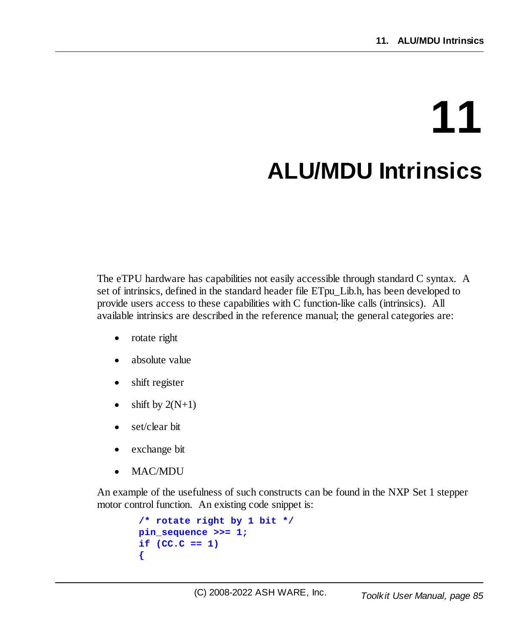# **11 ALU/MDU Intrinsics**

The eTPU hardware has capabilities not easily accessible through standard C syntax. A set of intrinsics, defined in the standard header file ETpu\_Lib.h, has been developed to provide users access to these capabilities with C function-like calls (intrinsics). All available intrinsics are described in the reference manual; the general categories are:

- ·rotate right
- ·absolute value
- ·shift register
- ·shift by  $2(N+1)$
- ·set/clear bit
- ·exchange bit
- ·MAC/MDU

An example of the usefulness of such constructs can be found in the NXP Set 1 stepper motor control function. An existing code snippet is:

```
/* rotate right by 1 bit */
pin_sequence >>= 1;
if (CC.C == 1)
{
```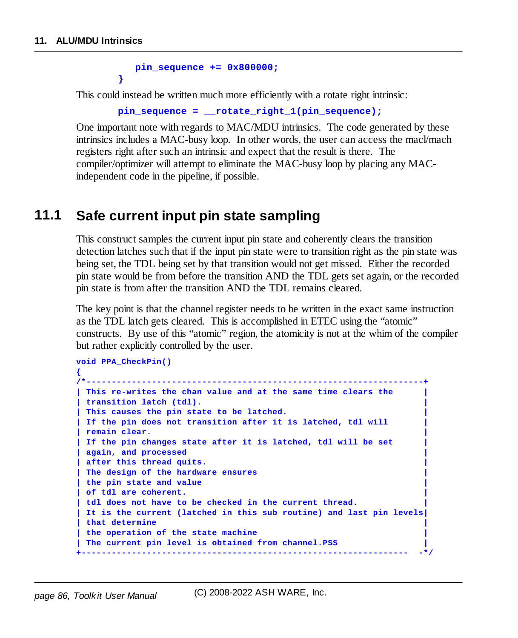**}**

```
pin_sequence += 0x800000;
```
This could instead be written much more efficiently with a rotate right intrinsic:

```
pin_sequence = __rotate_right_1(pin_sequence);
```
One important note with regards to MAC/MDU intrinsics. The code generated by these intrinsics includes a MAC-busy loop. In other words, the user can access the macl/mach registers right after such an intrinsic and expect that the result is there. The compiler/optimizer will attempt to eliminate the MAC-busy loop by placing any MACindependent code in the pipeline, if possible.

### **11.1 Safe current input pin state sampling**

This construct samples the current input pin state and coherently clears the transition detection latches such that if the input pin state were to transition right as the pin state was being set, the TDL being set by that transition would not get missed. Either the recorded pin state would be from before the transition AND the TDL gets set again, or the recorded pin state is from after the transition AND the TDL remains cleared.

The key point is that the channel register needs to be written in the exact same instruction as the TDL latch gets cleared. This is accomplished in ETEC using the "atomic" constructs. By use of this "atomic" region, the atomicity is not at the whim of the compiler but rather explicitly controlled by the user.

```
void PPA_CheckPin()
{
/*-------------------------------------------------------------------+
| This re-writes the chan value and at the same time clears the |
| transition latch (tdl). |
| This causes the pin state to be latched. |
| If the pin does not transition after it is latched, tdl will |
| remain clear. |
| If the pin changes state after it is latched, tdl will be set |
| again, and processed |
| after this thread quits. |
| The design of the hardware ensures |
| the pin state and value |
| of tdl are coherent. |
| tdl does not have to be checked in the current thread. |
| It is the current (latched in this sub routine) and last pin levels|
| that determine |
| the operation of the state machine |
| The current pin level is obtained from channel.PSS |
+----------------------------------------------------------------- -*/
```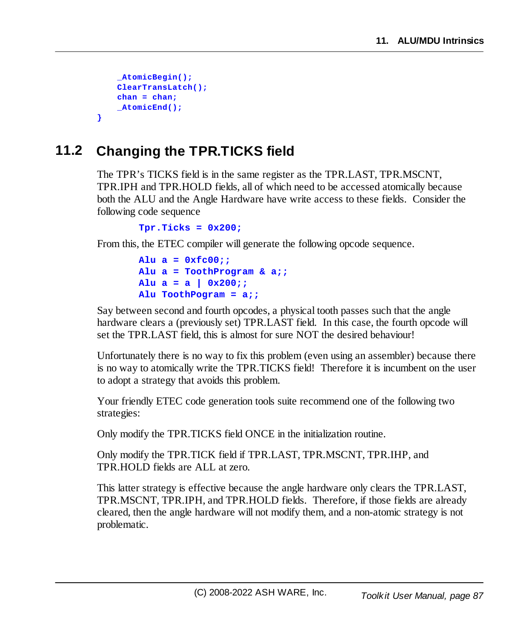```
_AtomicBegin();
    ClearTransLatch();
    chan = chan;
    _AtomicEnd();
}
```
# **11.2 Changing the TPR.TICKS field**

The TPR's TICKS field is in the same register as the TPR.LAST, TPR.MSCNT, TPR.IPH and TPR.HOLD fields, all of which need to be accessed atomically because both the ALU and the Angle Hardware have write access to these fields. Consider the following code sequence

```
Tpr.Ticks = 0x200;
```
From this, the ETEC compiler will generate the following opcode sequence.

```
Alu a = 0xfc00;;
Alu a = ToothProgram & a;;
Alu a = a | 0x200;;
Alu ToothPogram = a;;
```
Say between second and fourth opcodes, a physical tooth passes such that the angle hardware clears a (previously set) TPR.LAST field. In this case, the fourth opcode will set the TPR.LAST field, this is almost for sure NOT the desired behaviour!

Unfortunately there is no way to fix this problem (even using an assembler) because there is no way to atomically write the TPR.TICKS field! Therefore it is incumbent on the user to adopt a strategy that avoids this problem.

Your friendly ETEC code generation tools suite recommend one of the following two strategies:

Only modify the TPR.TICKS field ONCE in the initialization routine.

Only modify the TPR.TICK field if TPR.LAST, TPR.MSCNT, TPR.IHP, and TPR.HOLD fields are ALL at zero.

This latter strategy is effective because the angle hardware only clears the TPR.LAST, TPR.MSCNT, TPR.IPH, and TPR.HOLD fields. Therefore, if those fields are already cleared, then the angle hardware will not modify them, and a non-atomic strategy is not problematic.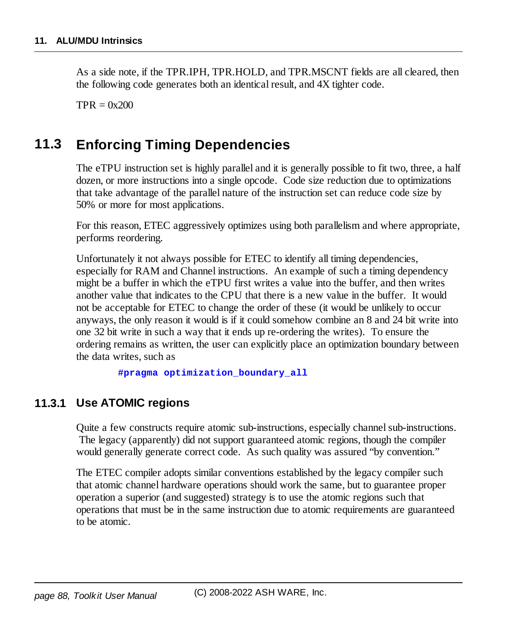As a side note, if the TPR.IPH, TPR.HOLD, and TPR.MSCNT fields are all cleared, then the following code generates both an identical result, and 4X tighter code.

 $TPR = 0x200$ 

# **11.3 Enforcing Timing Dependencies**

The eTPU instruction set is highly parallel and it is generally possible to fit two, three, a half dozen, or more instructions into a single opcode. Code size reduction due to optimizations that take advantage of the parallel nature of the instruction set can reduce code size by 50% or more for most applications.

For this reason, ETEC aggressively optimizes using both parallelism and where appropriate, performs reordering.

Unfortunately it not always possible for ETEC to identify all timing dependencies, especially for RAM and Channel instructions. An example of such a timing dependency might be a buffer in which the eTPU first writes a value into the buffer, and then writes another value that indicates to the CPU that there is a new value in the buffer. It would not be acceptable for ETEC to change the order of these (it would be unlikely to occur anyways, the only reason it would is if it could somehow combine an 8 and 24 bit write into one 32 bit write in such a way that it ends up re-ordering the writes). To ensure the ordering remains as written, the user can explicitly place an optimization boundary between the data writes, such as

**#pragma optimization\_boundary\_all**

#### **11.3.1 Use ATOMIC regions**

Quite a few constructs require atomic sub-instructions, especially channel sub-instructions. The legacy (apparently) did not support guaranteed atomic regions, though the compiler would generally generate correct code. As such quality was assured "by convention."

The ETEC compiler adopts similar conventions established by the legacy compiler such that atomic channel hardware operations should work the same, but to guarantee proper operation a superior (and suggested) strategy is to use the atomic regions such that operations that must be in the same instruction due to atomic requirements are guaranteed to be atomic.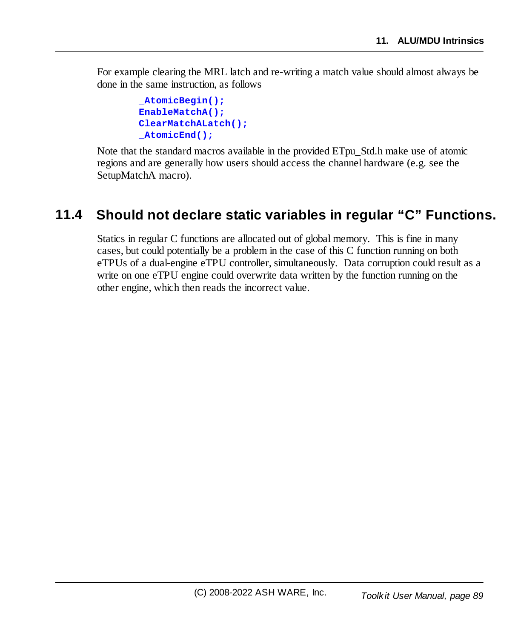For example clearing the MRL latch and re-writing a match value should almost always be done in the same instruction, as follows

```
_AtomicBegin();
EnableMatchA();
ClearMatchALatch();
_AtomicEnd();
```
Note that the standard macros available in the provided ETpu\_Std.h make use of atomic regions and are generally how users should access the channel hardware (e.g. see the SetupMatchA macro).

# **11.4 Should not declare static variables in regular "C" Functions.**

Statics in regular C functions are allocated out of global memory. This is fine in many cases, but could potentially be a problem in the case of this C function running on both eTPUs of a dual-engine eTPU controller, simultaneously. Data corruption could result as a write on one eTPU engine could overwrite data written by the function running on the other engine, which then reads the incorrect value.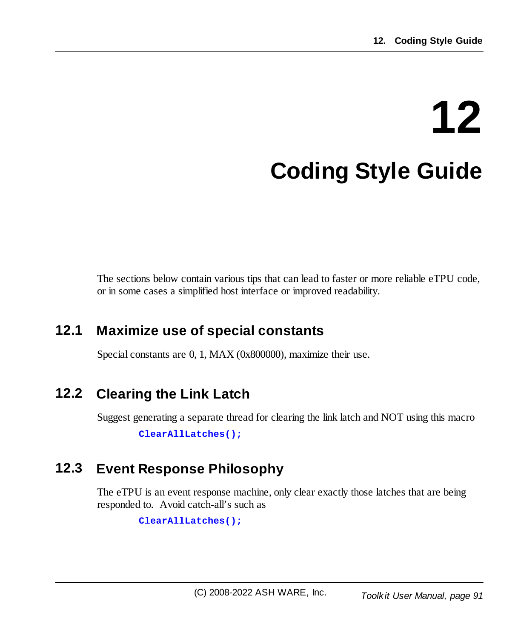# **12 Coding Style Guide**

The sections below contain various tips that can lead to faster or more reliable eTPU code, or in some cases a simplified host interface or improved readability.

# **12.1 Maximize use of special constants**

Special constants are 0, 1, MAX (0x800000), maximize their use.

# **12.2 Clearing the Link Latch**

Suggest generating a separate thread for clearing the link latch and NOT using this macro

**ClearAllLatches();**

# **12.3 Event Response Philosophy**

The eTPU is an event response machine, only clear exactly those latches that are being responded to. Avoid catch-all's such as

```
ClearAllLatches();
```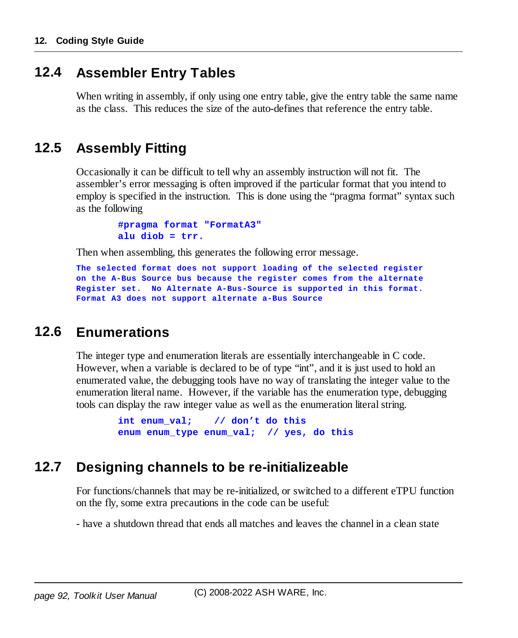#### **12.4 Assembler Entry Tables**

When writing in assembly, if only using one entry table, give the entry table the same name as the class. This reduces the size of the auto-defines that reference the entry table.

# **12.5 Assembly Fitting**

Occasionally it can be difficult to tell why an assembly instruction will not fit. The assembler's error messaging is often improved if the particular format that you intend to employ is specified in the instruction. This is done using the "pragma format" syntax such as the following

> **#pragma format "FormatA3" alu diob = trr.**

Then when assembling, this generates the following error message.

```
The selected format does not support loading of the selected register
on the A-Bus Source bus because the register comes from the alternate
Register set. No Alternate A-Bus-Source is supported in this format.
Format A3 does not support alternate a-Bus Source
```
#### **12.6 Enumerations**

The integer type and enumeration literals are essentially interchangeable in C code. However, when a variable is declared to be of type "int", and it is just used to hold an enumerated value, the debugging tools have no way of translating the integer value to the enumeration literal name. However, if the variable has the enumeration type, debugging tools can display the raw integer value as well as the enumeration literal string.

```
int enum_val; // don't do this
enum enum_type enum_val; // yes, do this
```
#### **12.7 Designing channels to be re-initializeable**

For functions/channels that may be re-initialized, or switched to a different eTPU function on the fly, some extra precautions in the code can be useful:

- have a shutdown thread that ends all matches and leaves the channel in a clean state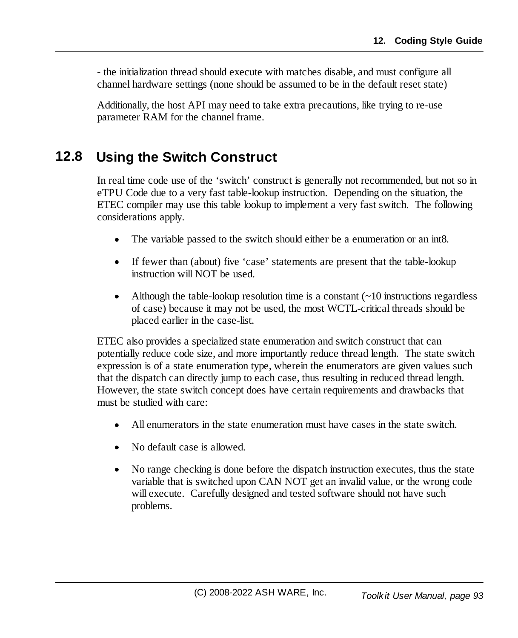- the initialization thread should execute with matches disable, and must configure all channel hardware settings (none should be assumed to be in the default reset state)

Additionally, the host API may need to take extra precautions, like trying to re-use parameter RAM for the channel frame.

# **12.8 Using the Switch Construct**

In real time code use of the 'switch' construct is generally not recommended, but not so in eTPU Code due to a very fast table-lookup instruction. Depending on the situation, the ETEC compiler may use this table lookup to implement a very fast switch. The following considerations apply.

- ·The variable passed to the switch should either be a enumeration or an int8.
- · If fewer than (about) five 'case' statements are present that the table-lookup instruction will NOT be used.
- ·Although the table-lookup resolution time is a constant  $(\sim 10$  instructions regardless of case) because it may not be used, the most WCTL-critical threads should be placed earlier in the case-list.

ETEC also provides a specialized state enumeration and switch construct that can potentially reduce code size, and more importantly reduce thread length. The state switch expression is of a state enumeration type, wherein the enumerators are given values such that the dispatch can directly jump to each case, thus resulting in reduced thread length. However, the state switch concept does have certain requirements and drawbacks that must be studied with care:

- ·All enumerators in the state enumeration must have cases in the state switch.
- ·No default case is allowed.
- · No range checking is done before the dispatch instruction executes, thus the state variable that is switched upon CAN NOT get an invalid value, or the wrong code will execute. Carefully designed and tested software should not have such problems.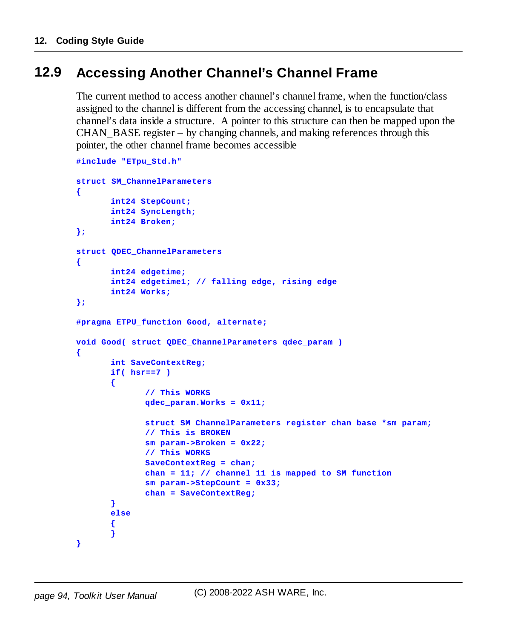# **12.9 Accessing Another Channel's Channel Frame**

The current method to access another channel's channel frame, when the function/class assigned to the channel is different from the accessing channel, is to encapsulate that channel's data inside a structure. A pointer to this structure can then be mapped upon the CHAN\_BASE register – by changing channels, and making references through this pointer, the other channel frame becomes accessible

```
#include "ETpu_Std.h"
struct SM_ChannelParameters
{
       int24 StepCount;
      int24 SyncLength;
      int24 Broken;
};
struct QDEC_ChannelParameters
{
       int24 edgetime;
       int24 edgetime1; // falling edge, rising edge
       int24 Works;
};
#pragma ETPU_function Good, alternate;
void Good( struct QDEC_ChannelParameters qdec_param )
{
       int SaveContextReg;
      if( hsr==7 )
       {
              // This WORKS
              qdec_param.Works = 0x11;
              struct SM_ChannelParameters register_chan_base *sm_param;
              // This is BROKEN
              sm_param->Broken = 0x22;
              // This WORKS
              SaveContextReg = chan;
              chan = 11; // channel 11 is mapped to SM function
              sm_param->StepCount = 0x33;
             chan = SaveContextReg;
       }
      else
       {
       }
}
```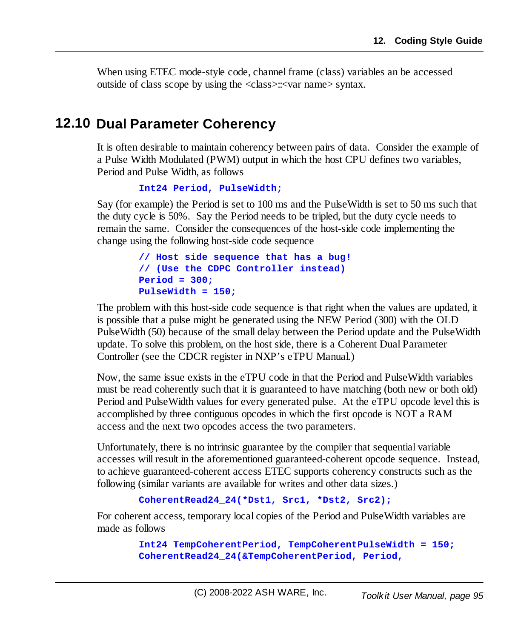When using ETEC mode-style code, channel frame (class) variables an be accessed outside of class scope by using the <class>::<var name> syntax.

### **12.10 Dual Parameter Coherency**

It is often desirable to maintain coherency between pairs of data. Consider the example of a Pulse Width Modulated (PWM) output in which the host CPU defines two variables, Period and Pulse Width, as follows

```
Int24 Period, PulseWidth;
```
Say (for example) the Period is set to 100 ms and the PulseWidth is set to 50 ms such that the duty cycle is 50%. Say the Period needs to be tripled, but the duty cycle needs to remain the same. Consider the consequences of the host-side code implementing the change using the following host-side code sequence

```
// Host side sequence that has a bug!
// (Use the CDPC Controller instead)
Period = 300;
PulseWidth = 150;
```
The problem with this host-side code sequence is that right when the values are updated, it is possible that a pulse might be generated using the NEW Period (300) with the OLD PulseWidth (50) because of the small delay between the Period update and the PulseWidth update. To solve this problem, on the host side, there is a Coherent Dual Parameter Controller (see the CDCR register in NXP's eTPU Manual.)

Now, the same issue exists in the eTPU code in that the Period and PulseWidth variables must be read coherently such that it is guaranteed to have matching (both new or both old) Period and PulseWidth values for every generated pulse. At the eTPU opcode level this is accomplished by three contiguous opcodes in which the first opcode is NOT a RAM access and the next two opcodes access the two parameters.

Unfortunately, there is no intrinsic guarantee by the compiler that sequential variable accesses will result in the aforementioned guaranteed-coherent opcode sequence. Instead, to achieve guaranteed-coherent access ETEC supports coherency constructs such as the following (similar variants are available for writes and other data sizes.)

```
CoherentRead24_24(*Dst1, Src1, *Dst2, Src2);
```
For coherent access, temporary local copies of the Period and PulseWidth variables are made as follows

```
Int24 TempCoherentPeriod, TempCoherentPulseWidth = 150;
CoherentRead24_24(&TempCoherentPeriod, Period,
```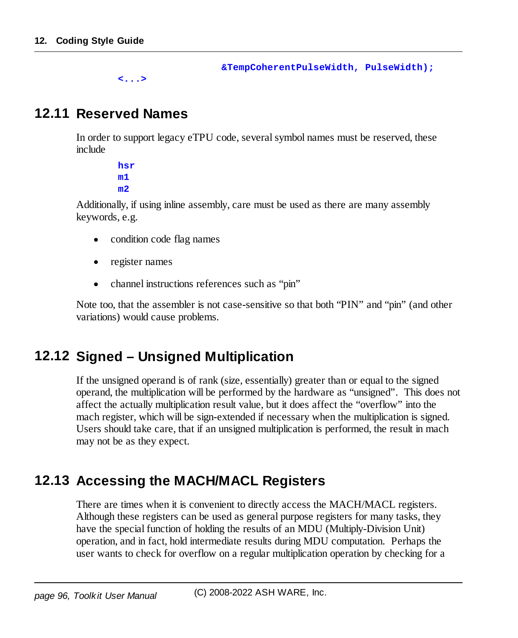**&TempCoherentPulseWidth, PulseWidth);**

```
<...>
```
#### **12.11 Reserved Names**

In order to support legacy eTPU code, several symbol names must be reserved, these include

> **hsr m1 m2**

Additionally, if using inline assembly, care must be used as there are many assembly keywords, e.g.

- ·condition code flag names
- ·register names
- ·channel instructions references such as "pin"

Note too, that the assembler is not case-sensitive so that both "PIN" and "pin" (and other variations) would cause problems.

#### **12.12 Signed – Unsigned Multiplication**

If the unsigned operand is of rank (size, essentially) greater than or equal to the signed operand, the multiplication will be performed by the hardware as "unsigned". This does not affect the actually multiplication result value, but it does affect the "overflow" into the mach register, which will be sign-extended if necessary when the multiplication is signed. Users should take care, that if an unsigned multiplication is performed, the result in mach may not be as they expect.

# **12.13 Accessing the MACH/MACL Registers**

There are times when it is convenient to directly access the MACH/MACL registers. Although these registers can be used as general purpose registers for many tasks, they have the special function of holding the results of an MDU (Multiply-Division Unit) operation, and in fact, hold intermediate results during MDU computation. Perhaps the user wants to check for overflow on a regular multiplication operation by checking for a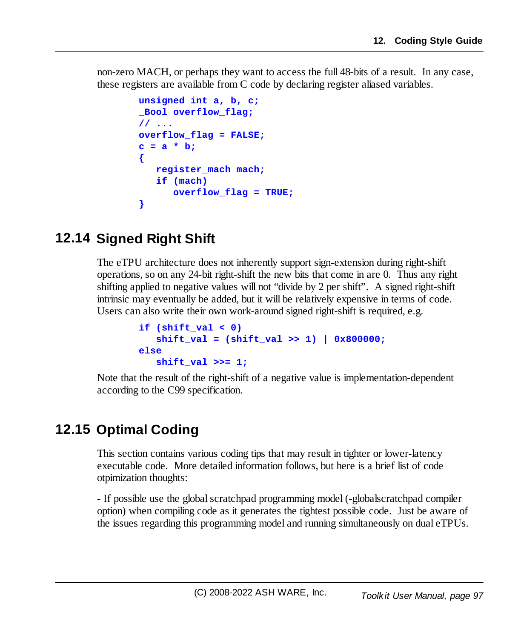non-zero MACH, or perhaps they want to access the full 48-bits of a result. In any case, these registers are available from C code by declaring register aliased variables.

```
unsigned int a, b, c;
_Bool overflow_flag;
// ...
overflow_flag = FALSE;
c = a * b;
{
   register_mach mach;
   if (mach)
      overflow_flag = TRUE;
}
```
# **12.14 Signed Right Shift**

The eTPU architecture does not inherently support sign-extension during right-shift operations, so on any 24-bit right-shift the new bits that come in are 0. Thus any right shifting applied to negative values will not "divide by 2 per shift". A signed right-shift intrinsic may eventually be added, but it will be relatively expensive in terms of code. Users can also write their own work-around signed right-shift is required, e.g.

```
if (shift_val < 0)
   shift_val = (shift_val >> 1) | 0x800000;
else
   shift_val >>= 1;
```
Note that the result of the right-shift of a negative value is implementation-dependent according to the C99 specification.

# **12.15 Optimal Coding**

This section contains various coding tips that may result in tighter or lower-latency executable code. More detailed information follows, but here is a brief list of code otpimization thoughts:

- If possible use the globalscratchpad programming model (-globalscratchpad compiler option) when compiling code as it generates the tightest possible code. Just be aware of the issues regarding this programming model and running simultaneously on dual eTPUs.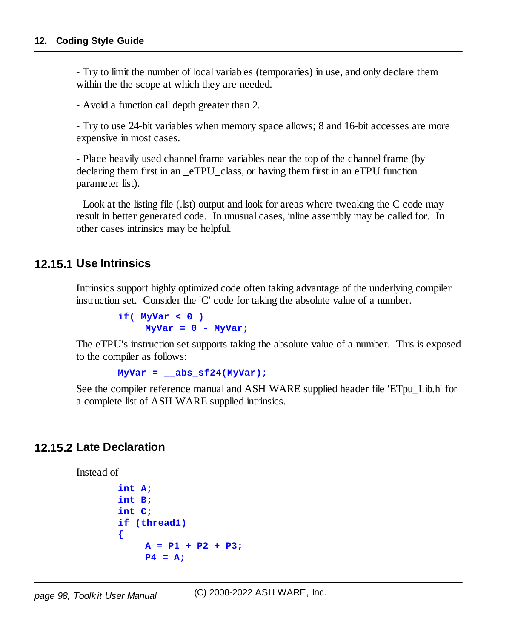- Try to limit the number of local variables (temporaries) in use, and only declare them within the the scope at which they are needed.

- Avoid a function call depth greater than 2.

- Try to use 24-bit variables when memory space allows; 8 and 16-bit accesses are more expensive in most cases.

- Place heavily used channel frame variables near the top of the channel frame (by declaring them first in an \_eTPU\_class, or having them first in an eTPU function parameter list).

- Look at the listing file (.lst) output and look for areas where tweaking the C code may result in better generated code. In unusual cases, inline assembly may be called for. In other cases intrinsics may be helpful.

#### **12.15.1 Use Intrinsics**

Intrinsics support highly optimized code often taking advantage of the underlying compiler instruction set. Consider the 'C' code for taking the absolute value of a number.

```
if( MyVar < 0 )
    MyVar = 0 - MyVar;
```
The eTPU's instruction set supports taking the absolute value of a number. This is exposed to the compiler as follows:

```
MyVar = __abs_sf24(MyVar);
```
See the compiler reference manual and ASH WARE supplied header file 'ETpu\_Lib.h' for a complete list of ASH WARE supplied intrinsics.

#### **12.15.2 Late Declaration**

Instead of

```
int A;
int B;
int C;
if (thread1)
{
     A = P1 + P2 + P3;
    P4 = A;
```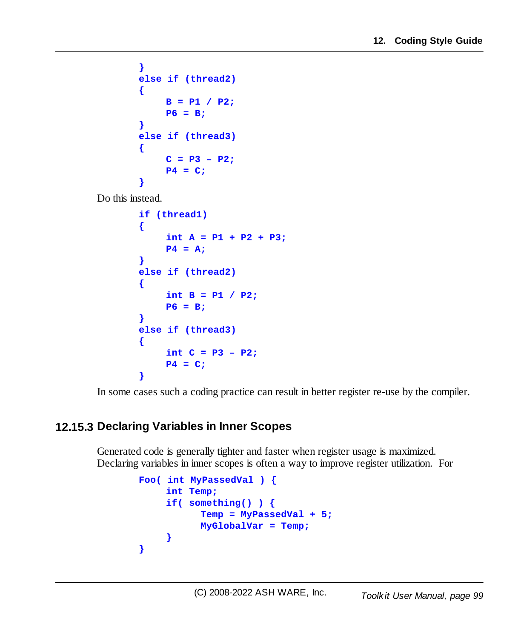```
}
else if (thread2)
{
     B = P1 / P2;
     P6 = B;
}
else if (thread3)
{
     C = P3 - P2;P4 = C;
}
```
Do this instead.

```
if (thread1)
{
     int A = P1 + P2 + P3;
     P4 = A;
}
else if (thread2)
{
     int B = P1 / P2;
     P6 = B;
}
else if (thread3)
{
     int C = P3 – P2;
     P4 = C;
}
```
In some cases such a coding practice can result in better register re-use by the compiler.

#### **12.15.3 Declaring Variables in Inner Scopes**

Generated code is generally tighter and faster when register usage is maximized. Declaring variables in inner scopes is often a way to improve register utilization. For

```
Foo( int MyPassedVal ) {
    int Temp;
    if( something() ) {
           Temp = MyPassedVal + 5;
           MyGlobalVar = Temp;
     }
}
```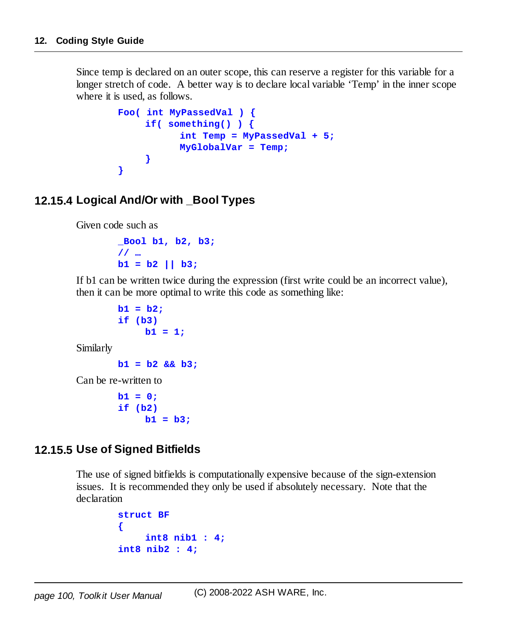Since temp is declared on an outer scope, this can reserve a register for this variable for a longer stretch of code. A better way is to declare local variable 'Temp' in the inner scope where it is used, as follows.

```
Foo( int MyPassedVal ) {
     if( something() ) {
           int Temp = MyPassedVal + 5;
           MyGlobalVar = Temp;
     }
}
```
#### **12.15.4 Logical And/Or with \_Bool Types**

Given code such as

```
_Bool b1, b2, b3;
// …
b1 = b2 || b3;
```
If b1 can be written twice during the expression (first write could be an incorrect value), then it can be more optimal to write this code as something like:

```
b1 = b2;
if (b3)
    b1 = 1;
```
Similarly

```
b1 = b2 && b3;
```
Can be re-written to

**b1 = 0; if (b2) b1 = b3;**

#### **12.15.5 Use of Signed Bitfields**

The use of signed bitfields is computationally expensive because of the sign-extension issues. It is recommended they only be used if absolutely necessary. Note that the declaration

```
struct BF
{
    int8 nib1 : 4;
int8 nib2 : 4;
```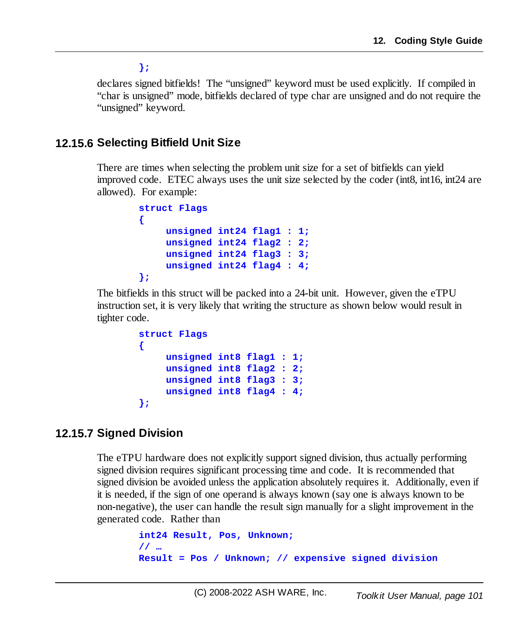**};**

declares signed bitfields! The "unsigned" keyword must be used explicitly. If compiled in "char is unsigned" mode, bitfields declared of type char are unsigned and do not require the "unsigned" keyword.

#### **12.15.6 Selecting Bitfield Unit Size**

There are times when selecting the problem unit size for a set of bitfields can yield improved code. ETEC always uses the unit size selected by the coder (int8, int16, int24 are allowed). For example:

```
struct Flags
{
    unsigned int24 flag1 : 1;
    unsigned int24 flag2 : 2;
    unsigned int24 flag3 : 3;
    unsigned int24 flag4 : 4;
};
```
The bitfields in this struct will be packed into a 24-bit unit. However, given the eTPU instruction set, it is very likely that writing the structure as shown below would result in tighter code.

```
struct Flags
{
    unsigned int8 flag1 : 1;
    unsigned int8 flag2 : 2;
    unsigned int8 flag3 : 3;
    unsigned int8 flag4 : 4;
};
```
#### **12.15.7 Signed Division**

The eTPU hardware does not explicitly support signed division, thus actually performing signed division requires significant processing time and code. It is recommended that signed division be avoided unless the application absolutely requires it. Additionally, even if it is needed, if the sign of one operand is always known (say one is always known to be non-negative), the user can handle the result sign manually for a slight improvement in the generated code. Rather than

```
int24 Result, Pos, Unknown;
// …
Result = Pos / Unknown; // expensive signed division
```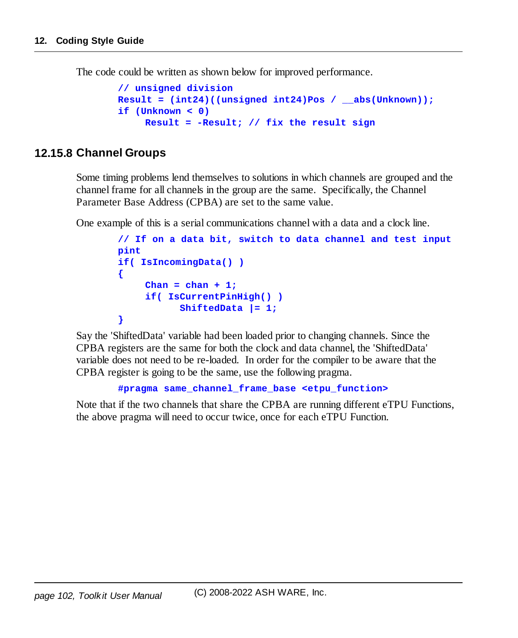The code could be written as shown below for improved performance.

```
// unsigned division
Result = (int24)((unsigned int24)Pos / __abs(Unknown));
if (Unknown < 0)
    Result = -Result; // fix the result sign
```
#### **12.15.8 Channel Groups**

Some timing problems lend themselves to solutions in which channels are grouped and the channel frame for all channels in the group are the same. Specifically, the Channel Parameter Base Address (CPBA) are set to the same value.

One example of this is a serial communications channel with a data and a clock line.

```
// If on a data bit, switch to data channel and test input
pint
if( IsIncomingData() )
{
     \text{Chan} = \text{chan} + 1;if( IsCurrentPinHigh() )
            ShiftedData |= 1;
}
```
Say the 'ShiftedData' variable had been loaded prior to changing channels. Since the CPBA registers are the same for both the clock and data channel, the 'ShiftedData' variable does not need to be re-loaded. In order for the compiler to be aware that the CPBA register is going to be the same, use the following pragma.

```
#pragma same_channel_frame_base <etpu_function>
```
Note that if the two channels that share the CPBA are running different eTPU Functions, the above pragma will need to occur twice, once for each eTPU Function.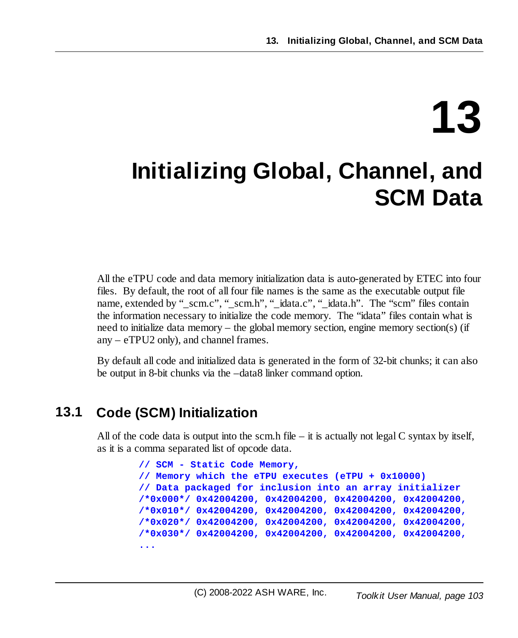# **13**

# **Initializing Global, Channel, and SCM Data**

All the eTPU code and data memory initialization data is auto-generated by ETEC into four files. By default, the root of all four file names is the same as the executable output file name, extended by "\_scm.c", "\_scm.h", "\_idata.c", "\_idata.h". The "scm" files contain the information necessary to initialize the code memory. The "idata" files contain what is need to initialize data memory – the global memory section, engine memory section(s) (if any – eTPU2 only), and channel frames.

By default all code and initialized data is generated in the form of 32-bit chunks; it can also be output in 8-bit chunks via the –data8 linker command option.

# **13.1 Code (SCM) Initialization**

All of the code data is output into the scm.h file – it is actually not legal C syntax by itself, as it is a comma separated list of opcode data.

```
// SCM - Static Code Memory,
// Memory which the eTPU executes (eTPU + 0x10000)
// Data packaged for inclusion into an array initializer
/*0x000*/ 0x42004200, 0x42004200, 0x42004200, 0x42004200,
/*0x010*/ 0x42004200, 0x42004200, 0x42004200, 0x42004200,
/*0x020*/ 0x42004200, 0x42004200, 0x42004200, 0x42004200,
/*0x030*/ 0x42004200, 0x42004200, 0x42004200, 0x42004200,
...
```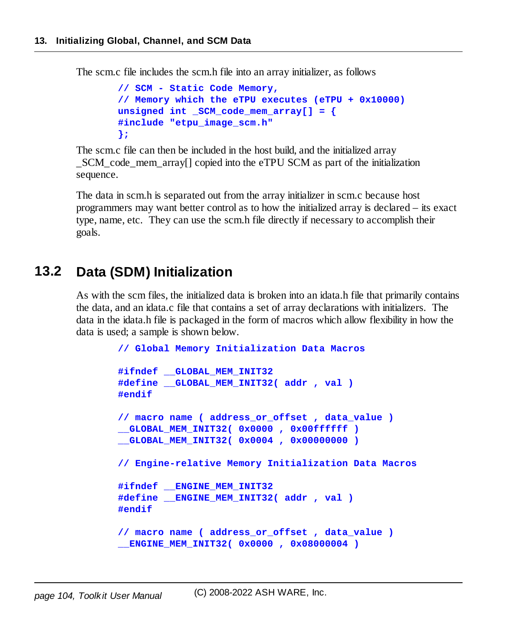The scm.c file includes the scm.h file into an array initializer, as follows

```
// SCM - Static Code Memory,
// Memory which the eTPU executes (eTPU + 0x10000)
unsigned int _SCM_code_mem_array[] = {
#include "etpu_image_scm.h"
};
```
The scm.c file can then be included in the host build, and the initialized array SCM code mem array<sup>[]</sup> copied into the eTPU SCM as part of the initialization sequence.

The data in scm.h is separated out from the array initializer in scm.c because host programmers may want better control as to how the initialized array is declared – its exact type, name, etc. They can use the scm.h file directly if necessary to accomplish their goals.

#### **13.2 Data (SDM) Initialization**

As with the scm files, the initialized data is broken into an idata.h file that primarily contains the data, and an idata.c file that contains a set of array declarations with initializers. The data in the idata.h file is packaged in the form of macros which allow flexibility in how the data is used; a sample is shown below.

```
// Global Memory Initialization Data Macros
#ifndef __GLOBAL_MEM_INIT32
#define __GLOBAL_MEM_INIT32( addr , val )
#endif
// macro name ( address_or_offset , data_value )
__GLOBAL_MEM_INIT32( 0x0000 , 0x00ffffff )
__GLOBAL_MEM_INIT32( 0x0004 , 0x00000000 )
// Engine-relative Memory Initialization Data Macros
#ifndef __ENGINE_MEM_INIT32
#define __ENGINE_MEM_INIT32( addr , val )
#endif
// macro name ( address_or_offset , data_value )
__ENGINE_MEM_INIT32( 0x0000 , 0x08000004 )
```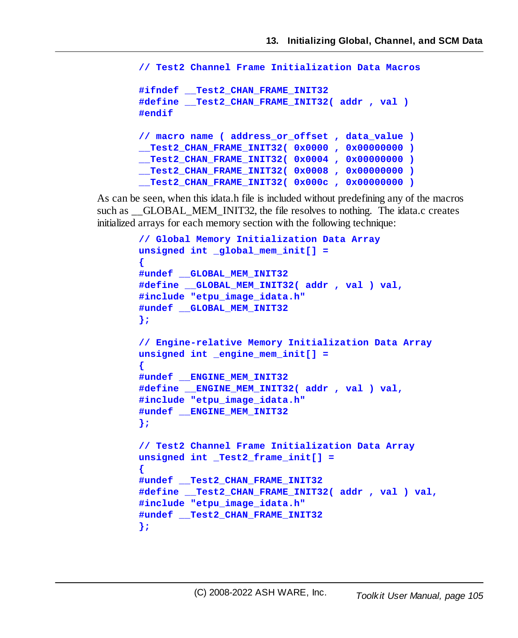```
// Test2 Channel Frame Initialization Data Macros
#ifndef __Test2_CHAN_FRAME_INIT32
#define __Test2_CHAN_FRAME_INIT32( addr , val )
#endif
// macro name ( address_or_offset , data_value )
__Test2_CHAN_FRAME_INIT32( 0x0000 , 0x00000000 )
__Test2_CHAN_FRAME_INIT32( 0x0004 , 0x00000000 )
 __Test2_CHAN_FRAME_INIT32( 0x0008 , 0x00000000 )
__Test2_CHAN_FRAME_INIT32( 0x000c , 0x00000000 )
```
As can be seen, when this idata.h file is included without predefining any of the macros such as \_\_GLOBAL\_MEM\_INIT32, the file resolves to nothing. The idata.c creates initialized arrays for each memory section with the following technique:

```
// Global Memory Initialization Data Array
unsigned int _global_mem_init[] =
{
#undef __GLOBAL_MEM_INIT32
#define __GLOBAL_MEM_INIT32( addr , val ) val,
#include "etpu_image_idata.h"
#undef __GLOBAL_MEM_INIT32
};
// Engine-relative Memory Initialization Data Array
unsigned int _engine_mem_init[] =
{
#undef __ENGINE_MEM_INIT32
#define __ENGINE_MEM_INIT32( addr , val ) val,
#include "etpu_image_idata.h"
#undef __ENGINE_MEM_INIT32
};
// Test2 Channel Frame Initialization Data Array
unsigned int _Test2_frame_init[] =
{
#undef __Test2_CHAN_FRAME_INIT32
#define __Test2_CHAN_FRAME_INIT32( addr , val ) val,
#include "etpu_image_idata.h"
#undef __Test2_CHAN_FRAME_INIT32
};
```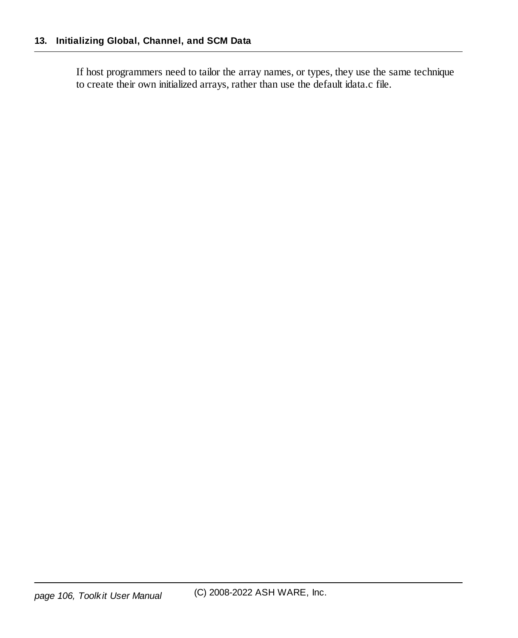If host programmers need to tailor the array names, or types, they use the same technique to create their own initialized arrays, rather than use the default idata.c file.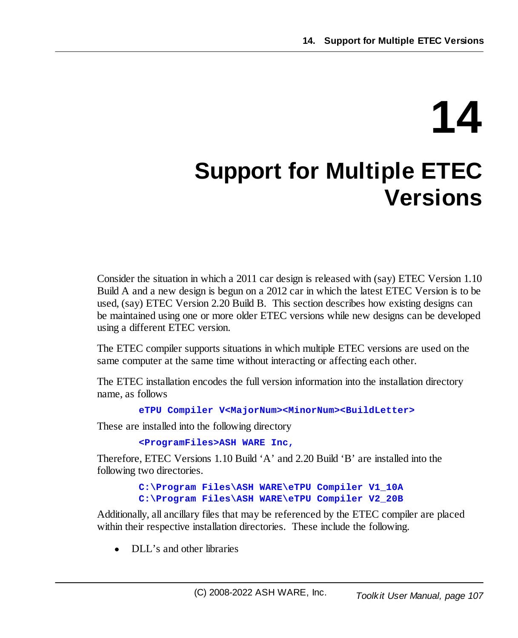# **14 Support for Multiple ETEC Versions**

Consider the situation in which a 2011 car design is released with (say) ETEC Version 1.10 Build A and a new design is begun on a 2012 car in which the latest ETEC Version is to be used, (say) ETEC Version 2.20 Build B. This section describes how existing designs can be maintained using one or more older ETEC versions while new designs can be developed using a different ETEC version.

The ETEC compiler supports situations in which multiple ETEC versions are used on the same computer at the same time without interacting or affecting each other.

The ETEC installation encodes the full version information into the installation directory name, as follows

**eTPU Compiler V<MajorNum><MinorNum><BuildLetter>**

These are installed into the following directory

**<ProgramFiles>ASH WARE Inc,**

Therefore, ETEC Versions 1.10 Build 'A' and 2.20 Build 'B' are installed into the following two directories.

> **C:\Program Files\ASH WARE\eTPU Compiler V1\_10A C:\Program Files\ASH WARE\eTPU Compiler V2\_20B**

Additionally, all ancillary files that may be referenced by the ETEC compiler are placed within their respective installation directories. These include the following.

·DLL's and other libraries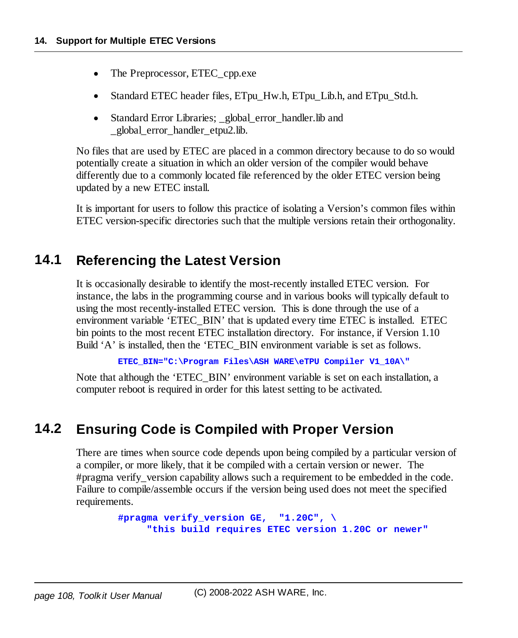- ·The Preprocessor, ETEC\_cpp.exe
- ·Standard ETEC header files, ETpu\_Hw.h, ETpu\_Lib.h, and ETpu\_Std.h.
- $\bullet$ Standard Error Libraries; global error handler.lib and \_global\_error\_handler\_etpu2.lib.

No files that are used by ETEC are placed in a common directory because to do so would potentially create a situation in which an older version of the compiler would behave differently due to a commonly located file referenced by the older ETEC version being updated by a new ETEC install.

It is important for users to follow this practice of isolating a Version's common files within ETEC version-specific directories such that the multiple versions retain their orthogonality.

#### **14.1 Referencing the Latest Version**

It is occasionally desirable to identify the most-recently installed ETEC version. For instance, the labs in the programming course and in various books will typically default to using the most recently-installed ETEC version. This is done through the use of a environment variable 'ETEC\_BIN' that is updated every time ETEC is installed. ETEC bin points to the most recent ETEC installation directory. For instance, if Version 1.10 Build 'A' is installed, then the 'ETEC\_BIN environment variable is set as follows.

**ETEC\_BIN="C:\Program Files\ASH WARE\eTPU Compiler V1\_10A\"**

Note that although the 'ETEC\_BIN' environment variable is set on each installation, a computer reboot is required in order for this latest setting to be activated.

#### **14.2 Ensuring Code is Compiled with Proper Version**

There are times when source code depends upon being compiled by a particular version of a compiler, or more likely, that it be compiled with a certain version or newer. The #pragma verify version capability allows such a requirement to be embedded in the code. Failure to compile/assemble occurs if the version being used does not meet the specified requirements.

```
#pragma verify_version GE, "1.20C", \
     "this build requires ETEC version 1.20C or newer"
```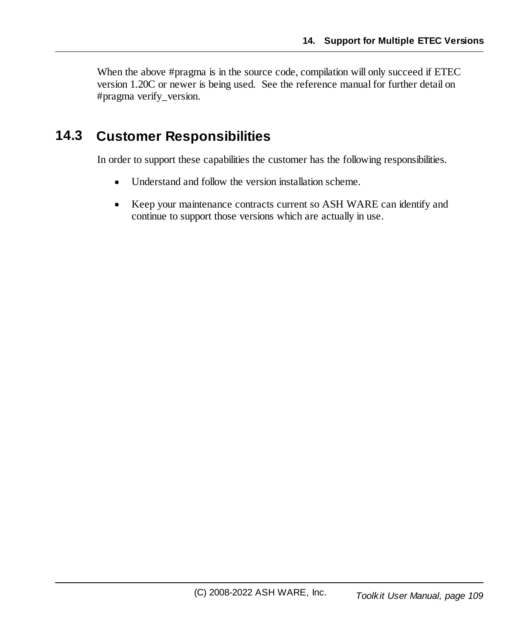When the above #pragma is in the source code, compilation will only succeed if ETEC version 1.20C or newer is being used. See the reference manual for further detail on #pragma verify\_version.

### **14.3 Customer Responsibilities**

In order to support these capabilities the customer has the following responsibilities.

- ·Understand and follow the version installation scheme.
- · Keep your maintenance contracts current so ASH WARE can identify and continue to support those versions which are actually in use.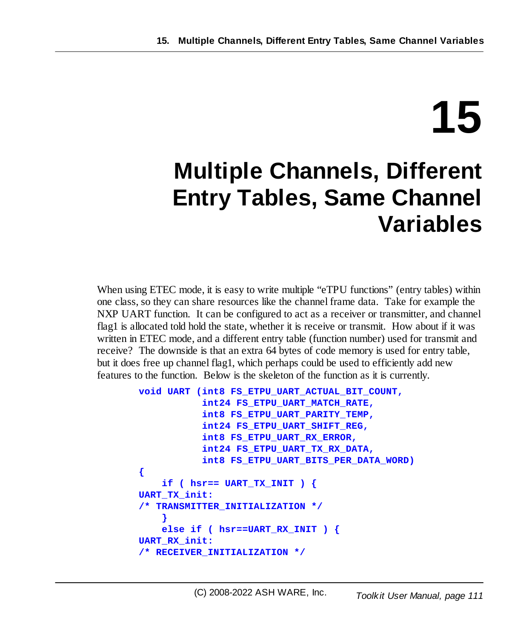# **15**

## **Multiple Channels, Different Entry Tables, Same Channel Variables**

When using ETEC mode, it is easy to write multiple "eTPU functions" (entry tables) within one class, so they can share resources like the channel frame data. Take for example the NXP UART function. It can be configured to act as a receiver or transmitter, and channel flag1 is allocated told hold the state, whether it is receive or transmit. How about if it was written in ETEC mode, and a different entry table (function number) used for transmit and receive? The downside is that an extra 64 bytes of code memory is used for entry table, but it does free up channel flag1, which perhaps could be used to efficiently add new features to the function. Below is the skeleton of the function as it is currently.

```
void UART (int8 FS_ETPU_UART_ACTUAL_BIT_COUNT,
           int24 FS_ETPU_UART_MATCH_RATE,
           int8 FS_ETPU_UART_PARITY_TEMP,
           int24 FS_ETPU_UART_SHIFT_REG,
           int8 FS_ETPU_UART_RX_ERROR,
           int24 FS_ETPU_UART_TX_RX_DATA,
           int8 FS_ETPU_UART_BITS_PER_DATA_WORD)
{
    if ( hsr== UART_TX_INIT ) {
UART_TX_init:
/* TRANSMITTER_INITIALIZATION */
    }
    else if ( hsr==UART_RX_INIT ) {
UART_RX_init:
/* RECEIVER_INITIALIZATION */
```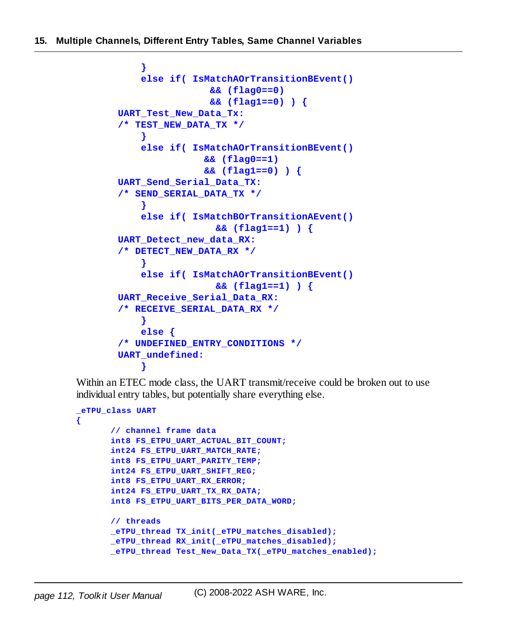```
}
    else if( IsMatchAOrTransitionBEvent()
                && (flag0==0)
                && (flag1==0) ) {
UART_Test_New_Data_Tx:
/* TEST_NEW_DATA_TX */
    }
    else if( IsMatchAOrTransitionBEvent()
               && (flag0==1)
               && (flag1==0) ) {
UART_Send_Serial_Data_TX:
/* SEND_SERIAL_DATA_TX */
    }
    else if( IsMatchBOrTransitionAEvent()
                 && (flag1==1) ) {
UART_Detect_new_data_RX:
/* DETECT_NEW_DATA_RX */
    }
    else if( IsMatchAOrTransitionBEvent()
                 && (flag1==1) ) {
UART_Receive_Serial_Data_RX:
/* RECEIVE_SERIAL_DATA_RX */
    }
    else {
/* UNDEFINED_ENTRY_CONDITIONS */
UART_undefined:
    }
```
Within an ETEC mode class, the UART transmit/receive could be broken out to use individual entry tables, but potentially share everything else.

```
_eTPU_class UART
{
       // channel frame data
      int8 FS_ETPU_UART_ACTUAL_BIT_COUNT;
       int24 FS_ETPU_UART_MATCH_RATE;
      int8 FS_ETPU_UART_PARITY_TEMP;
      int24 FS_ETPU_UART_SHIFT_REG;
      int8 FS_ETPU_UART_RX_ERROR;
       int24 FS_ETPU_UART_TX_RX_DATA;
      int8 FS_ETPU_UART_BITS_PER_DATA_WORD;
      // threads
      _eTPU_thread TX_init(_eTPU_matches_disabled);
      _eTPU_thread RX_init(_eTPU_matches_disabled);
       _eTPU_thread Test_New_Data_TX(_eTPU_matches_enabled);
```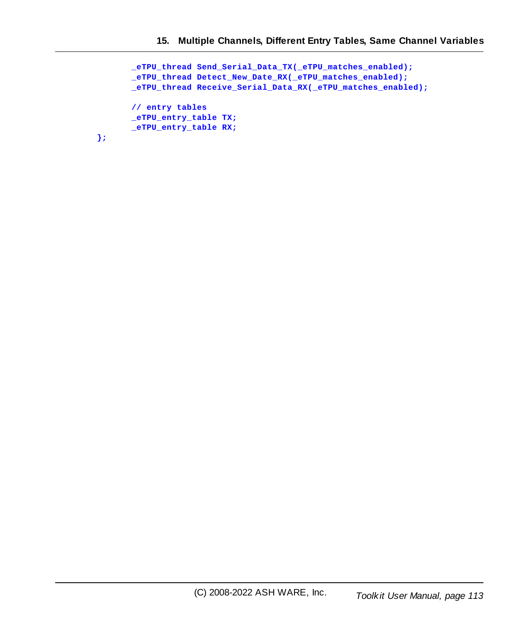```
_eTPU_thread Send_Serial_Data_TX(_eTPU_matches_enabled);
_eTPU_thread Detect_New_Date_RX(_eTPU_matches_enabled);
_eTPU_thread Receive_Serial_Data_RX(_eTPU_matches_enabled);
// entry tables
_eTPU_entry_table TX;
_eTPU_entry_table RX;
```
**};**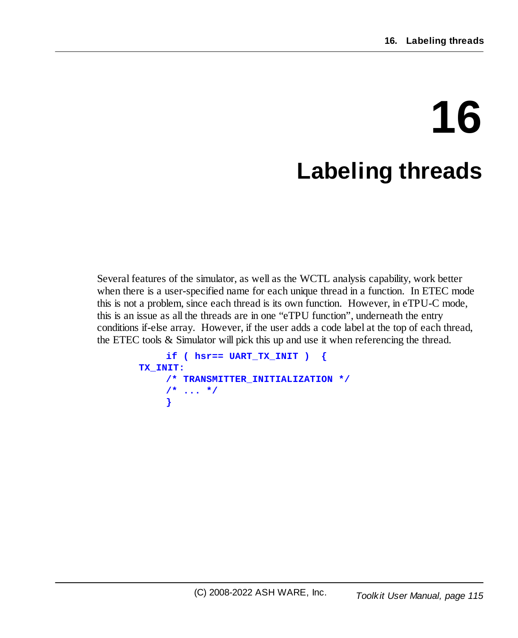## **16 Labeling threads**

Several features of the simulator, as well as the WCTL analysis capability, work better when there is a user-specified name for each unique thread in a function. In ETEC mode this is not a problem, since each thread is its own function. However, in eTPU-C mode, this is an issue as all the threads are in one "eTPU function", underneath the entry conditions if-else array. However, if the user adds a code label at the top of each thread, the ETEC tools & Simulator will pick this up and use it when referencing the thread.

```
if ( hsr== UART_TX_INIT ) {
TX_INIT:
    /* TRANSMITTER_INITIALIZATION */
    /* ... */
    }
```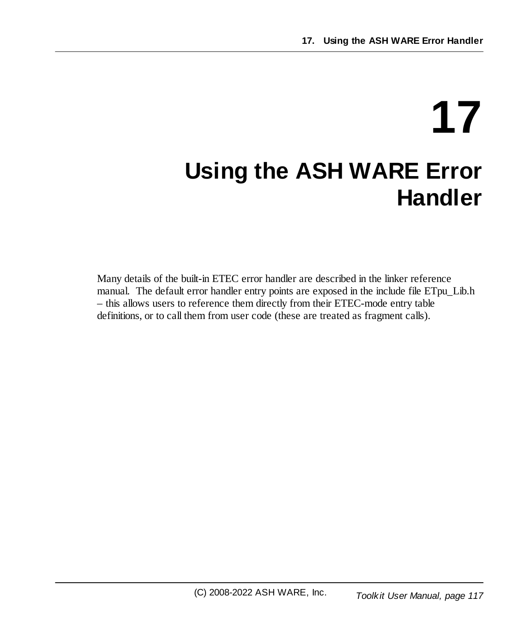## **17 Using the ASH WARE Error Handler**

Many details of the built-in ETEC error handler are described in the linker reference manual. The default error handler entry points are exposed in the include file ETpu\_Lib.h – this allows users to reference them directly from their ETEC-mode entry table definitions, or to call them from user code (these are treated as fragment calls).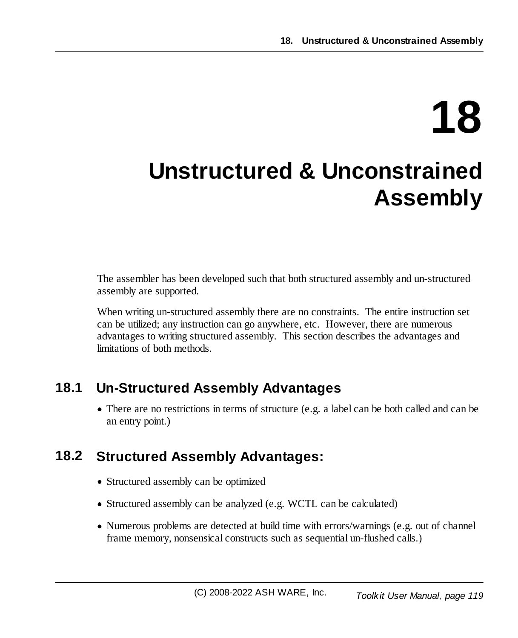# **18**

## **Unstructured & Unconstrained Assembly**

The assembler has been developed such that both structured assembly and un-structured assembly are supported.

When writing un-structured assembly there are no constraints. The entire instruction set can be utilized; any instruction can go anywhere, etc. However, there are numerous advantages to writing structured assembly. This section describes the advantages and limitations of both methods.

### **18.1 Un-Structured Assembly Advantages**

· There are no restrictions in terms of structure (e.g. a label can be both called and can be an entry point.)

### **18.2 Structured Assembly Advantages:**

- · Structured assembly can be optimized
- · Structured assembly can be analyzed (e.g. WCTL can be calculated)
- · Numerous problems are detected at build time with errors/warnings (e.g. out of channel frame memory, nonsensical constructs such as sequential un-flushed calls.)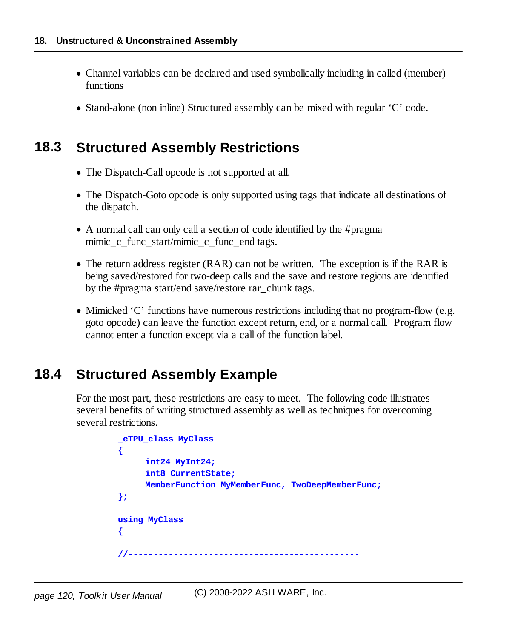- · Channel variables can be declared and used symbolically including in called (member) functions
- · Stand-alone (non inline) Structured assembly can be mixed with regular 'C' code.

### **18.3 Structured Assembly Restrictions**

- · The Dispatch-Call opcode is not supported at all.
- · The Dispatch-Goto opcode is only supported using tags that indicate all destinations of the dispatch.
- · A normal call can only call a section of code identified by the #pragma mimic c func start/mimic c func end tags.
- · The return address register (RAR) can not be written. The exception is if the RAR is being saved/restored for two-deep calls and the save and restore regions are identified by the #pragma start/end save/restore rar\_chunk tags.
- · Mimicked 'C' functions have numerous restrictions including that no program-flow (e.g. goto opcode) can leave the function except return, end, or a normal call. Program flow cannot enter a function except via a call of the function label.

### **18.4 Structured Assembly Example**

For the most part, these restrictions are easy to meet. The following code illustrates several benefits of writing structured assembly as well as techniques for overcoming several restrictions.

```
_eTPU_class MyClass
{
     int24 MyInt24;
     int8 CurrentState;
     MemberFunction MyMemberFunc, TwoDeepMemberFunc;
};
using MyClass
{
//----------------------------------------------
```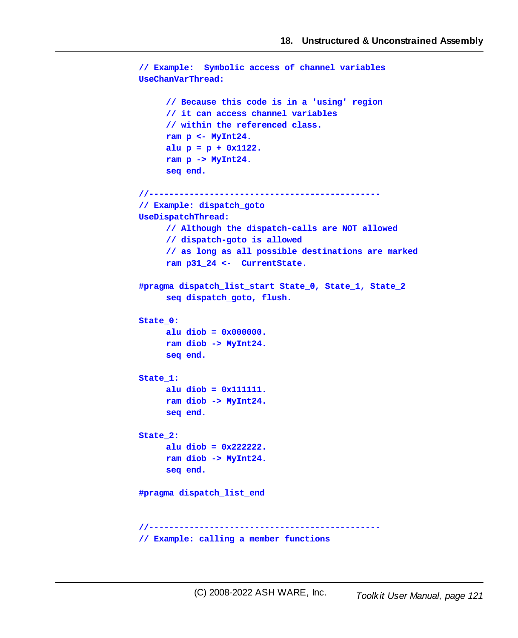```
// Example: Symbolic access of channel variables
UseChanVarThread:
     // Because this code is in a 'using' region
     // it can access channel variables
     // within the referenced class.
     ram p <- MyInt24.
     alu p = p + 0x1122.
     ram p -> MyInt24.
     seq end.
//----------------------------------------------
// Example: dispatch_goto
UseDispatchThread:
     // Although the dispatch-calls are NOT allowed
     // dispatch-goto is allowed
     // as long as all possible destinations are marked
     ram p31_24 <- CurrentState.
#pragma dispatch_list_start State_0, State_1, State_2
     seq dispatch_goto, flush.
State_0:
     alu diob = 0x000000.
     ram diob -> MyInt24.
     seq end.
State_1:
     alu diob = 0x111111.
     ram diob -> MyInt24.
     seq end.
State_2:
     alu diob = 0x222222.
     ram diob -> MyInt24.
     seq end.
#pragma dispatch_list_end
//----------------------------------------------
// Example: calling a member functions
```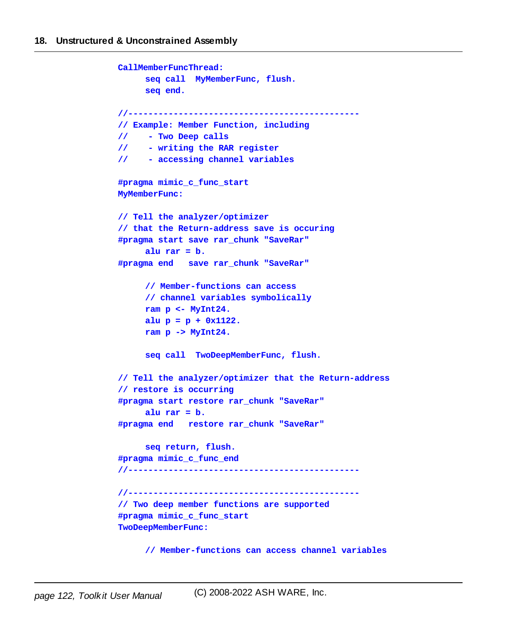```
CallMemberFuncThread:
     seq call MyMemberFunc, flush.
     seq end.
//----------------------------------------------
// Example: Member Function, including
// - Two Deep calls
// - writing the RAR register
// - accessing channel variables
#pragma mimic_c_func_start
MyMemberFunc:
// Tell the analyzer/optimizer
// that the Return-address save is occuring
#pragma start save rar_chunk "SaveRar"
     alu rar = b.
#pragma end save rar_chunk "SaveRar"
     // Member-functions can access
     // channel variables symbolically
     ram p <- MyInt24.
     alu p = p + 0x1122.
     ram p -> MyInt24.
     seq call TwoDeepMemberFunc, flush.
// Tell the analyzer/optimizer that the Return-address
// restore is occurring
#pragma start restore rar_chunk "SaveRar"
     alu rar = b.
#pragma end restore rar_chunk "SaveRar"
     seq return, flush.
#pragma mimic_c_func_end
//----------------------------------------------
//----------------------------------------------
// Two deep member functions are supported
#pragma mimic_c_func_start
TwoDeepMemberFunc:
```
**// Member-functions can access channel variables**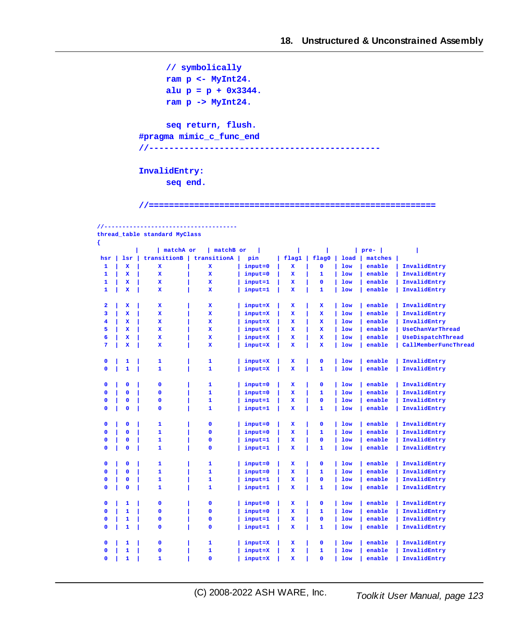**// symbolically ram p <- MyInt24. alu p = p + 0x3344. ram p -> MyInt24.**

**seq return, flush. #pragma mimic\_c\_func\_end**

**//----------------------------------------------**

**InvalidEntry: seq end.**

**//-------------------------------------**

**//=========================================================**

|                         |             | thread table standard MyClass |              |         |              |              |            |         |                      |
|-------------------------|-------------|-------------------------------|--------------|---------|--------------|--------------|------------|---------|----------------------|
| ₹                       |             |                               |              |         |              |              |            |         |                      |
|                         |             | matchA or                     | matchB or    |         |              |              | L          | pre-    |                      |
| hsr                     | <b>lsr</b>  | transitionB                   | transitionA  | pin     | flag1        | flag0        | load       | matches |                      |
| 1                       | x           | $\mathbf{x}$                  | $\mathbf{x}$ | input=0 | x            | $\mathbf 0$  | <b>low</b> | enable  | InvalidEntry         |
| 1                       | x           | $\mathbf x$                   | $\mathbf x$  | input=0 | x            | 1            | <b>low</b> | enable  | InvalidEntry         |
| 1                       | x           | x                             | x            | input=1 | x            | $\mathbf 0$  | <b>low</b> | enable  | InvalidEntry         |
| $\mathbf{1}$            | $\mathbf x$ | $\mathbf x$                   | x            | input=1 | $\mathbf{x}$ | $\mathbf{1}$ | <b>low</b> | enable  | InvalidEntry         |
|                         |             |                               |              |         |              |              |            |         |                      |
| $\overline{\mathbf{2}}$ | x           | $\mathbf x$                   | x            | input=X | x            | x            | <b>low</b> | enable  | InvalidEntry         |
| 3                       | $\mathbf x$ | $\mathbf{x}$                  | x            | input=X | $\mathbf{x}$ | $\mathbf x$  | <b>low</b> | enable  | InvalidEntry         |
| $\overline{\mathbf{4}}$ | $\mathbf x$ | $\mathbf{x}$                  | x            | input=X | x            | $\mathbf x$  | <b>low</b> | enable  | InvalidEntry         |
| 5                       | $\mathbf x$ | $\mathbf{x}$                  | $\mathbf x$  | input=X | x            | $\mathbf x$  | <b>low</b> | enable  | UseChanVarThread     |
| 6                       | x           | x                             | x            | input=X | x            | x            | <b>low</b> | enable  | UseDispatchThread    |
| 7                       | x           | $\mathbf{x}$                  | x            | input=X | $\mathbf{x}$ | x            | <b>low</b> | enable  | CallMemberFuncThread |
| $\mathbf 0$             | 1           | 1                             | 1            | input=X | x            | $\mathbf 0$  | <b>low</b> | enable  | InvalidEntry         |
| $\mathbf 0$             | 1           | $\mathbf{1}$                  | $\mathbf{1}$ | input=X | $\mathbf{x}$ | 1            | <b>low</b> | enable  | InvalidEntry         |
|                         |             |                               |              |         |              |              |            |         |                      |
| $\mathbf 0$             | $\mathbf 0$ | $\mathbf 0$                   | $\mathbf{1}$ | input=0 | x            | $\mathbf 0$  | <b>low</b> | enable  | InvalidEntry         |
| $\mathbf 0$             | $\mathbf 0$ | $\mathbf 0$                   | $\mathbf{1}$ | input=0 | x            | 1            | <b>low</b> | enable  | InvalidEntry         |
| $\mathbf 0$             | $\mathbf 0$ | $\mathbf 0$                   | $\mathbf{1}$ | input=1 | x            | $\mathbf 0$  | <b>low</b> | enable  | InvalidEntry         |
| $\mathbf 0$             | $\mathbf 0$ | $\mathbf 0$                   | 1            | input=1 | x            | 1            | <b>low</b> | enable  | InvalidEntry         |
|                         |             |                               |              |         |              |              |            |         |                      |
| $\mathbf 0$             | $\mathbf 0$ | $\mathbf{1}$                  | $\mathbf 0$  | input=0 | x            | $\mathbf 0$  | <b>low</b> | enable  | InvalidEntry         |
| $\mathbf 0$             | $\mathbf 0$ | $\mathbf{1}$                  | $\mathbf 0$  | input=0 | $\mathbf{x}$ | 1            | <b>low</b> | enable  | InvalidEntry         |
| $\mathbf 0$             | $\mathbf 0$ | $\mathbf{1}$                  | $\mathbf 0$  | input=1 | x            | $\mathbf 0$  | <b>low</b> | enable  | InvalidEntry         |
| $\mathbf{0}$            | $\Omega$    | $\mathbf{1}$                  | $\mathbf 0$  | input=1 | $\mathbf{x}$ | 1            | <b>low</b> | enable  | InvalidEntry         |
|                         |             |                               |              |         |              |              |            |         |                      |
| $\mathbf 0$             | $\mathbf 0$ | $\mathbf{1}$                  | 1            | input=0 | x            | $\mathbf 0$  | <b>low</b> | enable  | InvalidEntry         |
| $\mathbf 0$             | $\mathbf 0$ | $\mathbf{1}$                  | $\mathbf{1}$ | input=0 | x            | 1            | <b>low</b> | enable  | InvalidEntry         |
| $\mathbf 0$             | $\mathbf 0$ | $\mathbf{1}$                  | $\mathbf{1}$ | input=1 | x            | $\mathbf 0$  | <b>low</b> | enable  | InvalidEntry         |
| $\mathbf 0$             | $\mathbf 0$ | $\mathbf{1}$                  | $\mathbf{1}$ | input=1 | x            | 1            | <b>low</b> | enable  | InvalidEntry         |
|                         |             |                               |              |         |              |              |            |         |                      |
| $\mathbf 0$             | 1           | $\mathbf 0$                   | $\mathbf 0$  | input=0 | x            | $\mathbf 0$  | <b>low</b> | enable  | InvalidEntry         |
| $\mathbf 0$             | 1           | $\mathbf 0$                   | $\mathbf 0$  | input=0 | x            | 1            | <b>low</b> | enable  | InvalidEntry         |
| $\mathbf 0$             | 1           | $\mathbf 0$                   | $\mathbf 0$  | input=1 | $\mathbf{x}$ | $\mathbf 0$  | <b>low</b> | enable  | InvalidEntry         |
| $\mathbf{0}$            | 1           | $\mathbf 0$                   | $\mathbf 0$  | input=1 | x            | 1            | <b>low</b> | enable  | InvalidEntry         |
|                         |             |                               |              |         |              |              |            |         |                      |
| $\mathbf 0$             | 1           | $\mathbf 0$                   | 1            | input=X | x            | $\mathbf 0$  | <b>low</b> | enable  | InvalidEntry         |
| $\mathbf{0}$            | 1           | $\mathbf 0$                   | $\mathbf{1}$ | input=X | $\mathbf{x}$ | 1            | <b>low</b> | enable  | InvalidEntry         |
| $\mathbf 0$             | 1           | $\mathbf{1}$                  | $\mathbf 0$  | input=X | x            | $\mathbf 0$  | <b>low</b> | enable  | InvalidEntry         |